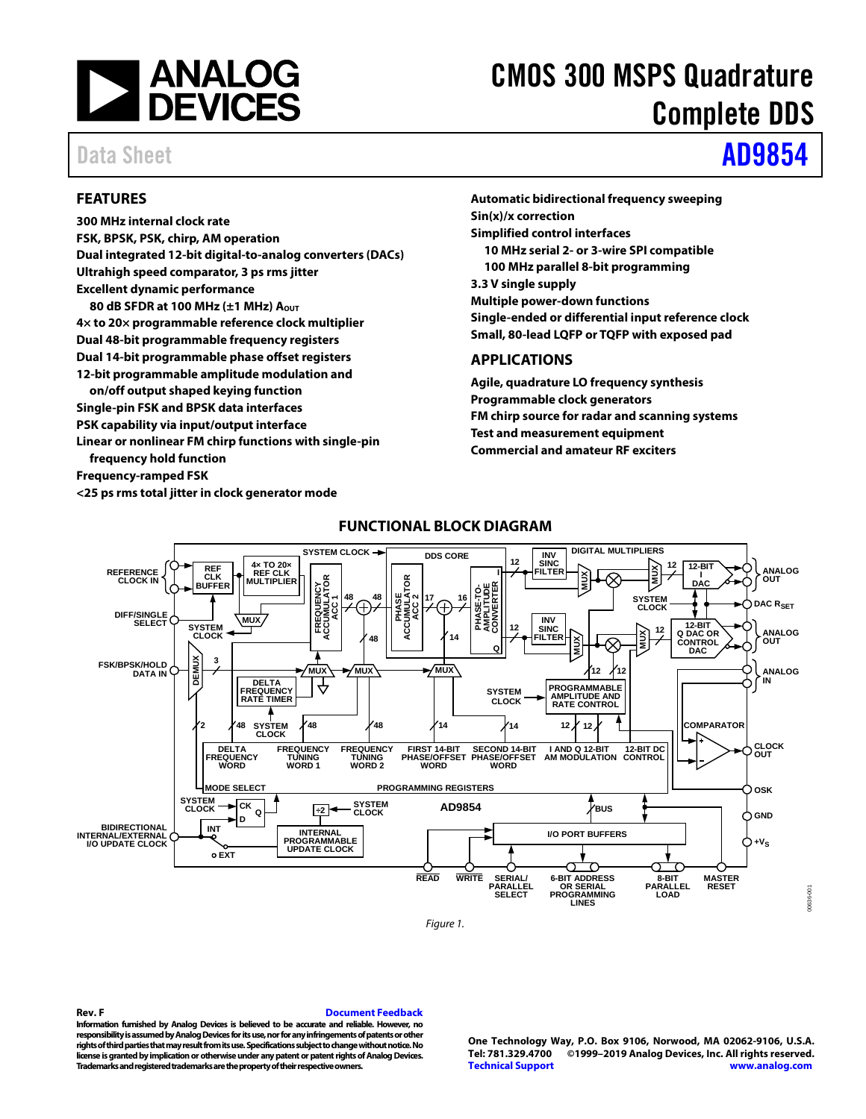

# CMOS 300 MSPS Quadrature Complete DDS

# Data Sheet **[AD9854](https://www.analog.com/AD9854?doc=AD9854.pdf)**

## <span id="page-0-0"></span>**FEATURES**

**300 MHz internal clock rate FSK, BPSK, PSK, chirp, AM operation Dual integrated 12-bit digital-to-analog converters (DACs) Ultrahigh speed comparator, 3 ps rms jitter Excellent dynamic performance 80 dB SFDR at 100 MHz (±1 MHz) AOUT 4× to 20× programmable reference clock multiplier Dual 48-bit programmable frequency registers Dual 14-bit programmable phase offset registers 12-bit programmable amplitude modulation and on/off output shaped keying function Single-pin FSK and BPSK data interfaces PSK capability via input/output interface Linear or nonlinear FM chirp functions with single-pin frequency hold function Frequency-ramped FSK <25 ps rms total jitter in clock generator mode**

**Automatic bidirectional frequency sweeping Sin(x)/x correction Simplified control interfaces 10 MHz serial 2- or 3-wire SPI compatible 100 MHz parallel 8-bit programming 3.3 V single supply Multiple power-down functions Single-ended or differential input reference clock Small, 80-lead LQFP or TQFP with exposed pad** 

### <span id="page-0-1"></span>**APPLICATIONS**

**Agile, quadrature LO frequency synthesis Programmable clock generators FM chirp source for radar and scanning systems Test and measurement equipment Commercial and amateur RF exciters**

<span id="page-0-2"></span>

## **FUNCTIONAL BLOCK DIAGRAM**

*Figure 1.*

#### **Rev. F [Document Feedback](https://form.analog.com/Form_Pages/feedback/documentfeedback.aspx?doc=AD9854.pdf&product=AD9854&rev=F)**

**Information furnished by Analog Devices is believed to be accurate and reliable. However, no responsibility is assumed by Analog Devices for its use, nor for anyinfringements of patents or other rights of third parties that may result from its use. Specifications subject to change without notice. No license is granted by implication or otherwise under any patent or patent rights of Analog Devices.**<br>Trademarks and registered trademarks are the property of their respective owners. **Trademarks and registered trademarks are the property of their respective owners.**

**One Technology Way, P.O. Box 9106, Norwood, MA 02062-9106, U.S.A. Tel: 781.329.4700 ©1999–2019 Analog Devices, Inc. All rights reserved. [Technical Support](http://www.analog.com/en/content/technical_support_page/fca.html) [www.analog.com](http://www.analog.com/)**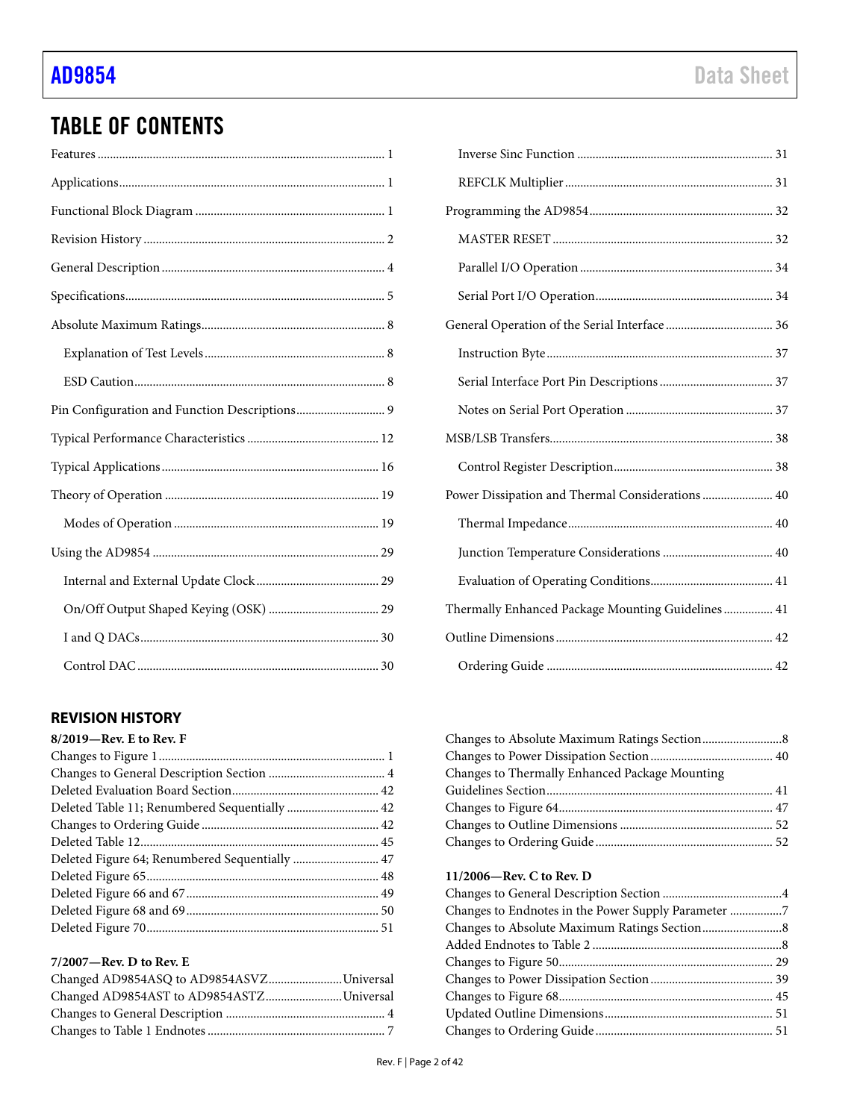# TABLE OF CONTENTS

# <span id="page-1-0"></span>**REVISION HISTORY**

| 8/2019-Rev. E to Rev. F                        |  |
|------------------------------------------------|--|
|                                                |  |
|                                                |  |
|                                                |  |
|                                                |  |
|                                                |  |
|                                                |  |
| Deleted Figure 64; Renumbered Sequentially  47 |  |
|                                                |  |
|                                                |  |
|                                                |  |
|                                                |  |
|                                                |  |

#### **7/2007—Rev. D to Rev. E**

| Changed AD9854ASQ to AD9854ASVZUniversal |  |
|------------------------------------------|--|
| Changed AD9854AST to AD9854ASTZUniversal |  |
|                                          |  |
|                                          |  |

| Power Dissipation and Thermal Considerations 40    |
|----------------------------------------------------|
|                                                    |
|                                                    |
|                                                    |
| Thermally Enhanced Package Mounting Guidelines  41 |
|                                                    |
|                                                    |

| Changes to Thermally Enhanced Package Mounting |  |
|------------------------------------------------|--|
|                                                |  |
|                                                |  |
|                                                |  |
|                                                |  |
|                                                |  |

#### **11/2006—Rev. C to Rev. D**

| Changes to Endnotes in the Power Supply Parameter 7 |  |
|-----------------------------------------------------|--|
|                                                     |  |
|                                                     |  |
|                                                     |  |
|                                                     |  |
|                                                     |  |
|                                                     |  |
|                                                     |  |
|                                                     |  |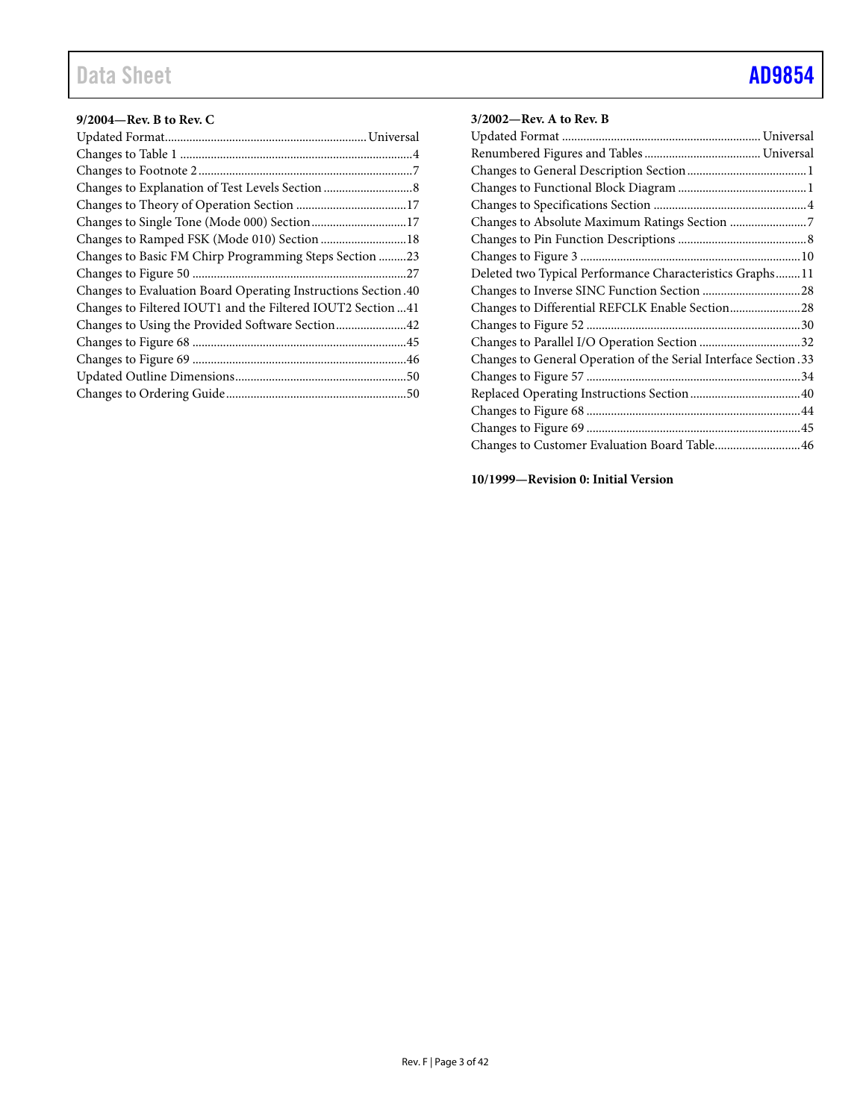## **9/2004—Rev. B to Rev. C**

| Changes to Single Tone (Mode 000) Section17                   |  |
|---------------------------------------------------------------|--|
| Changes to Ramped FSK (Mode 010) Section 18                   |  |
| Changes to Basic FM Chirp Programming Steps Section 23        |  |
|                                                               |  |
| Changes to Evaluation Board Operating Instructions Section.40 |  |
| Changes to Filtered IOUT1 and the Filtered IOUT2 Section 41   |  |
| Changes to Using the Provided Software Section42              |  |
|                                                               |  |
|                                                               |  |
|                                                               |  |
|                                                               |  |
|                                                               |  |

### **3/2002—Rev. A to Rev. B**

**10/1999—Revision 0: Initial Version**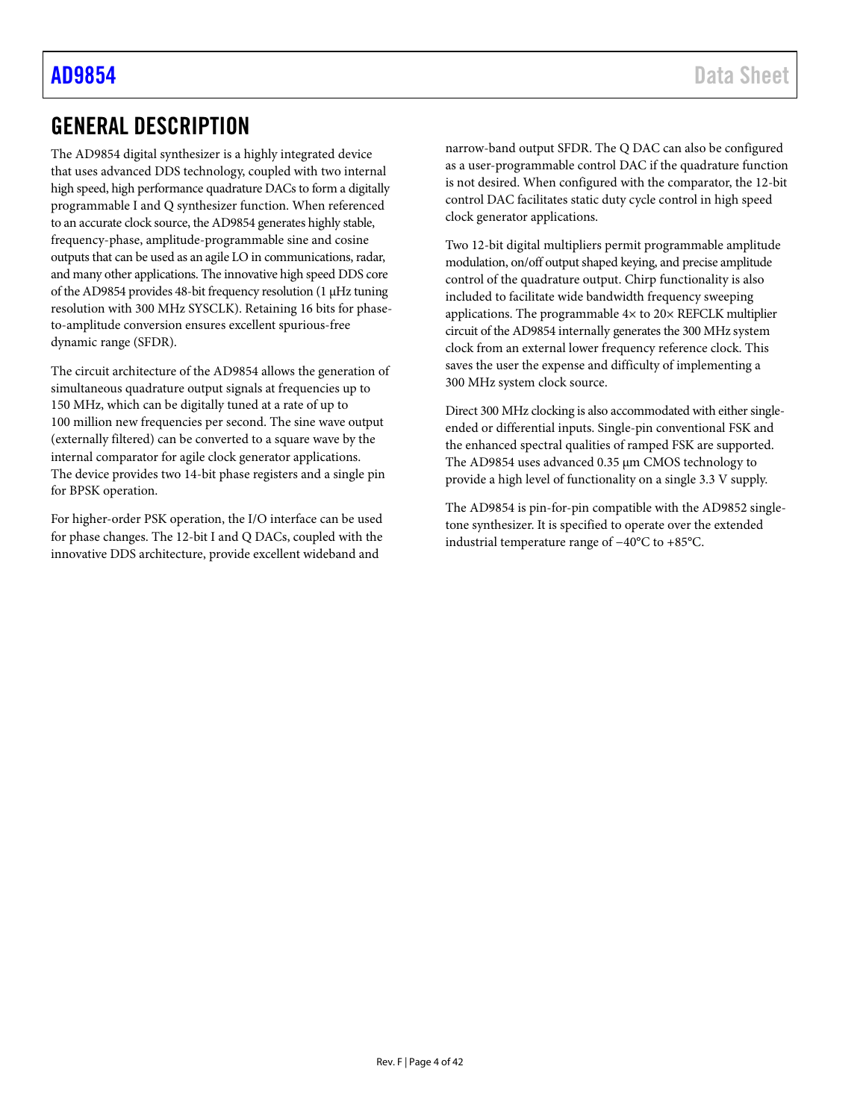# <span id="page-3-0"></span>GENERAL DESCRIPTION

The AD9854 digital synthesizer is a highly integrated device that uses advanced DDS technology, coupled with two internal high speed, high performance quadrature DACs to form a digitally programmable I and Q synthesizer function. When referenced to an accurate clock source, the AD9854 generates highly stable, frequency-phase, amplitude-programmable sine and cosine outputs that can be used as an agile LO in communications, radar, and many other applications. The innovative high speed DDS core of the AD9854 provides 48-bit frequency resolution (1 μHz tuning resolution with 300 MHz SYSCLK). Retaining 16 bits for phaseto-amplitude conversion ensures excellent spurious-free dynamic range (SFDR).

The circuit architecture of the AD9854 allows the generation of simultaneous quadrature output signals at frequencies up to 150 MHz, which can be digitally tuned at a rate of up to 100 million new frequencies per second. The sine wave output (externally filtered) can be converted to a square wave by the internal comparator for agile clock generator applications. The device provides two 14-bit phase registers and a single pin for BPSK operation.

For higher-order PSK operation, the I/O interface can be used for phase changes. The 12-bit I and Q DACs, coupled with the innovative DDS architecture, provide excellent wideband and

narrow-band output SFDR. The Q DAC can also be configured as a user-programmable control DAC if the quadrature function is not desired. When configured with the comparator, the 12-bit control DAC facilitates static duty cycle control in high speed clock generator applications.

Two 12-bit digital multipliers permit programmable amplitude modulation, on/off output shaped keying, and precise amplitude control of the quadrature output. Chirp functionality is also included to facilitate wide bandwidth frequency sweeping applications. The programmable  $4\times$  to  $20\times$  REFCLK multiplier circuit of the AD9854 internally generates the 300 MHz system clock from an external lower frequency reference clock. This saves the user the expense and difficulty of implementing a 300 MHz system clock source.

Direct 300 MHz clocking is also accommodated with either singleended or differential inputs. Single-pin conventional FSK and the enhanced spectral qualities of ramped FSK are supported. The AD9854 uses advanced 0.35  $\mu$ m CMOS technology to provide a high level of functionality on a single 3.3 V supply.

The AD9854 is pin-for-pin compatible with the AD9852 singletone synthesizer. It is specified to operate over the extended industrial temperature range of −40°C to +85°C.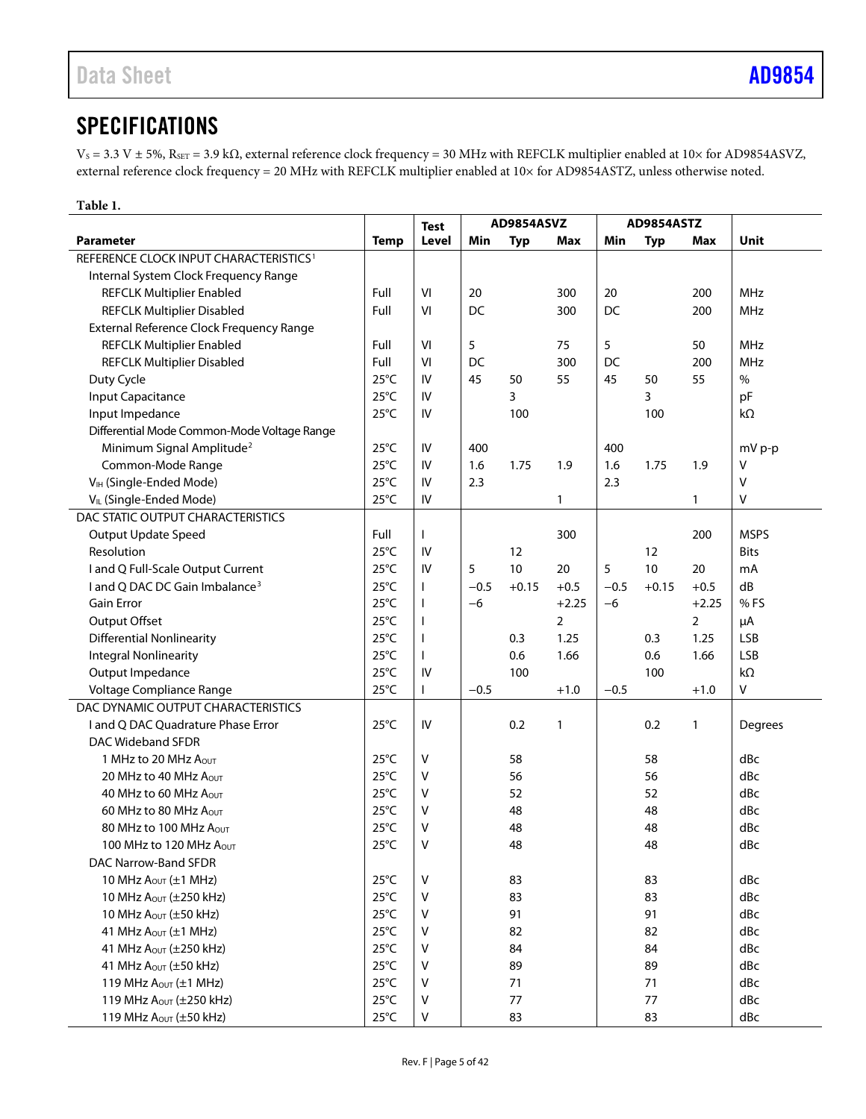# <span id="page-4-0"></span>**SPECIFICATIONS**

VS = 3.3 V ± 5%, RSET = 3.9 kΩ, external reference clock frequency = 30 MHz with REFCLK multiplier enabled at 10× for AD9854ASVZ, external reference clock frequency = 20 MHz with REFCLK multiplier enabled at 10× for AD9854ASTZ, unless otherwise noted.

<span id="page-4-1"></span>

| Table 1.                                           |                |              |            |            |         |        |            |                |             |
|----------------------------------------------------|----------------|--------------|------------|------------|---------|--------|------------|----------------|-------------|
|                                                    |                | <b>Test</b>  | AD9854ASVZ |            |         |        | AD9854ASTZ |                |             |
| <b>Parameter</b>                                   | <b>Temp</b>    | Level        | Min        | <b>Typ</b> | Max     | Min    | <b>Typ</b> | Max            | Unit        |
| REFERENCE CLOCK INPUT CHARACTERISTICS <sup>1</sup> |                |              |            |            |         |        |            |                |             |
| Internal System Clock Frequency Range              |                |              |            |            |         |        |            |                |             |
| <b>REFCLK Multiplier Enabled</b>                   | Full           | VI           | 20         |            | 300     | 20     |            | 200            | <b>MHz</b>  |
| <b>REFCLK Multiplier Disabled</b>                  | Full           | VI           | DC         |            | 300     | DC     |            | 200            | <b>MHz</b>  |
| External Reference Clock Frequency Range           |                |              |            |            |         |        |            |                |             |
| <b>REFCLK Multiplier Enabled</b>                   | Full           | VI           | 5          |            | 75      | 5      |            | 50             | MHz         |
| <b>REFCLK Multiplier Disabled</b>                  | Full           | VI           | <b>DC</b>  |            | 300     | DC     |            | 200            | <b>MHz</b>  |
| Duty Cycle                                         | $25^{\circ}$ C | IV           | 45         | 50         | 55      | 45     | 50         | 55             | $\%$        |
| Input Capacitance                                  | $25^{\circ}$ C | IV           |            | 3          |         |        | 3          |                | pF          |
| Input Impedance                                    | $25^{\circ}$ C | IV           |            | 100        |         |        | 100        |                | $k\Omega$   |
| Differential Mode Common-Mode Voltage Range        |                |              |            |            |         |        |            |                |             |
| Minimum Signal Amplitude <sup>2</sup>              | $25^{\circ}$ C | IV           | 400        |            |         | 400    |            |                | mV p-p      |
| Common-Mode Range                                  | $25^{\circ}$ C | IV           | 1.6        | 1.75       | 1.9     | 1.6    | 1.75       | 1.9            | V           |
| V <sub>IH</sub> (Single-Ended Mode)                | 25°C           | IV           | 2.3        |            |         | 2.3    |            |                | V           |
| V <sub>IL</sub> (Single-Ended Mode)                | $25^{\circ}$ C | ${\sf IV}$   |            |            | 1       |        |            | 1              | V           |
| DAC STATIC OUTPUT CHARACTERISTICS                  |                |              |            |            |         |        |            |                |             |
| <b>Output Update Speed</b>                         | Full           | L            |            |            | 300     |        |            | 200            | <b>MSPS</b> |
| Resolution                                         | $25^{\circ}$ C | IV           |            | 12         |         |        | 12         |                | <b>Bits</b> |
| I and Q Full-Scale Output Current                  | $25^{\circ}$ C | IV           | 5          | 10         | 20      | 5      | 10         | 20             | mA          |
| I and Q DAC DC Gain Imbalance <sup>3</sup>         | $25^{\circ}$ C | L            | $-0.5$     | $+0.15$    | $+0.5$  | $-0.5$ | $+0.15$    | $+0.5$         | dB          |
| Gain Error                                         | $25^{\circ}$ C |              | $-6$       |            | $+2.25$ | $-6$   |            | $+2.25$        | %FS         |
| Output Offset                                      | $25^{\circ}$ C |              |            |            | 2       |        |            | $\overline{2}$ | μA          |
| <b>Differential Nonlinearity</b>                   | $25^{\circ}$ C |              |            | 0.3        | 1.25    |        | 0.3        | 1.25           | <b>LSB</b>  |
| <b>Integral Nonlinearity</b>                       | $25^{\circ}$ C | L            |            | 0.6        | 1.66    |        | 0.6        | 1.66           | <b>LSB</b>  |
| Output Impedance                                   | $25^{\circ}$ C | IV           |            | 100        |         |        | 100        |                | $k\Omega$   |
| Voltage Compliance Range                           | $25^{\circ}$ C | $\mathbf{L}$ | $-0.5$     |            | $+1.0$  | $-0.5$ |            | $+1.0$         | v           |
| DAC DYNAMIC OUTPUT CHARACTERISTICS                 |                |              |            |            |         |        |            |                |             |
| I and Q DAC Quadrature Phase Error                 | $25^{\circ}$ C | IV           |            | 0.2        | 1       |        | 0.2        | 1              | Degrees     |
| DAC Wideband SFDR                                  |                |              |            |            |         |        |            |                |             |
| 1 MHz to 20 MHz AOUT                               | $25^{\circ}$ C | v            |            | 58         |         |        | 58         |                | dBc         |
| 20 MHz to 40 MHz Aout                              | $25^{\circ}$ C | V            |            | 56         |         |        | 56         |                | dBc         |
| 40 MHz to 60 MHz AOUT                              | $25^{\circ}$ C | v            |            | 52         |         |        | 52         |                | dBc         |
| 60 MHz to 80 MHz AOUT                              | $25^{\circ}$ C | V            |            | 48         |         |        | 48         |                | dBc         |
| 80 MHz to 100 MHz AOUT                             | $25^{\circ}$ C | V            |            | 48         |         |        | 48         |                | dBc         |
| 100 MHz to 120 MHz AOUT                            | $25^{\circ}$ C | ٧            |            | 48         |         |        | 48         |                | dBc         |
| DAC Narrow-Band SFDR                               |                |              |            |            |         |        |            |                |             |
| 10 MHz $A_{OUT}$ ( $\pm$ 1 MHz)                    | 25°C           | ٧            |            | 83         |         |        | 83         |                | dBc         |
| 10 MHz Aout (±250 kHz)                             | $25^{\circ}$ C | ٧            |            | 83         |         |        | 83         |                | dBc         |
| 10 MHz $A_{OUT}$ ( $\pm$ 50 kHz)                   | $25^{\circ}$ C | ٧            |            | 91         |         |        | 91         |                | dBc         |
| 41 MHz $A_{\text{OUT}}$ ( $\pm$ 1 MHz)             | 25°C           | ٧            |            | 82         |         |        | 82         |                | dBc         |
| 41 MHz $A_{OUT}$ ( $\pm$ 250 kHz)                  | 25°C           | ٧            |            | 84         |         |        | 84         |                | dBc         |
| 41 MHz A <sub>OUT</sub> (±50 kHz)                  | $25^{\circ}$ C | ۷            |            | 89         |         |        | 89         |                | dBc         |
| 119 MHz $A_{OUT}$ ( $\pm$ 1 MHz)                   | $25^{\circ}$ C | V            |            | 71         |         |        | 71         |                | dBc         |
| 119 MHz A <sub>OUT</sub> (±250 kHz)                | $25^{\circ}C$  | ٧            |            | 77         |         |        | 77         |                | dBc         |
| 119 MHz A <sub>OUT</sub> (±50 kHz)                 | $25^{\circ}C$  | V            |            | 83         |         |        | 83         |                | dBc         |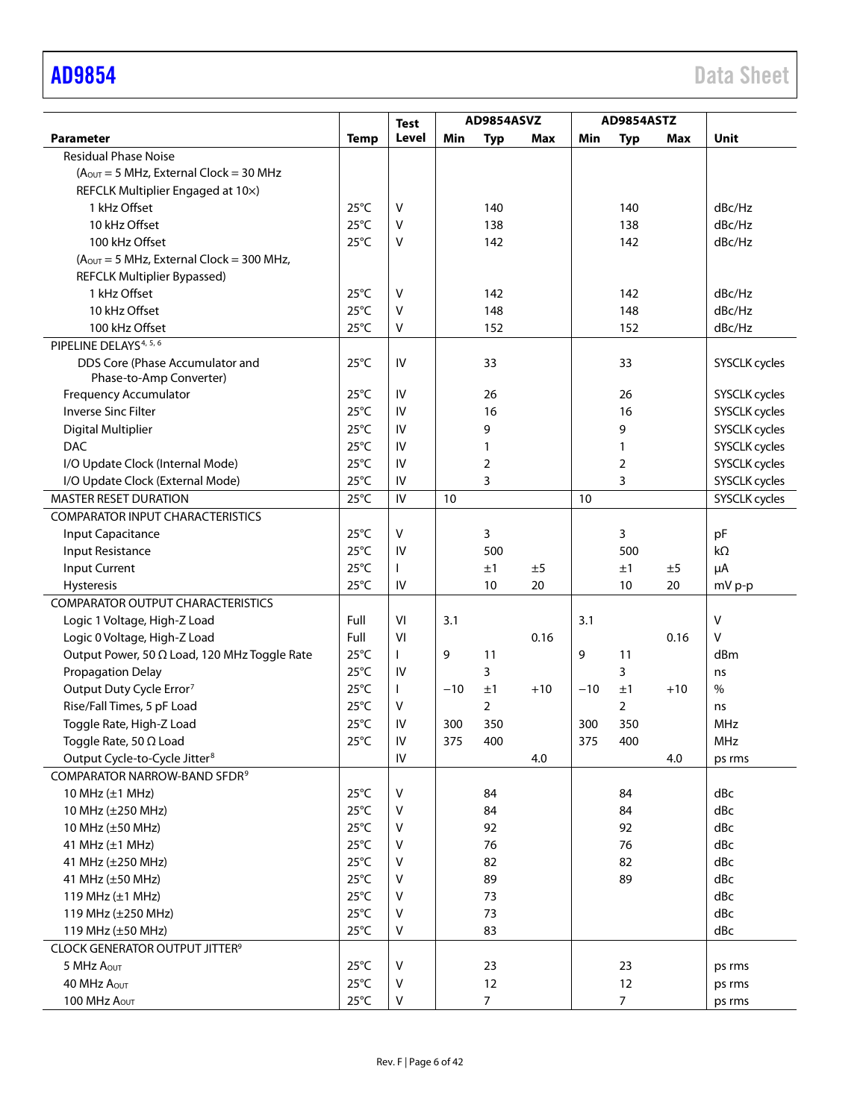|                                                            |                | <b>Test</b> | AD9854ASVZ |                |       | AD9854ASTZ |                |       |               |
|------------------------------------------------------------|----------------|-------------|------------|----------------|-------|------------|----------------|-------|---------------|
| <b>Parameter</b>                                           | <b>Temp</b>    | Level       | Min        | <b>Typ</b>     | Max   | Min        | <b>Typ</b>     | Max   | Unit          |
| <b>Residual Phase Noise</b>                                |                |             |            |                |       |            |                |       |               |
| $(AOUT = 5 MHz, External Clock = 30 MHz)$                  |                |             |            |                |       |            |                |       |               |
| REFCLK Multiplier Engaged at 10x)                          |                |             |            |                |       |            |                |       |               |
| 1 kHz Offset                                               | $25^{\circ}$ C | V           |            | 140            |       |            | 140            |       | dBc/Hz        |
| 10 kHz Offset                                              | $25^{\circ}$ C | V           |            | 138            |       |            | 138            |       | dBc/Hz        |
| 100 kHz Offset                                             | $25^{\circ}$ C | V           |            | 142            |       |            | 142            |       | dBc/Hz        |
| $(AOUT = 5 MHz, External Clock = 300 MHz,$                 |                |             |            |                |       |            |                |       |               |
| <b>REFCLK Multiplier Bypassed)</b>                         |                |             |            |                |       |            |                |       |               |
| 1 kHz Offset                                               | $25^{\circ}$ C | V           |            | 142            |       |            | 142            |       | dBc/Hz        |
| 10 kHz Offset                                              | $25^{\circ}$ C | V           |            | 148            |       |            | 148            |       | dBc/Hz        |
| 100 kHz Offset                                             | $25^{\circ}$ C | ٧           |            | 152            |       |            | 152            |       | dBc/Hz        |
| PIPELINE DELAYS <sup>4, 5, 6</sup>                         |                |             |            |                |       |            |                |       |               |
| DDS Core (Phase Accumulator and<br>Phase-to-Amp Converter) | $25^{\circ}$ C | IV          |            | 33             |       |            | 33             |       | SYSCLK cycles |
| <b>Frequency Accumulator</b>                               | $25^{\circ}$ C | IV          |            | 26             |       |            | 26             |       | SYSCLK cycles |
| <b>Inverse Sinc Filter</b>                                 | $25^{\circ}$ C | IV          |            | 16             |       |            | 16             |       | SYSCLK cycles |
| Digital Multiplier                                         | $25^{\circ}$ C | IV          |            | 9              |       |            | 9              |       | SYSCLK cycles |
| <b>DAC</b>                                                 | $25^{\circ}$ C | IV          |            | 1              |       |            | $\mathbf{1}$   |       | SYSCLK cycles |
| I/O Update Clock (Internal Mode)                           | $25^{\circ}$ C | IV          |            | $\overline{2}$ |       |            | $\overline{2}$ |       | SYSCLK cycles |
| I/O Update Clock (External Mode)                           | $25^{\circ}$ C | IV          |            | 3              |       |            | 3              |       | SYSCLK cycles |
| <b>MASTER RESET DURATION</b>                               | $25^{\circ}$ C | IV          | 10         |                |       | 10         |                |       | SYSCLK cycles |
| <b>COMPARATOR INPUT CHARACTERISTICS</b>                    |                |             |            |                |       |            |                |       |               |
| Input Capacitance                                          | $25^{\circ}$ C | v           |            | 3              |       |            | 3              |       | pF            |
| Input Resistance                                           | $25^{\circ}$ C | IV          |            | 500            |       |            | 500            |       | $k\Omega$     |
| Input Current                                              | $25^{\circ}$ C | L           |            | $\pm 1$        | ±5    |            | ±1             | ±5    | μA            |
| Hysteresis                                                 | $25^{\circ}$ C | IV          |            | 10             | 20    |            | 10             | 20    | mV p-p        |
| <b>COMPARATOR OUTPUT CHARACTERISTICS</b>                   |                |             |            |                |       |            |                |       |               |
| Logic 1 Voltage, High-Z Load                               | Full           | VI          | 3.1        |                |       | 3.1        |                |       | v             |
| Logic 0 Voltage, High-Z Load                               | Full           | VI          |            |                | 0.16  |            |                | 0.16  | $\vee$        |
| Output Power, 50 Ω Load, 120 MHz Toggle Rate               | $25^{\circ}$ C | L           | 9          | 11             |       | 9          | 11             |       | dBm           |
| Propagation Delay                                          | $25^{\circ}$ C | IV          |            | 3              |       |            | 3              |       | ns            |
| Output Duty Cycle Error7                                   | $25^{\circ}$ C | L           | $-10$      | ±1             | $+10$ | $-10$      | ±1             | $+10$ | $\%$          |
| Rise/Fall Times, 5 pF Load                                 | 25°C           | ٧           |            | 2              |       |            | $\overline{2}$ |       | ns            |
| Toggle Rate, High-Z Load                                   | 25°C           | IV          | 300        | 350            |       | 300        | 350            |       | MHz           |
| Toggle Rate, 50 $\Omega$ Load                              | 25°C           | ${\sf IV}$  | 375        | 400            |       | 375        | 400            |       | MHz           |
| Output Cycle-to-Cycle Jitter <sup>8</sup>                  |                | IV          |            |                | 4.0   |            |                | 4.0   | ps rms        |
| COMPARATOR NARROW-BAND SFDR <sup>9</sup>                   |                |             |            |                |       |            |                |       |               |
| 10 MHz $(\pm 1$ MHz)                                       | $25^{\circ}$ C | Λ           |            | 84             |       |            | 84             |       | dBc           |
| 10 MHz (±250 MHz)                                          | $25^{\circ}$ C | Λ           |            | 84             |       |            | 84             |       | dBc           |
| 10 MHz (±50 MHz)                                           | $25^{\circ}$ C | Λ           |            | 92             |       |            | 92             |       | dBc           |
| 41 MHz (±1 MHz)                                            | $25^{\circ}$ C | Λ           |            | 76             |       |            | 76             |       | dBc           |
| 41 MHz (±250 MHz)                                          | $25^{\circ}$ C | ٧           |            | 82             |       |            | 82             |       | dBc           |
| 41 MHz (±50 MHz)                                           | $25^{\circ}$ C | ٧           |            | 89             |       |            | 89             |       | dBc           |
| 119 MHz (±1 MHz)                                           | $25^{\circ}$ C | ٧           |            | 73             |       |            |                |       | dBc           |
| 119 MHz (±250 MHz)                                         | $25^{\circ}$ C | v           |            | 73             |       |            |                |       | dBc           |
| 119 MHz (±50 MHz)                                          | $25^{\circ}$ C | V           |            | 83             |       |            |                |       | dBc           |
| <b>CLOCK GENERATOR OUTPUT JITTER<sup>9</sup></b>           |                |             |            |                |       |            |                |       |               |
| 5 MHz AOUT                                                 | $25^{\circ}$ C | v           |            | 23             |       |            | 23             |       | ps rms        |
| 40 MHz A <sub>OUT</sub>                                    | $25^{\circ}$ C | ٧           |            | 12             |       |            | 12             |       | ps rms        |
| 100 MHz AOUT                                               | $25^{\circ}$ C | Λ           |            | $\overline{7}$ |       |            | $\overline{7}$ |       | ps rms        |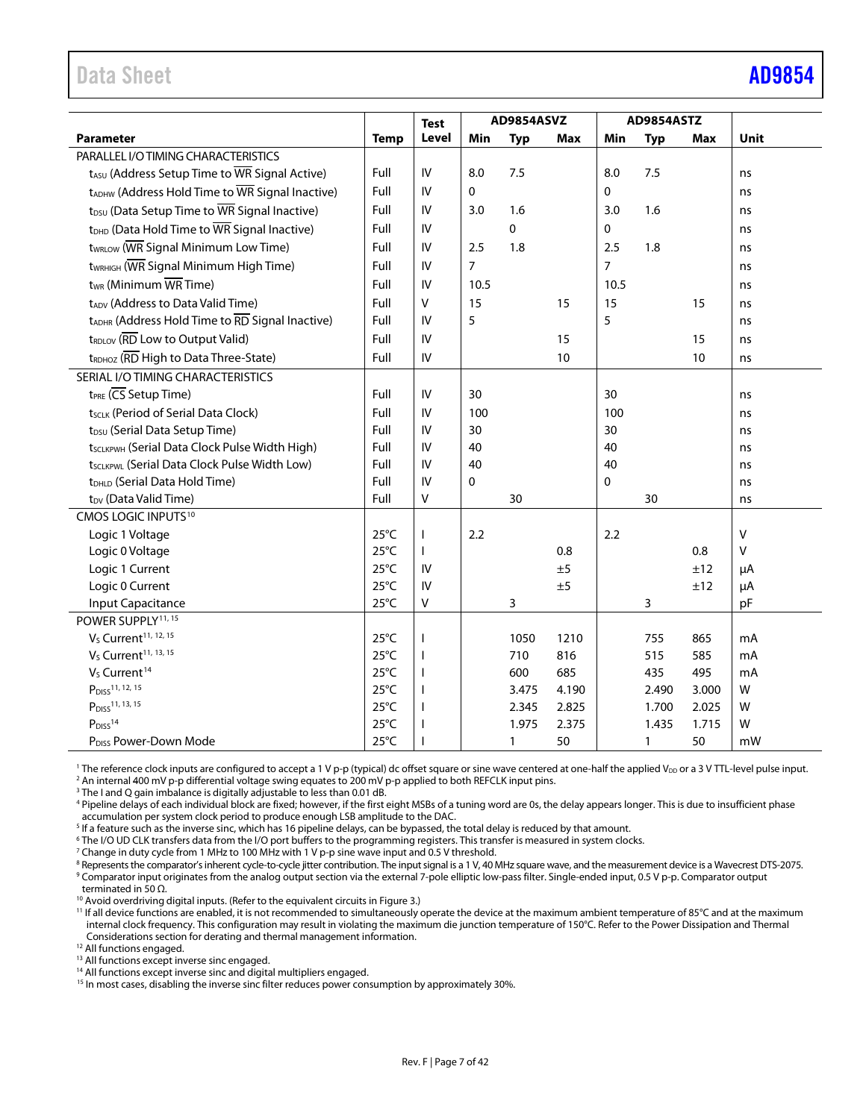# <span id="page-6-0"></span>Data Sheet **[AD9854](https://www.analog.com/AD9854?doc=AD9854.pdf)**

|                                                           |                | <b>Test</b>  | AD9854ASVZ     |            | AD9854ASTZ |                |            |       |              |
|-----------------------------------------------------------|----------------|--------------|----------------|------------|------------|----------------|------------|-------|--------------|
| <b>Parameter</b>                                          | <b>Temp</b>    | Level        | Min            | <b>Typ</b> | Max        | Min            | <b>Typ</b> | Max   | Unit         |
| PARALLEL I/O TIMING CHARACTERISTICS                       |                |              |                |            |            |                |            |       |              |
| t <sub>ASU</sub> (Address Setup Time to WR Signal Active) | Full           | IV           | 8.0            | 7.5        |            | 8.0            | 7.5        |       | ns           |
| tADHW (Address Hold Time to WR Signal Inactive)           | Full           | IV           | 0              |            |            | 0              |            |       | ns           |
| t <sub>DSU</sub> (Data Setup Time to WR Signal Inactive)  | Full           | IV           | 3.0            | 1.6        |            | 3.0            | 1.6        |       | ns           |
| t <sub>DHD</sub> (Data Hold Time to WR Signal Inactive)   | Full           | IV           |                | 0          |            | 0              |            |       | ns           |
| t <sub>WRLOW</sub> (WR Signal Minimum Low Time)           | Full           | IV           | 2.5            | 1.8        |            | 2.5            | 1.8        |       | ns           |
| t <sub>WRHIGH</sub> (WR Signal Minimum High Time)         | Full           | IV           | $\overline{7}$ |            |            | $\overline{7}$ |            |       | ns           |
| $t_{WR}$ (Minimum $\overline{WR}$ Time)                   | Full           | IV           | 10.5           |            |            | 10.5           |            |       | ns           |
| tADV (Address to Data Valid Time)                         | Full           | $\mathsf{V}$ | 15             |            | 15         | 15             |            | 15    | ns           |
| tADHR (Address Hold Time to RD Signal Inactive)           | Full           | IV           | 5              |            |            | 5              |            |       | ns           |
| t <sub>RDLOV</sub> (RD Low to Output Valid)               | Full           | IV           |                |            | 15         |                |            | 15    | ns           |
| tRDHOZ (RD High to Data Three-State)                      | Full           | IV           |                |            | 10         |                |            | 10    | ns           |
| SERIAL I/O TIMING CHARACTERISTICS                         |                |              |                |            |            |                |            |       |              |
| $t_{PRE}$ ( $\overline{CS}$ Setup Time)                   | Full           | IV           | 30             |            |            | 30             |            |       | ns           |
| tscLK (Period of Serial Data Clock)                       | Full           | IV           | 100            |            |            | 100            |            |       | ns           |
| t <sub>DSU</sub> (Serial Data Setup Time)                 | Full           | IV           | 30             |            |            | 30             |            |       | ns           |
| t <sub>SCLKPWH</sub> (Serial Data Clock Pulse Width High) | Full           | IV           | 40             |            |            | 40             |            |       | ns           |
| t <sub>SCLKPWL</sub> (Serial Data Clock Pulse Width Low)  | Full           | IV           | 40             |            |            | 40             |            |       | ns           |
| tDHLD (Serial Data Hold Time)                             | Full           | IV           | 0              |            |            | 0              |            |       | ns           |
| t <sub>DV</sub> (Data Valid Time)                         | Full           | $\mathsf{V}$ |                | 30         |            |                | 30         |       | ns           |
| CMOS LOGIC INPUTS <sup>10</sup>                           |                |              |                |            |            |                |            |       |              |
| Logic 1 Voltage                                           | $25^{\circ}$ C | L            | 2.2            |            |            | 2.2            |            |       | v            |
| Logic 0 Voltage                                           | $25^{\circ}$ C | L            |                |            | 0.8        |                |            | 0.8   | $\mathsf{V}$ |
| Logic 1 Current                                           | $25^{\circ}$ C | IV           |                |            | ±5         |                |            | ±12   | μA           |
| Logic 0 Current                                           | $25^{\circ}$ C | IV           |                |            | ±5         |                |            | ±12   | μA           |
| <b>Input Capacitance</b>                                  | $25^{\circ}$ C | v            |                | 3          |            |                | 3          |       | pF           |
| POWER SUPPLY <sup>11, 15</sup>                            |                |              |                |            |            |                |            |       |              |
| V <sub>s</sub> Current <sup>11, 12, 15</sup>              | $25^{\circ}$ C | L            |                | 1050       | 1210       |                | 755        | 865   | mA           |
| V <sub>s</sub> Current <sup>11, 13, 15</sup>              | $25^{\circ}$ C | L            |                | 710        | 816        |                | 515        | 585   | mA           |
| V <sub>s</sub> Current <sup>14</sup>                      | $25^{\circ}$ C | L            |                | 600        | 685        |                | 435        | 495   | mA           |
| $P_{DISS}^{11, 12, 15}$                                   | $25^{\circ}$ C | L            |                | 3.475      | 4.190      |                | 2.490      | 3.000 | W            |
| P <sub>DISS</sub> 11, 13, 15                              | $25^{\circ}$ C | L            |                | 2.345      | 2.825      |                | 1.700      | 2.025 | W            |
| $P_{DISS}$ <sup>14</sup>                                  | 25°C           |              |                | 1.975      | 2.375      |                | 1.435      | 1.715 | W            |
| P <sub>DISS</sub> Power-Down Mode                         | $25^{\circ}$ C |              |                | 1          | 50         |                | 1          | 50    | mW           |

<sup>1</sup> The reference clock inputs are configured to accept a 1 V p-p (typical) dc offset square or sine wave centered at one-half the applied V<sub>DD</sub> or a 3 V TTL-level pulse input.

<sup>2</sup> An internal 400 mV p-p differential voltage swing equates to 200 mV p-p applied to both REFCLK input pins.

<sup>3</sup> The I and Q gain imbalance is digitally adjustable to less than 0.01 dB.

<sup>4</sup> Pipeline delays of each individual block are fixed; however, if the first eight MSBs of a tuning word are 0s, the delay appears longer. This is due to insufficient phase accumulation per system clock period to produce enough LSB amplitude to the DAC.

<sup>5</sup> If a feature such as the inverse sinc, which has 16 pipeline delays, can be bypassed, the total delay is reduced by that amount.

<sup>6</sup> The I/O UD CLK transfers data from the I/O port buffers to the programming registers. This transfer is measured in system clocks.

<sup>7</sup> Change in duty cycle from 1 MHz to 100 MHz with 1 V p-p sine wave input and 0.5 V threshold.

<sup>8</sup> Represents the comparator's inherent cycle-to-cycle jitter contribution. The input signal is a 1 V, 40 MHz square wave, and the measurement device is a Wavecrest DTS-2075. <sup>9</sup> Comparator input originates from the analog output section via the external 7-pole elliptic low-pass filter. Single-ended input, 0.5 V p-p. Comparator output terminated in 50  $Ω$ .

<sup>10</sup> Avoid overdriving digital inputs. (Refer to the equivalent circuits i[n Figure 3.\)](#page-10-0)

<sup>11</sup> If all device functions are enabled, it is not recommended to simultaneously operate the device at the maximum ambient temperature of 85°C and at the maximum internal clock frequency. This configuration may result in violating the maximum die junction temperature of 150°C. Refer to th[e Power Dissipation and Thermal](#page-39-0)  [Considerations](#page-39-0) section for derating and thermal management information.

<sup>12</sup> All functions engaged.

<sup>13</sup> All functions except inverse sinc engaged.

<sup>14</sup> All functions except inverse sinc and digital multipliers engaged.

<sup>15</sup> In most cases, disabling the inverse sinc filter reduces power consumption by approximately 30%.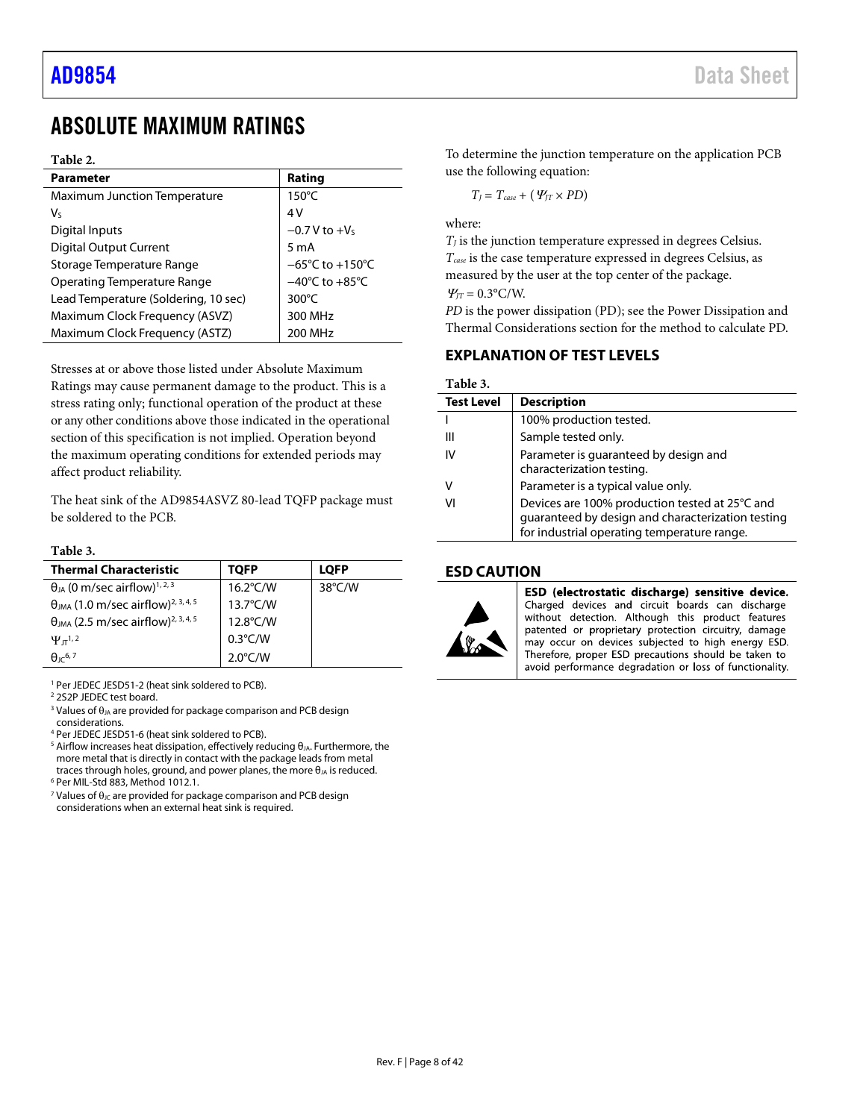# [AD9854](https://www.analog.com/AD9854?doc=AD9854.pdf) Data Sheet

# <span id="page-7-0"></span>ABSOLUTE MAXIMUM RATINGS

#### **Table 2.**

| <b>Parameter</b>                     | Rating                               |
|--------------------------------------|--------------------------------------|
| <b>Maximum Junction Temperature</b>  | $150^{\circ}$ C                      |
| V٢                                   | 4V                                   |
| Digital Inputs                       | $-0.7$ V to $+VS$                    |
| <b>Digital Output Current</b>        | 5 m A                                |
| Storage Temperature Range            | $-65^{\circ}$ C to +150 $^{\circ}$ C |
| <b>Operating Temperature Range</b>   | $-40^{\circ}$ C to $+85^{\circ}$ C   |
| Lead Temperature (Soldering, 10 sec) | $300^{\circ}$ C                      |
| Maximum Clock Frequency (ASVZ)       | 300 MHz                              |
| Maximum Clock Frequency (ASTZ)       | 200 MHz                              |

Stresses at or above those listed under Absolute Maximum Ratings may cause permanent damage to the product. This is a stress rating only; functional operation of the product at these or any other conditions above those indicated in the operational section of this specification is not implied. Operation beyond the maximum operating conditions for extended periods may affect product reliability.

The heat sink of the AD9854ASVZ 80-lead TQFP package must be soldered to the PCB.

#### **Table 3.**

| <b>Thermal Characteristic</b>                            | TOFP               | <b>LOFP</b>      |
|----------------------------------------------------------|--------------------|------------------|
| $\theta_{JA}$ (0 m/sec airflow) <sup>1, 2, 3</sup>       | 16.2°C/W           | $38^{\circ}$ C/W |
| $\theta_{JMA}$ (1.0 m/sec airflow) <sup>2, 3, 4, 5</sup> | $13.7^{\circ}$ C/W |                  |
| $\theta$ JMA (2.5 m/sec airflow) <sup>2, 3, 4, 5</sup>   | 12.8°C/W           |                  |
| $\Psi_{\pi}^{1,2}$                                       | $0.3^{\circ}$ C/W  |                  |
| $\theta$ <sub>IC</sub> <sup>6,7</sup>                    | $2.0^{\circ}$ C/W  |                  |

<sup>1</sup> Per JEDEC JESD51-2 (heat sink soldered to PCB).

<sup>2</sup> 2S2P JEDEC test board.

<sup>3</sup> Values of  $\theta_{JA}$  are provided for package comparison and PCB design considerations.

<sup>4</sup> Per JEDEC JESD51-6 (heat sink soldered to PCB).

<sup>5</sup> Airflow increases heat dissipation, effectively reducing  $θ_{JA}$ . Furthermore, the more metal that is directly in contact with the package leads from metal traces through holes, ground, and power planes, the more  $\theta_{JA}$  is reduced. <sup>6</sup> Per MIL-Std 883, Method 1012.1.

<sup>7</sup> Values of  $\theta_{\text{JC}}$  are provided for package comparison and PCB design considerations when an external heat sink is required.

To determine the junction temperature on the application PCB use the following equation:

$$
T_J = T_{case} + (Psi_{JT} \times PD)
$$

where:

*T<sub>J</sub>* is the junction temperature expressed in degrees Celsius. *Tcase* is the case temperature expressed in degrees Celsius, as measured by the user at the top center of the package.  $\Psi_{IT} = 0.3$ °C/W.

*PD* is the power dissipation (PD); see the [Power Dissipation and](#page-39-0)  [Thermal Considerations](#page-39-0) section for the method to calculate PD.

### <span id="page-7-1"></span>**EXPLANATION OF TEST LEVELS**

#### **Table 3.**

| <b>Test Level</b> | <b>Description</b>                                                                                                                                 |
|-------------------|----------------------------------------------------------------------------------------------------------------------------------------------------|
|                   | 100% production tested.                                                                                                                            |
| Ш                 | Sample tested only.                                                                                                                                |
| IV                | Parameter is guaranteed by design and<br>characterization testing.                                                                                 |
| V                 | Parameter is a typical value only.                                                                                                                 |
| vı                | Devices are 100% production tested at 25°C and<br>guaranteed by design and characterization testing<br>for industrial operating temperature range. |

### <span id="page-7-2"></span>**ESD CAUTION**



ESD (electrostatic discharge) sensitive device. Charged devices and circuit boards can discharge<br>without detection. Although this product features patented or proprietary protection circuitry, damage may occur on devices subjected to high energy ESD. Therefore, proper ESD precautions should be taken to avoid performance degradation or loss of functionality.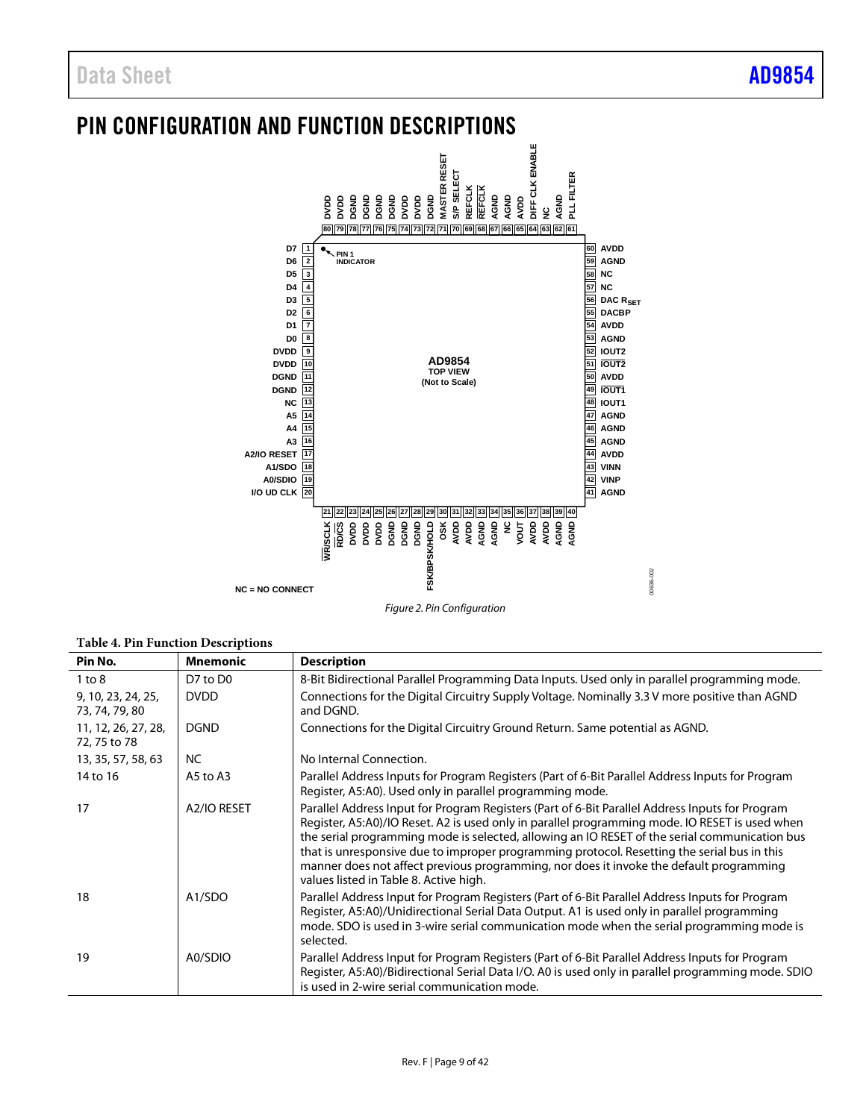00636-002

# <span id="page-8-0"></span>PIN CONFIGURATION AND FUNCTION DESCRIPTIONS



#### **Table 4. Pin Function Descriptions**

| Pin No.                              | <b>Mnemonic</b>                 | <b>Description</b>                                                                                                                                                                                                                                                                                                                                                                                                                                                                                                                     |
|--------------------------------------|---------------------------------|----------------------------------------------------------------------------------------------------------------------------------------------------------------------------------------------------------------------------------------------------------------------------------------------------------------------------------------------------------------------------------------------------------------------------------------------------------------------------------------------------------------------------------------|
| 1 to 8                               | D7 to D0                        | 8-Bit Bidirectional Parallel Programming Data Inputs. Used only in parallel programming mode.                                                                                                                                                                                                                                                                                                                                                                                                                                          |
| 9, 10, 23, 24, 25,<br>73, 74, 79, 80 | <b>DVDD</b>                     | Connections for the Digital Circuitry Supply Voltage. Nominally 3.3 V more positive than AGND<br>and DGND.                                                                                                                                                                                                                                                                                                                                                                                                                             |
| 11, 12, 26, 27, 28,<br>72, 75 to 78  | <b>DGND</b>                     | Connections for the Digital Circuitry Ground Return. Same potential as AGND.                                                                                                                                                                                                                                                                                                                                                                                                                                                           |
| 13, 35, 57, 58, 63                   | <b>NC</b>                       | No Internal Connection.                                                                                                                                                                                                                                                                                                                                                                                                                                                                                                                |
| 14 to 16                             | A5 to A3                        | Parallel Address Inputs for Program Registers (Part of 6-Bit Parallel Address Inputs for Program<br>Register, A5:A0). Used only in parallel programming mode.                                                                                                                                                                                                                                                                                                                                                                          |
| 17                                   | A2/IO RESET                     | Parallel Address Input for Program Registers (Part of 6-Bit Parallel Address Inputs for Program<br>Register, A5:A0)/IO Reset. A2 is used only in parallel programming mode. IO RESET is used when<br>the serial programming mode is selected, allowing an IO RESET of the serial communication bus<br>that is unresponsive due to improper programming protocol. Resetting the serial bus in this<br>manner does not affect previous programming, nor does it invoke the default programming<br>values listed in Table 8. Active high. |
| 18                                   | A <sub>1</sub> /S <sub>DO</sub> | Parallel Address Input for Program Registers (Part of 6-Bit Parallel Address Inputs for Program<br>Register, A5:A0)/Unidirectional Serial Data Output. A1 is used only in parallel programming<br>mode. SDO is used in 3-wire serial communication mode when the serial programming mode is<br>selected.                                                                                                                                                                                                                               |
| 19                                   | A0/SDIO                         | Parallel Address Input for Program Registers (Part of 6-Bit Parallel Address Inputs for Program<br>Register, A5:A0)/Bidirectional Serial Data I/O. A0 is used only in parallel programming mode. SDIO<br>is used in 2-wire serial communication mode.                                                                                                                                                                                                                                                                                  |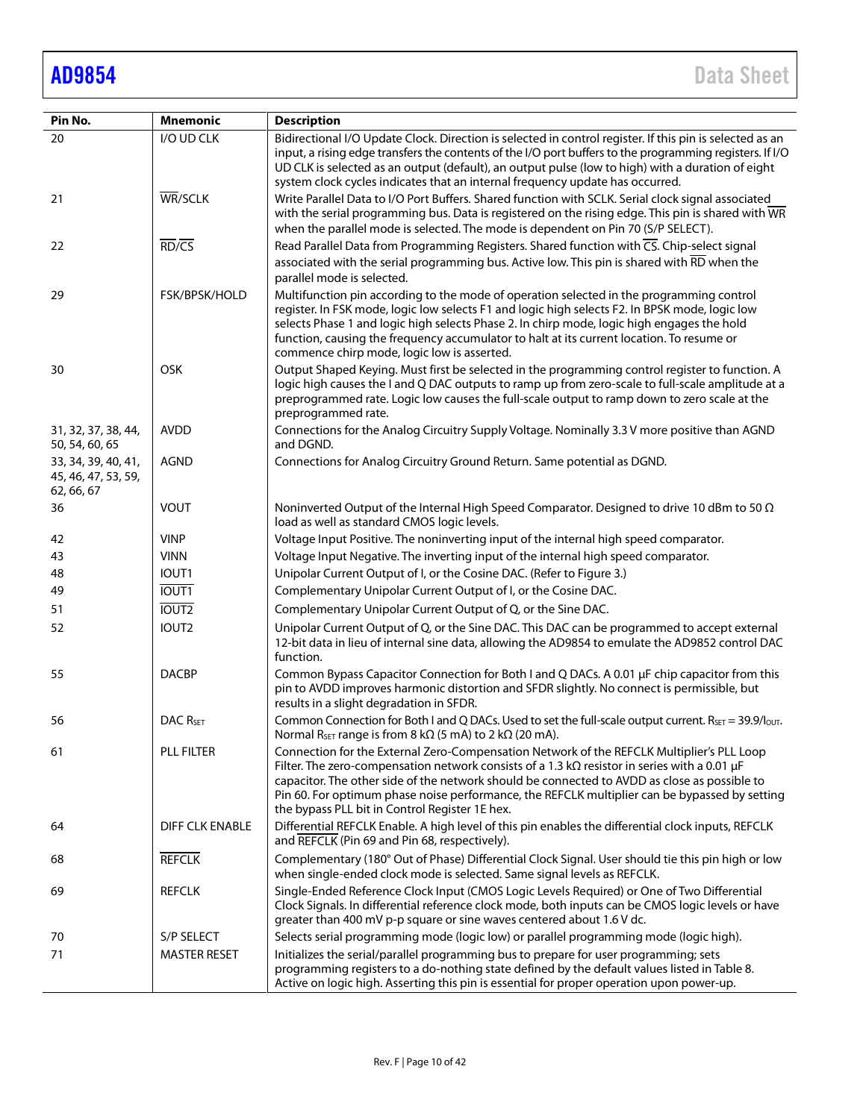| Pin No.                                                  | <b>Mnemonic</b>        | <b>Description</b>                                                                                                                                                                                                                                                                                                                                                                                                                                   |
|----------------------------------------------------------|------------------------|------------------------------------------------------------------------------------------------------------------------------------------------------------------------------------------------------------------------------------------------------------------------------------------------------------------------------------------------------------------------------------------------------------------------------------------------------|
| 20                                                       | I/O UD CLK             | Bidirectional I/O Update Clock. Direction is selected in control register. If this pin is selected as an<br>input, a rising edge transfers the contents of the I/O port buffers to the programming registers. If I/O<br>UD CLK is selected as an output (default), an output pulse (low to high) with a duration of eight<br>system clock cycles indicates that an internal frequency update has occurred.                                           |
| 21                                                       | WR/SCLK                | Write Parallel Data to I/O Port Buffers. Shared function with SCLK. Serial clock signal associated<br>with the serial programming bus. Data is registered on the rising edge. This pin is shared with WR<br>when the parallel mode is selected. The mode is dependent on Pin 70 (S/P SELECT).                                                                                                                                                        |
| 22                                                       | RD/CS                  | Read Parallel Data from Programming Registers. Shared function with CS. Chip-select signal<br>associated with the serial programming bus. Active low. This pin is shared with RD when the<br>parallel mode is selected.                                                                                                                                                                                                                              |
| 29                                                       | FSK/BPSK/HOLD          | Multifunction pin according to the mode of operation selected in the programming control<br>register. In FSK mode, logic low selects F1 and logic high selects F2. In BPSK mode, logic low<br>selects Phase 1 and logic high selects Phase 2. In chirp mode, logic high engages the hold<br>function, causing the frequency accumulator to halt at its current location. To resume or<br>commence chirp mode, logic low is asserted.                 |
| 30                                                       | <b>OSK</b>             | Output Shaped Keying. Must first be selected in the programming control register to function. A<br>logic high causes the I and Q DAC outputs to ramp up from zero-scale to full-scale amplitude at a<br>preprogrammed rate. Logic low causes the full-scale output to ramp down to zero scale at the<br>preprogrammed rate.                                                                                                                          |
| 31, 32, 37, 38, 44,<br>50, 54, 60, 65                    | <b>AVDD</b>            | Connections for the Analog Circuitry Supply Voltage. Nominally 3.3 V more positive than AGND<br>and DGND.                                                                                                                                                                                                                                                                                                                                            |
| 33, 34, 39, 40, 41,<br>45, 46, 47, 53, 59,<br>62, 66, 67 | <b>AGND</b>            | Connections for Analog Circuitry Ground Return. Same potential as DGND.                                                                                                                                                                                                                                                                                                                                                                              |
| 36                                                       | <b>VOUT</b>            | Noninverted Output of the Internal High Speed Comparator. Designed to drive 10 dBm to 50 $\Omega$<br>load as well as standard CMOS logic levels.                                                                                                                                                                                                                                                                                                     |
| 42                                                       | <b>VINP</b>            | Voltage Input Positive. The noninverting input of the internal high speed comparator.                                                                                                                                                                                                                                                                                                                                                                |
| 43                                                       | <b>VINN</b>            | Voltage Input Negative. The inverting input of the internal high speed comparator.                                                                                                                                                                                                                                                                                                                                                                   |
| 48                                                       | IOUT1                  | Unipolar Current Output of I, or the Cosine DAC. (Refer to Figure 3.)                                                                                                                                                                                                                                                                                                                                                                                |
| 49                                                       | <b>IOUT1</b>           | Complementary Unipolar Current Output of I, or the Cosine DAC.                                                                                                                                                                                                                                                                                                                                                                                       |
| 51                                                       | <b>IOUT2</b>           | Complementary Unipolar Current Output of Q, or the Sine DAC.                                                                                                                                                                                                                                                                                                                                                                                         |
| 52                                                       | IOUT2                  | Unipolar Current Output of Q, or the Sine DAC. This DAC can be programmed to accept external<br>12-bit data in lieu of internal sine data, allowing the AD9854 to emulate the AD9852 control DAC<br>function.                                                                                                                                                                                                                                        |
| 55                                                       | <b>DACBP</b>           | Common Bypass Capacitor Connection for Both I and Q DACs. A 0.01 µF chip capacitor from this<br>pin to AVDD improves harmonic distortion and SFDR slightly. No connect is permissible, but<br>results in a slight degradation in SFDR.                                                                                                                                                                                                               |
| 56                                                       | DAC R <sub>SET</sub>   | Common Connection for Both I and Q DACs. Used to set the full-scale output current. RSET = 39.9/lout.<br>Normal R <sub>SET</sub> range is from 8 k $\Omega$ (5 mA) to 2 k $\Omega$ (20 mA).                                                                                                                                                                                                                                                          |
| 61                                                       | <b>PLL FILTER</b>      | Connection for the External Zero-Compensation Network of the REFCLK Multiplier's PLL Loop<br>Filter. The zero-compensation network consists of a 1.3 k $\Omega$ resistor in series with a 0.01 µF<br>capacitor. The other side of the network should be connected to AVDD as close as possible to<br>Pin 60. For optimum phase noise performance, the REFCLK multiplier can be bypassed by setting<br>the bypass PLL bit in Control Register 1E hex. |
| 64                                                       | <b>DIFF CLK ENABLE</b> | Differential REFCLK Enable. A high level of this pin enables the differential clock inputs, REFCLK<br>and REFCLK (Pin 69 and Pin 68, respectively).                                                                                                                                                                                                                                                                                                  |
| 68                                                       | <b>REFCLK</b>          | Complementary (180° Out of Phase) Differential Clock Signal. User should tie this pin high or low<br>when single-ended clock mode is selected. Same signal levels as REFCLK.                                                                                                                                                                                                                                                                         |
| 69                                                       | <b>REFCLK</b>          | Single-Ended Reference Clock Input (CMOS Logic Levels Required) or One of Two Differential<br>Clock Signals. In differential reference clock mode, both inputs can be CMOS logic levels or have<br>greater than 400 mV p-p square or sine waves centered about 1.6 V dc.                                                                                                                                                                             |
| 70                                                       | S/P SELECT             | Selects serial programming mode (logic low) or parallel programming mode (logic high).                                                                                                                                                                                                                                                                                                                                                               |
| 71                                                       | <b>MASTER RESET</b>    | Initializes the serial/parallel programming bus to prepare for user programming; sets<br>programming registers to a do-nothing state defined by the default values listed in Table 8.                                                                                                                                                                                                                                                                |
|                                                          |                        | Active on logic high. Asserting this pin is essential for proper operation upon power-up.                                                                                                                                                                                                                                                                                                                                                            |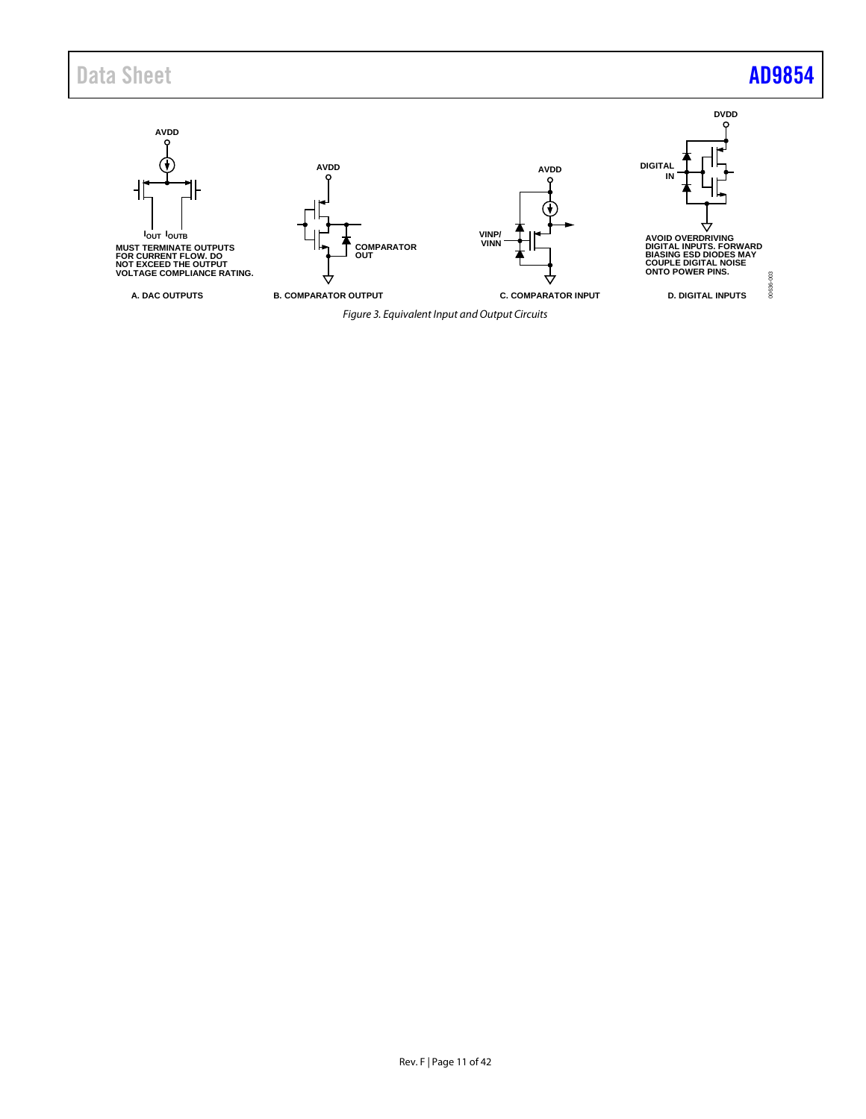# Data Sheet **[AD9854](https://www.analog.com/AD9854?doc=AD9854.pdf)**

<span id="page-10-0"></span>

*Figure 3. Equivalent Input and Output Circuits*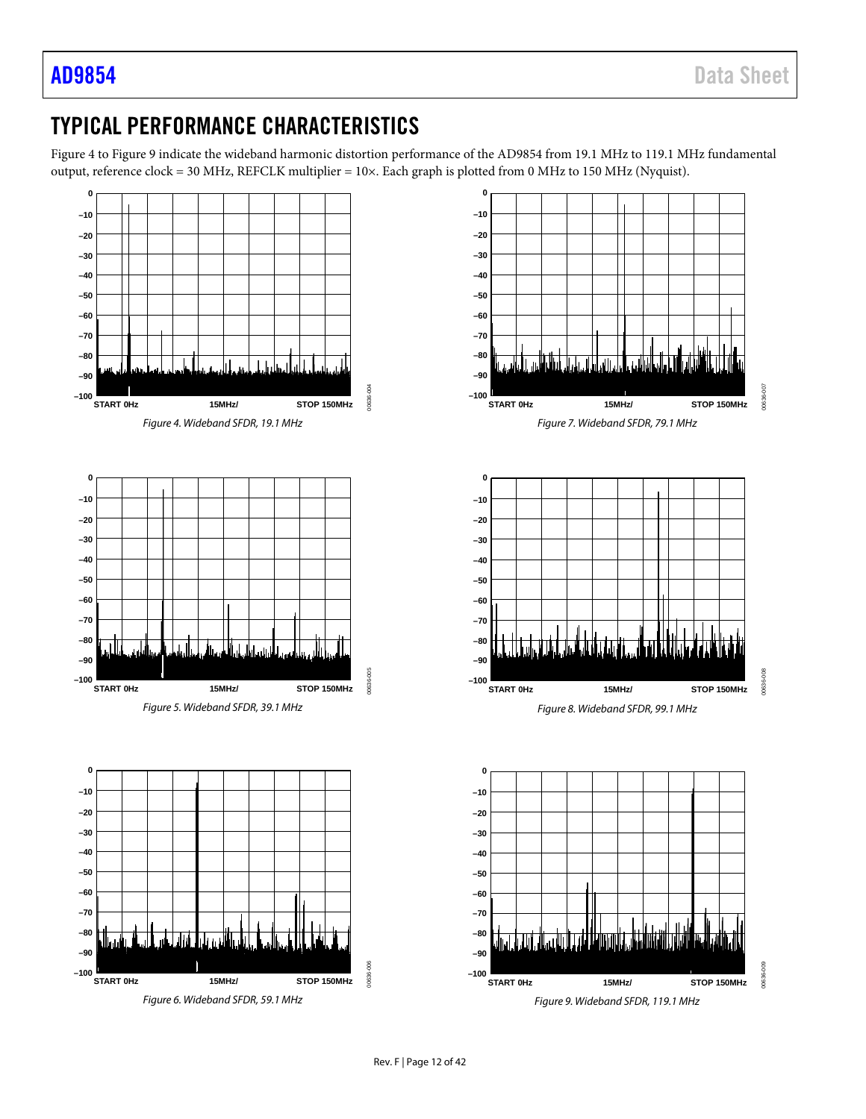# <span id="page-11-0"></span>TYPICAL PERFORMANCE CHARACTERISTICS

[Figure 4](#page-11-1) to [Figure 9](#page-11-2) indicate the wideband harmonic distortion performance of the AD9854 from 19.1 MHz to 119.1 MHz fundamental output, reference clock = 30 MHz, REFCLK multiplier = 10×. Each graph is plotted from 0 MHz to 150 MHz (Nyquist).

<span id="page-11-2"></span><span id="page-11-1"></span>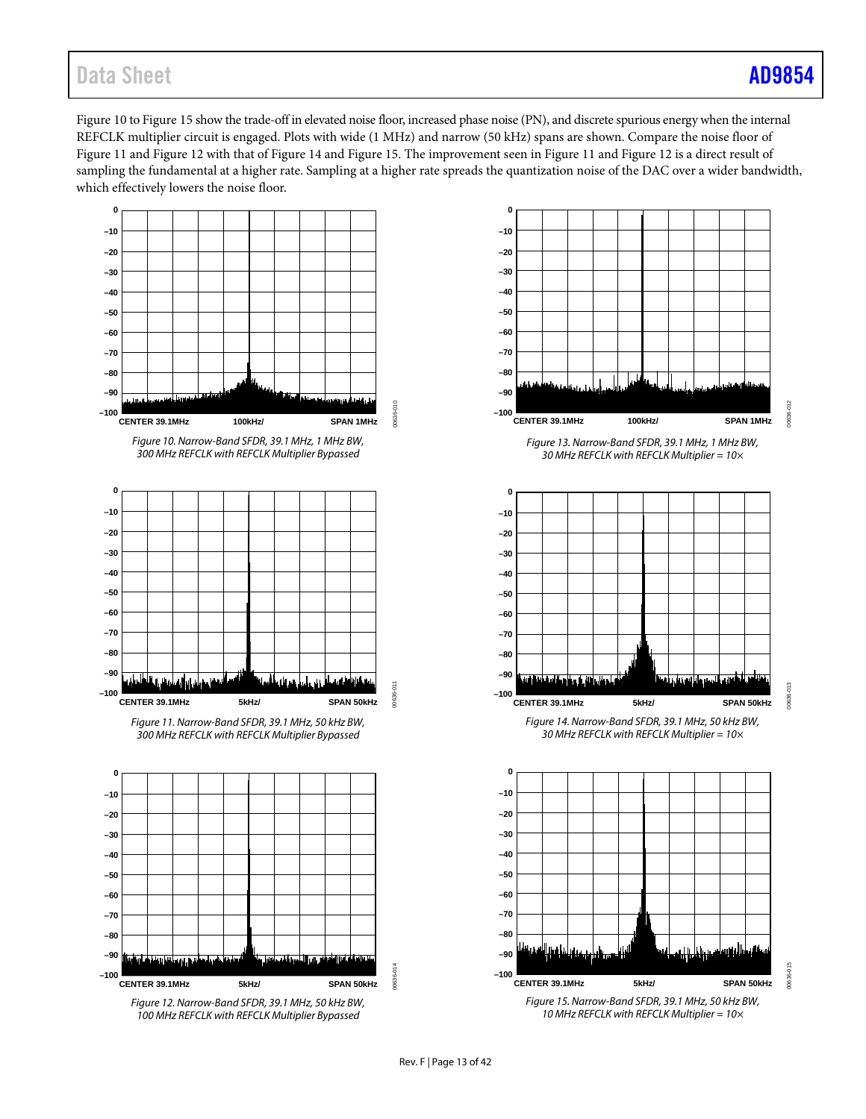# Data Sheet **[AD9854](https://www.analog.com/AD9854?doc=AD9854.pdf)**

00636-012

00636-012

00636-013

<span id="page-12-4"></span>0636-013

00636-015

<span id="page-12-3"></span><span id="page-12-1"></span>0636-015

[Figure 10](#page-12-0) t[o Figure 15](#page-12-1) show the trade-off in elevated noise floor, increased phase noise (PN), and discrete spurious energy when the internal REFCLK multiplier circuit is engaged. Plots with wide (1 MHz) and narrow (50 kHz) spans are shown. Compare the noise floor of [Figure 11](#page-12-2) an[d Figure 12](#page-12-3) with that of [Figure 14](#page-12-4) and [Figure 15.](#page-12-1) The improvement seen i[n Figure 11](#page-12-2) an[d Figure 12](#page-12-3) is a direct result of sampling the fundamental at a higher rate. Sampling at a higher rate spreads the quantization noise of the DAC over a wider bandwidth, which effectively lowers the noise floor.

<span id="page-12-2"></span><span id="page-12-0"></span>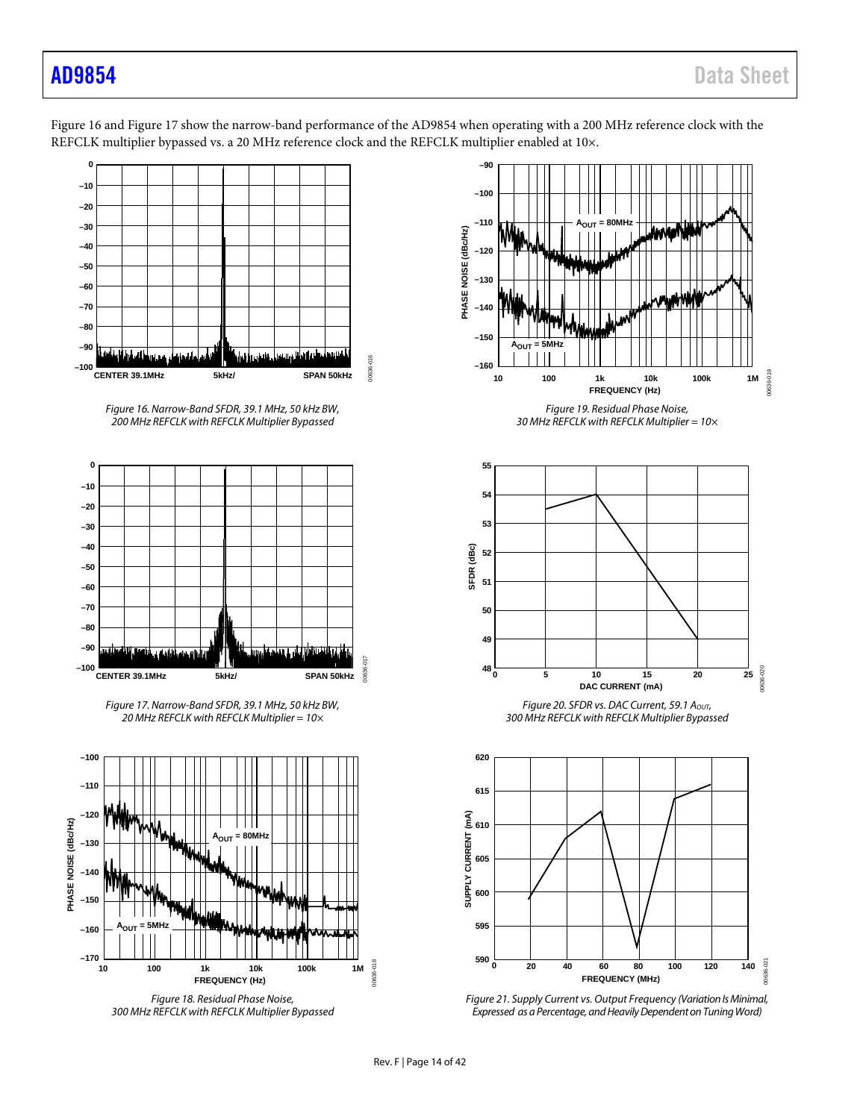[Figure 16](#page-13-0) an[d Figure 17](#page-13-1) show the narrow-band performance of the AD9854 when operating with a 200 MHz reference clock with the REFCLK multiplier bypassed vs. a 20 MHz reference clock and the REFCLK multiplier enabled at 10×.



<span id="page-13-0"></span>



*Figure 17. Narrow-Band SFDR, 39.1 MHz, 50 kHz BW, 20 MHz REFCLK with REFCLK Multiplier = 10×*

<span id="page-13-1"></span>





*Figure 19. Residual Phase Noise, 30 MHz REFCLK with REFCLK Multiplier = 10×*



*Figure 20. SFDR vs. DAC Current, 59.1 AOUT, 300 MHz REFCLK with REFCLK Multiplier Bypassed*





00636-018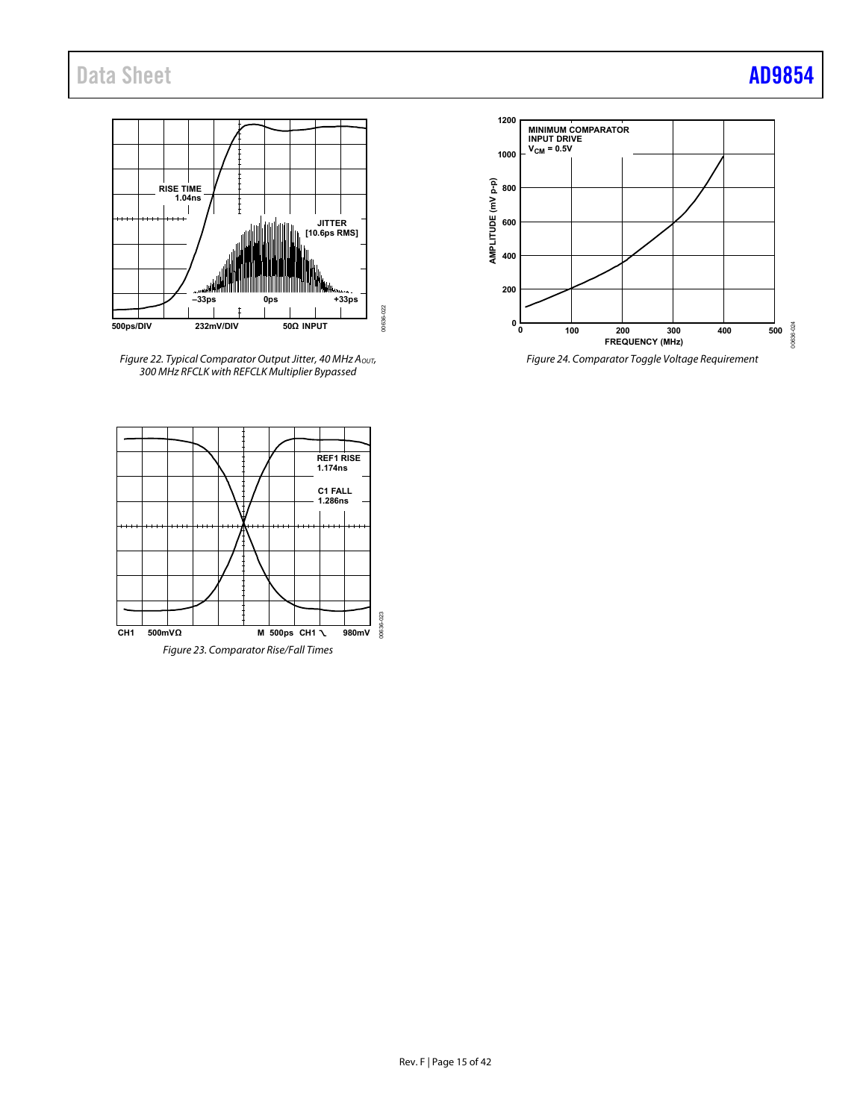

Figure 22. Typical Comparator Output Jitter, 40 MHz Aout, 300 MHz RFCLK with REFCLK Multiplier Bypassed



Figure 24. Comparator Toggle Voltage Requirement

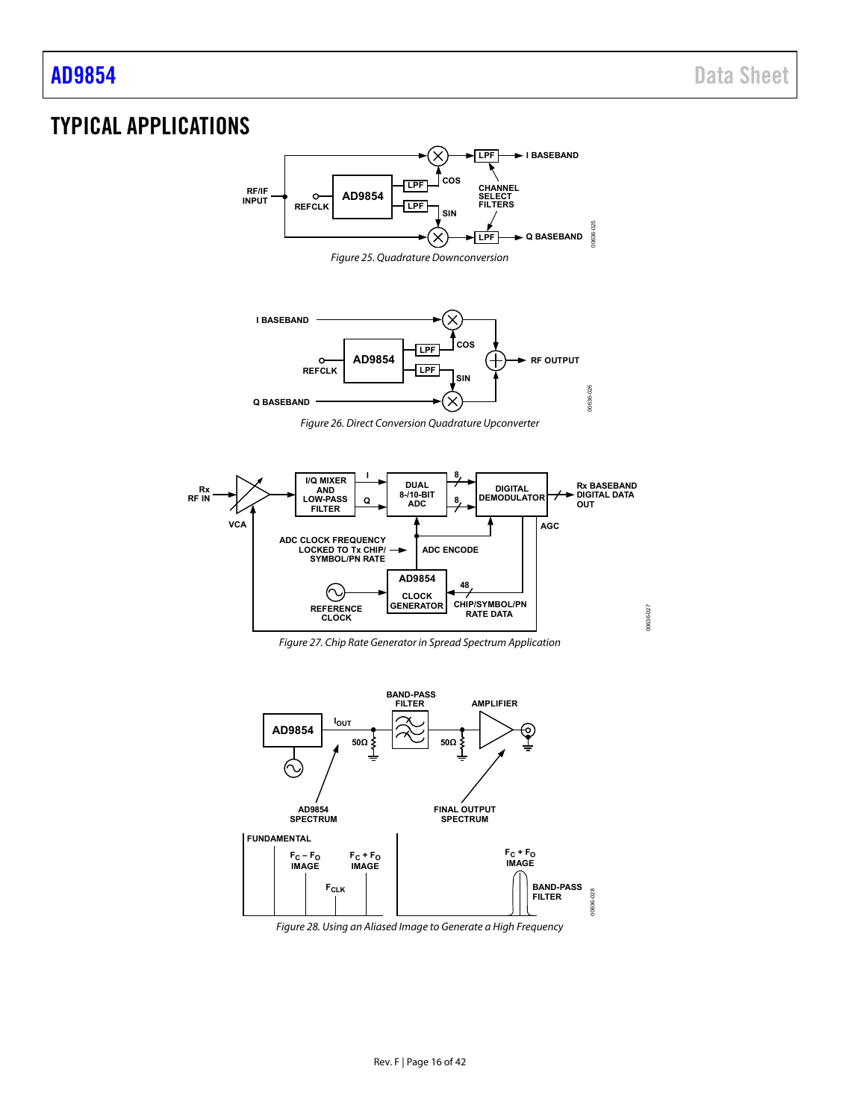# <span id="page-15-0"></span>TYPICAL APPLICATIONS



Figure 25. Quadrature Downconversion











Figure 28. Using an Aliased Image to Generate a High Frequency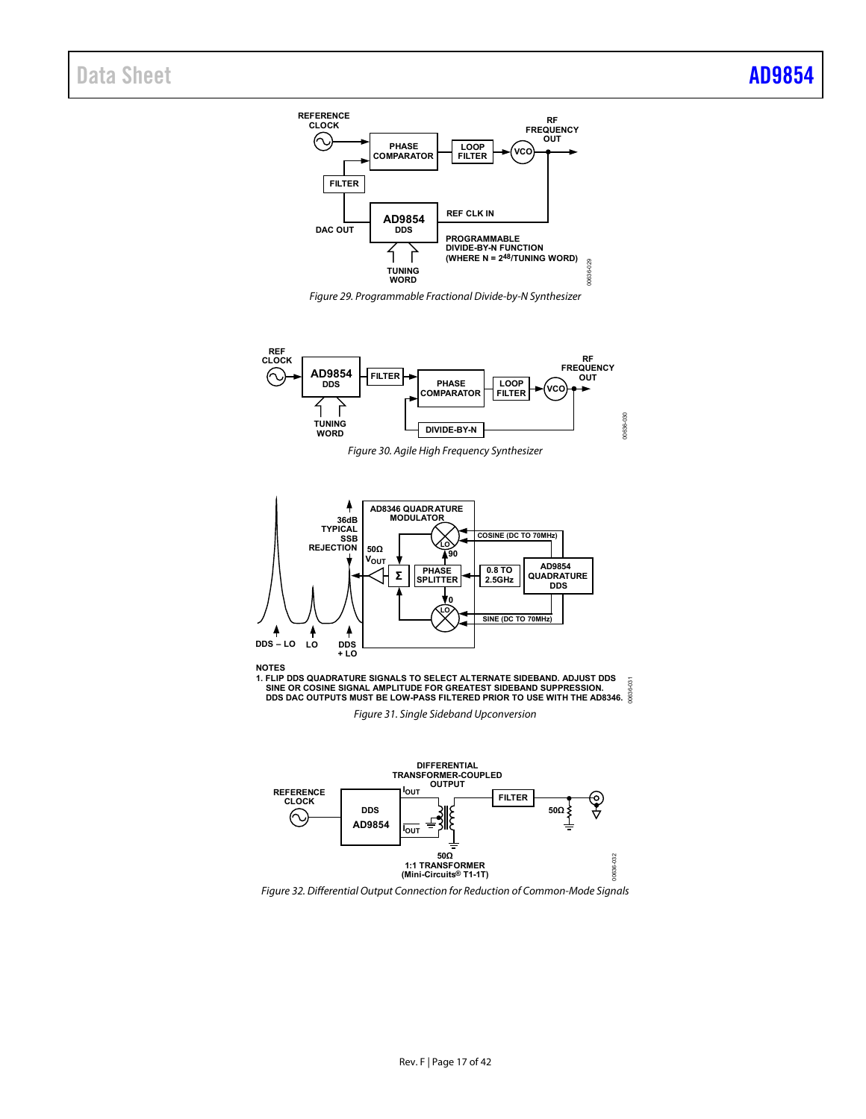

Figure 29. Programmable Fractional Divide-by-N Synthesizer



Figure 30. Agile High Frequency Synthesizer



Figure 31. Single Sideband Upconversion

00636-031

 $31$ 



Figure 32. Differential Output Connection for Reduction of Common-Mode Signals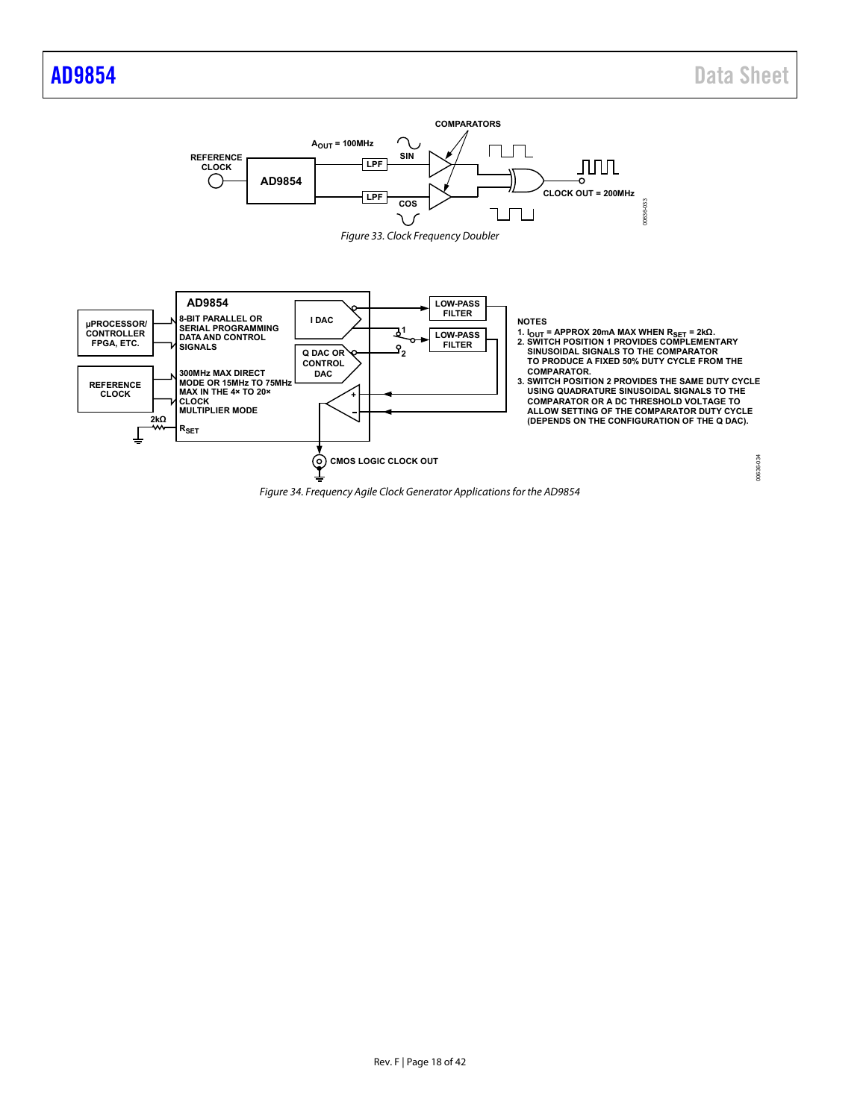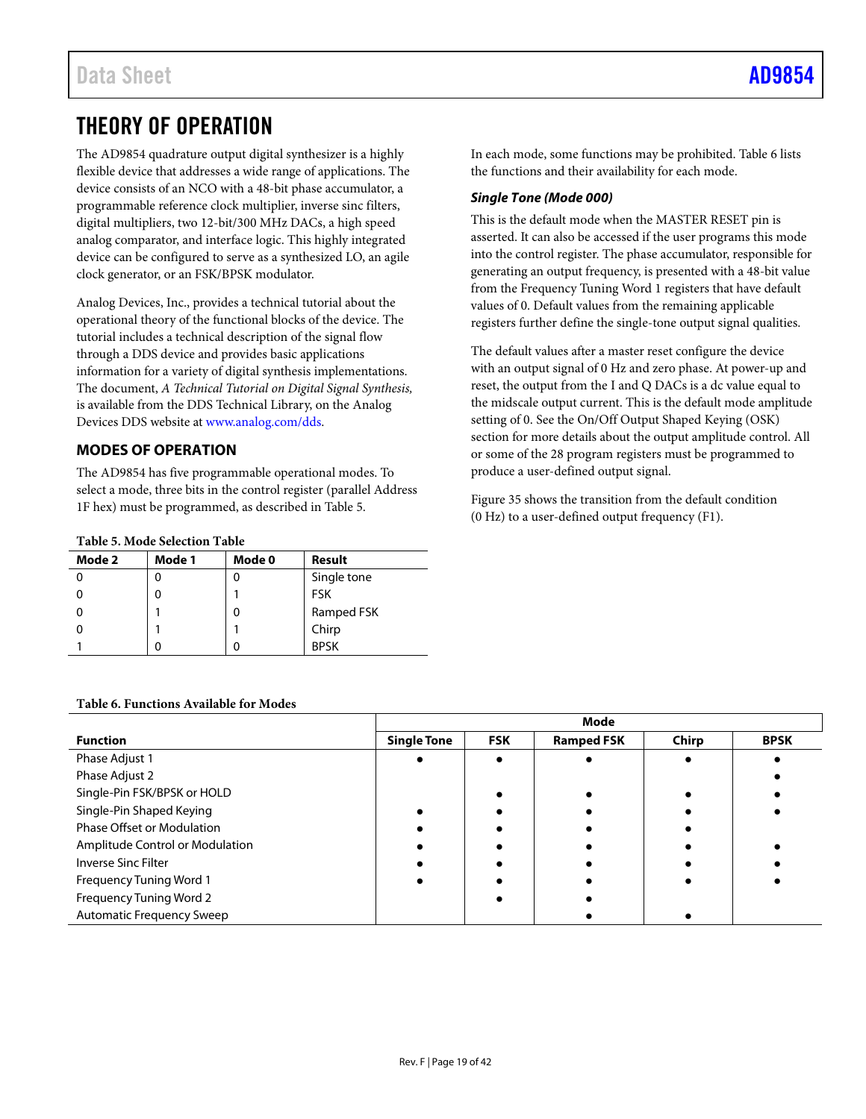<span id="page-18-0"></span>The AD9854 quadrature output digital synthesizer is a highly flexible device that addresses a wide range of applications. The device consists of an NCO with a 48-bit phase accumulator, a programmable reference clock multiplier, inverse sinc filters, digital multipliers, two 12-bit/300 MHz DACs, a high speed analog comparator, and interface logic. This highly integrated device can be configured to serve as a synthesized LO, an agile clock generator, or an FSK/BPSK modulator.

Analog Devices, Inc., provides a technical tutorial about the operational theory of the functional blocks of the device. The tutorial includes a technical description of the signal flow through a DDS device and provides basic applications information for a variety of digital synthesis implementations. The document, *A Technical Tutorial on Digital Signal Synthesis,* is available from the DDS Technical Library, on the Analog Devices DDS website at [www.analog.com/dds.](https://www.analog.com/dds?doc=AD9854.pdf)

# <span id="page-18-1"></span>**MODES OF OPERATION**

The AD9854 has five programmable operational modes. To select a mode, three bits in the control register (parallel Address 1F hex) must be programmed, as described i[n Table 5.](#page-18-2)

In each mode, some functions may be prohibited[. Table 6](#page-18-3) lists the functions and their availability for each mode.

## *Single Tone (Mode 000)*

This is the default mode when the MASTER RESET pin is asserted. It can also be accessed if the user programs this mode into the control register. The phase accumulator, responsible for generating an output frequency, is presented with a 48-bit value from the Frequency Tuning Word 1 registers that have default values of 0. Default values from the remaining applicable registers further define the single-tone output signal qualities.

The default values after a master reset configure the device with an output signal of 0 Hz and zero phase. At power-up and reset, the output from the I and Q DACs is a dc value equal to the midscale output current. This is the default mode amplitude setting of 0. See th[e On/Off Output Shaped Keying \(OSK\)](#page-28-2) section for more details about the output amplitude control. All or some of the 28 program registers must be programmed to produce a user-defined output signal.

[Figure 35](#page-19-0) shows the transition from the default condition (0 Hz) to a user-defined output frequency (F1).

#### <span id="page-18-2"></span>**Table 5. Mode Selection Table**

| Mode 2 | Mode 1 | Mode 0 | <b>Result</b> |  |  |  |  |  |  |
|--------|--------|--------|---------------|--|--|--|--|--|--|
|        |        | U      | Single tone   |  |  |  |  |  |  |
|        |        |        | <b>FSK</b>    |  |  |  |  |  |  |
|        |        | 0      | Ramped FSK    |  |  |  |  |  |  |
|        |        |        | Chirp         |  |  |  |  |  |  |
|        |        |        | <b>BPSK</b>   |  |  |  |  |  |  |

#### <span id="page-18-3"></span>**Table 6. Functions Available for Modes**

|                                  | <b>Mode</b>        |            |                   |       |             |  |
|----------------------------------|--------------------|------------|-------------------|-------|-------------|--|
| <b>Function</b>                  | <b>Single Tone</b> | <b>FSK</b> | <b>Ramped FSK</b> | Chirp | <b>BPSK</b> |  |
| Phase Adjust 1                   |                    |            |                   |       |             |  |
| Phase Adjust 2                   |                    |            |                   |       |             |  |
| Single-Pin FSK/BPSK or HOLD      |                    |            |                   |       |             |  |
| Single-Pin Shaped Keying         |                    |            |                   |       |             |  |
| Phase Offset or Modulation       |                    |            |                   |       |             |  |
| Amplitude Control or Modulation  |                    |            |                   |       |             |  |
| <b>Inverse Sinc Filter</b>       |                    |            |                   |       |             |  |
| Frequency Tuning Word 1          |                    |            |                   |       |             |  |
| Frequency Tuning Word 2          |                    |            |                   |       |             |  |
| <b>Automatic Frequency Sweep</b> |                    |            |                   |       |             |  |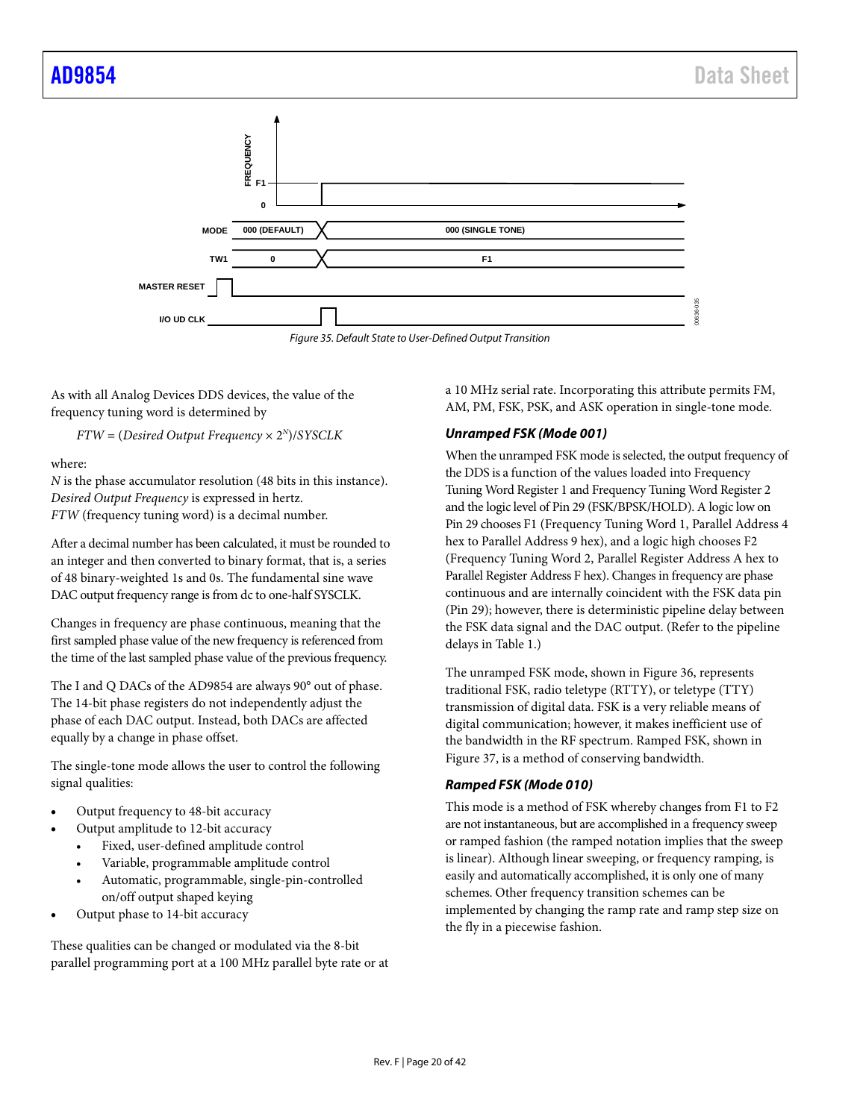

*Figure 35. Default State to User-Defined Output Transition*

<span id="page-19-0"></span>As with all Analog Devices DDS devices, the value of the frequency tuning word is determined by

*FTW* = (*Desired Output Frequency* × 2*<sup>N</sup>*)/*SYSCLK*

where:

*N* is the phase accumulator resolution (48 bits in this instance). *Desired Output Frequency* is expressed in hertz. *FTW* (frequency tuning word) is a decimal number.

After a decimal number has been calculated, it must be rounded to an integer and then converted to binary format, that is, a series of 48 binary-weighted 1s and 0s. The fundamental sine wave DAC output frequency range is from dc to one-half SYSCLK.

Changes in frequency are phase continuous, meaning that the first sampled phase value of the new frequency is referenced from the time of the last sampled phase value of the previous frequency.

The I and Q DACs of the AD9854 are always 90° out of phase. The 14-bit phase registers do not independently adjust the phase of each DAC output. Instead, both DACs are affected equally by a change in phase offset.

The single-tone mode allows the user to control the following signal qualities:

- Output frequency to 48-bit accuracy
	- Output amplitude to 12-bit accuracy
		- Fixed, user-defined amplitude control
		- Variable, programmable amplitude control
		- Automatic, programmable, single-pin-controlled on/off output shaped keying
- Output phase to 14-bit accuracy

These qualities can be changed or modulated via the 8-bit parallel programming port at a 100 MHz parallel byte rate or at a 10 MHz serial rate. Incorporating this attribute permits FM, AM, PM, FSK, PSK, and ASK operation in single-tone mode.

## *Unramped FSK (Mode 001)*

When the unramped FSK mode is selected, the output frequency of the DDS is a function of the values loaded into Frequency Tuning Word Register 1 and Frequency Tuning Word Register 2 and the logic level of Pin 29 (FSK/BPSK/HOLD). A logic low on Pin 29 chooses F1 (Frequency Tuning Word 1, Parallel Address 4 hex to Parallel Address 9 hex), and a logic high chooses F2 (Frequency Tuning Word 2, Parallel Register Address A hex to Parallel Register Address F hex). Changes in frequency are phase continuous and are internally coincident with the FSK data pin (Pin 29); however, there is deterministic pipeline delay between the FSK data signal and the DAC output. (Refer to the pipeline delays i[n Table 1.\)](#page-4-1)

The unramped FSK mode, shown i[n Figure 36,](#page-20-0) represents traditional FSK, radio teletype (RTTY), or teletype (TTY) transmission of digital data. FSK is a very reliable means of digital communication; however, it makes inefficient use of the bandwidth in the RF spectrum. Ramped FSK, shown in [Figure](#page-20-1) 37, is a method of conserving bandwidth.

# *Ramped FSK (Mode 010)*

This mode is a method of FSK whereby changes from F1 to F2 are not instantaneous, but are accomplished in a frequency sweep or ramped fashion (the ramped notation implies that the sweep is linear). Although linear sweeping, or frequency ramping, is easily and automatically accomplished, it is only one of many schemes. Other frequency transition schemes can be implemented by changing the ramp rate and ramp step size on the fly in a piecewise fashion.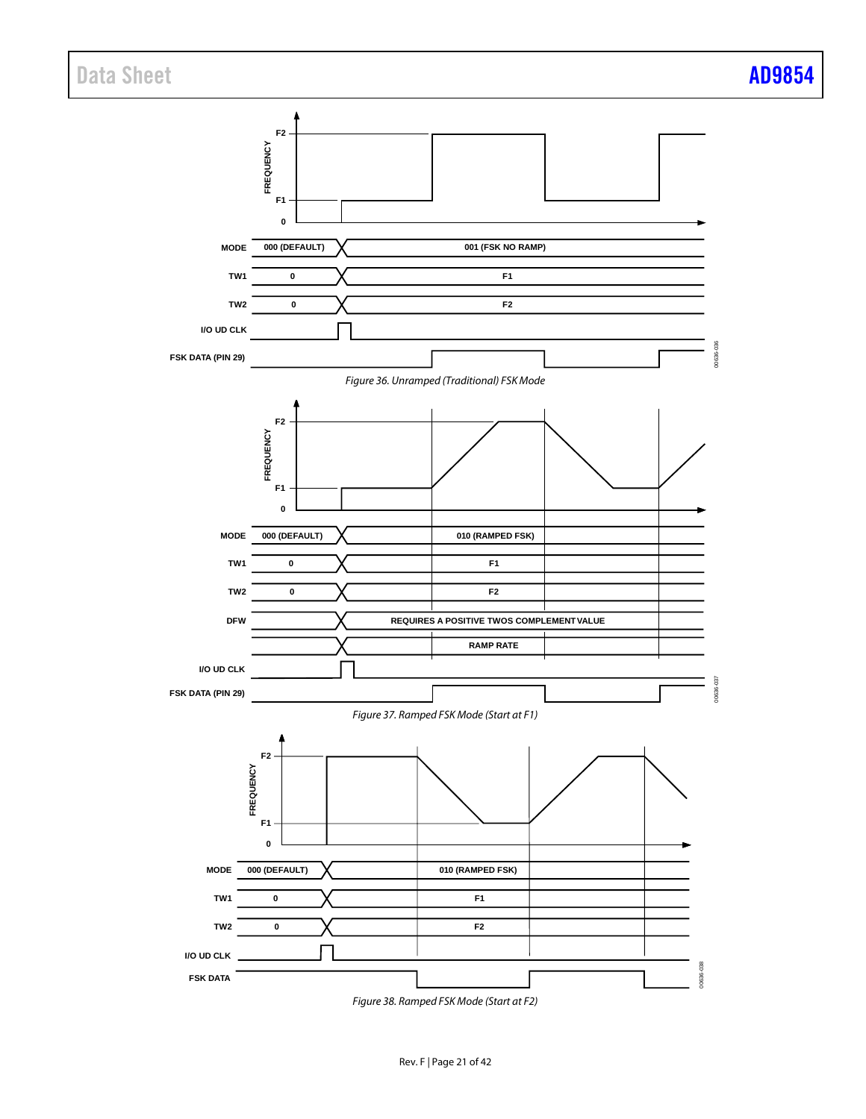# Data Sheet **[AD9854](https://www.analog.com/AD9854?doc=AD9854.pdf)**

<span id="page-20-2"></span><span id="page-20-1"></span><span id="page-20-0"></span>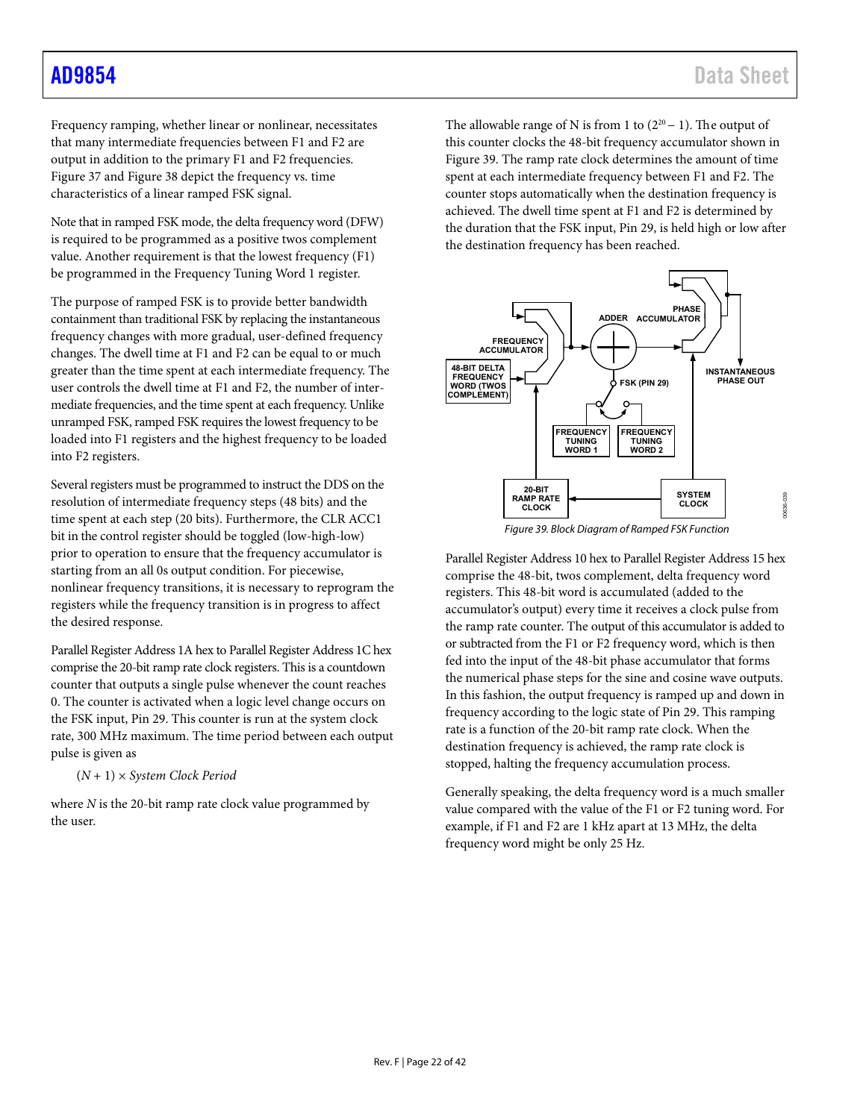Frequency ramping, whether linear or nonlinear, necessitates that many intermediate frequencies between F1 and F2 are output in addition to the primary F1 and F2 frequencies. [Figure 37 a](#page-20-1)n[d Figure 38](#page-20-2) depict the frequency vs. time characteristics of a linear ramped FSK signal.

Note that in ramped FSK mode, the delta frequency word (DFW) is required to be programmed as a positive twos complement value. Another requirement is that the lowest frequency (F1) be programmed in the Frequency Tuning Word 1 register.

The purpose of ramped FSK is to provide better bandwidth containment than traditional FSK by replacing the instantaneous frequency changes with more gradual, user-defined frequency changes. The dwell time at F1 and F2 can be equal to or much greater than the time spent at each intermediate frequency. The user controls the dwell time at F1 and F2, the number of intermediate frequencies, and the time spent at each frequency. Unlike unramped FSK, ramped FSK requires the lowest frequency to be loaded into F1 registers and the highest frequency to be loaded into F2 registers.

Several registers must be programmed to instruct the DDS on the resolution of intermediate frequency steps (48 bits) and the time spent at each step (20 bits). Furthermore, the CLR ACC1 bit in the control register should be toggled (low-high-low) prior to operation to ensure that the frequency accumulator is starting from an all 0s output condition. For piecewise, nonlinear frequency transitions, it is necessary to reprogram the registers while the frequency transition is in progress to affect the desired response.

Parallel Register Address 1A hex to Parallel Register Address 1C hex comprise the 20-bit ramp rate clock registers. This is a countdown counter that outputs a single pulse whenever the count reaches 0. The counter is activated when a logic level change occurs on the FSK input, Pin 29. This counter is run at the system clock rate, 300 MHz maximum. The time period between each output pulse is given as

(*N* + 1) × *System Clock Period*

where *N* is the 20-bit ramp rate clock value programmed by the user.

The allowable range of N is from 1 to  $(2^{20} – 1)$ . The output of this counter clocks the 48-bit frequency accumulator shown in [Figure 39.](#page-21-0) The ramp rate clock determines the amount of time spent at each intermediate frequency between F1 and F2. The counter stops automatically when the destination frequency is achieved. The dwell time spent at F1 and F2 is determined by the duration that the FSK input, Pin 29, is held high or low after the destination frequency has been reached.



Figure 39. Block Diagram of Ramped FSK Function

<span id="page-21-0"></span>Parallel Register Address 10 hex to Parallel Register Address 15 hex comprise the 48-bit, twos complement, delta frequency word registers. This 48-bit word is accumulated (added to the accumulator's output) every time it receives a clock pulse from the ramp rate counter. The output of this accumulator is added to or subtracted from the F1 or F2 frequency word, which is then fed into the input of the 48-bit phase accumulator that forms the numerical phase steps for the sine and cosine wave outputs. In this fashion, the output frequency is ramped up and down in frequency according to the logic state of Pin 29. This ramping rate is a function of the 20-bit ramp rate clock. When the destination frequency is achieved, the ramp rate clock is stopped, halting the frequency accumulation process.

Generally speaking, the delta frequency word is a much smaller value compared with the value of the F1 or F2 tuning word. For example, if F1 and F2 are 1 kHz apart at 13 MHz, the delta frequency word might be only 25 Hz.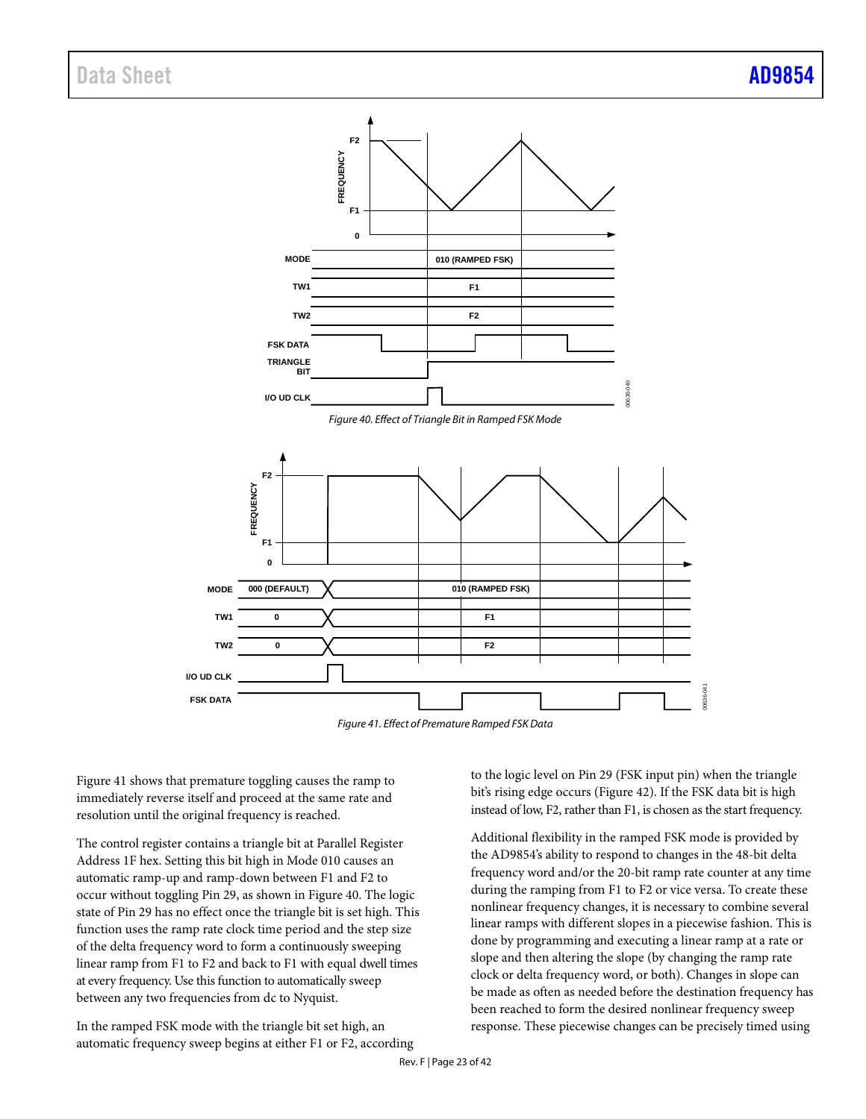<span id="page-22-1"></span>

*Figure 41. Effect of Premature Ramped FSK Data*

<span id="page-22-0"></span>[Figure 41](#page-22-0) shows that premature toggling causes the ramp to immediately reverse itself and proceed at the same rate and resolution until the original frequency is reached.

The control register contains a triangle bit at Parallel Register Address 1F hex. Setting this bit high in Mode 010 causes an automatic ramp-up and ramp-down between F1 and F2 to occur without toggling Pin 29, as shown in [Figure 40.](#page-22-1) The logic state of Pin 29 has no effect once the triangle bit is set high. This function uses the ramp rate clock time period and the step size of the delta frequency word to form a continuously sweeping linear ramp from F1 to F2 and back to F1 with equal dwell times at every frequency. Use this function to automatically sweep between any two frequencies from dc to Nyquist.

In the ramped FSK mode with the triangle bit set high, an automatic frequency sweep begins at either F1 or F2, according to the logic level on Pin 29 (FSK input pin) when the triangle bit's rising edge occurs [\(Figure 42\)](#page-23-0). If the FSK data bit is high instead of low, F2, rather than F1, is chosen as the start frequency.

Additional flexibility in the ramped FSK mode is provided by the AD9854's ability to respond to changes in the 48-bit delta frequency word and/or the 20-bit ramp rate counter at any time during the ramping from F1 to F2 or vice versa. To create these nonlinear frequency changes, it is necessary to combine several linear ramps with different slopes in a piecewise fashion. This is done by programming and executing a linear ramp at a rate or slope and then altering the slope (by changing the ramp rate clock or delta frequency word, or both). Changes in slope can be made as often as needed before the destination frequency has been reached to form the desired nonlinear frequency sweep response. These piecewise changes can be precisely timed using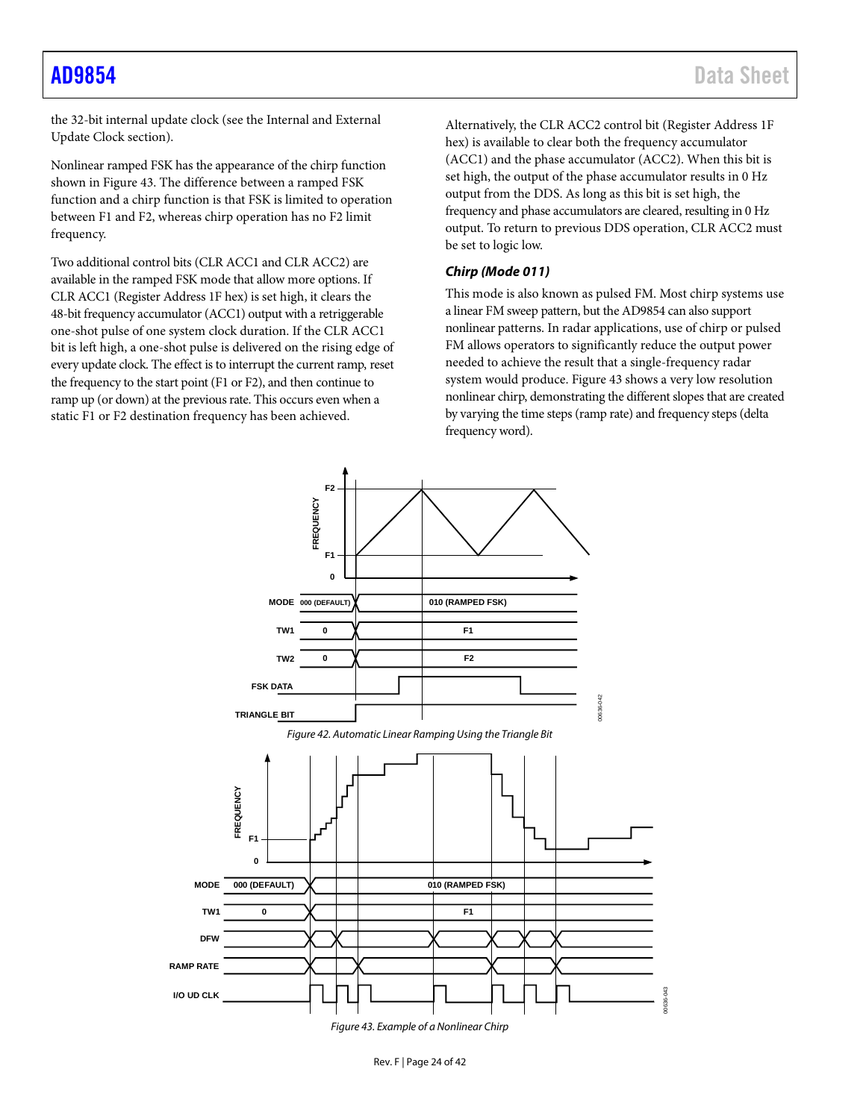the 32-bit internal update clock (see th[e Internal and External](#page-28-1)  [Update Clock](#page-28-1) section).

Nonlinear ramped FSK has the appearance of the chirp function shown in [Figure 43.](#page-23-1) The difference between a ramped FSK function and a chirp function is that FSK is limited to operation between F1 and F2, whereas chirp operation has no F2 limit frequency.

Two additional control bits (CLR ACC1 and CLR ACC2) are available in the ramped FSK mode that allow more options. If CLR ACC1 (Register Address 1F hex) is set high, it clears the 48-bit frequency accumulator (ACC1) output with a retriggerable one-shot pulse of one system clock duration. If the CLR ACC1 bit is left high, a one-shot pulse is delivered on the rising edge of every update clock. The effect is to interrupt the current ramp, reset the frequency to the start point (F1 or F2), and then continue to ramp up (or down) at the previous rate. This occurs even when a static F1 or F2 destination frequency has been achieved.

Alternatively, the CLR ACC2 control bit (Register Address 1F hex) is available to clear both the frequency accumulator (ACC1) and the phase accumulator (ACC2). When this bit is set high, the output of the phase accumulator results in 0 Hz output from the DDS. As long as this bit is set high, the frequency and phase accumulators are cleared, resulting in 0 Hz output. To return to previous DDS operation, CLR ACC2 must be set to logic low.

### *Chirp (Mode 011)*

This mode is also known as pulsed FM. Most chirp systems use a linear FM sweep pattern, but the AD9854 can also support nonlinear patterns. In radar applications, use of chirp or pulsed FM allows operators to significantly reduce the output power needed to achieve the result that a single-frequency radar system would produce[. Figure 43](#page-23-1) shows a very low resolution nonlinear chirp, demonstrating the different slopes that are created by varying the time steps (ramp rate) and frequency steps (delta frequency word).

<span id="page-23-0"></span>

<span id="page-23-1"></span>*Figure 43. Example of a Nonlinear Chirp*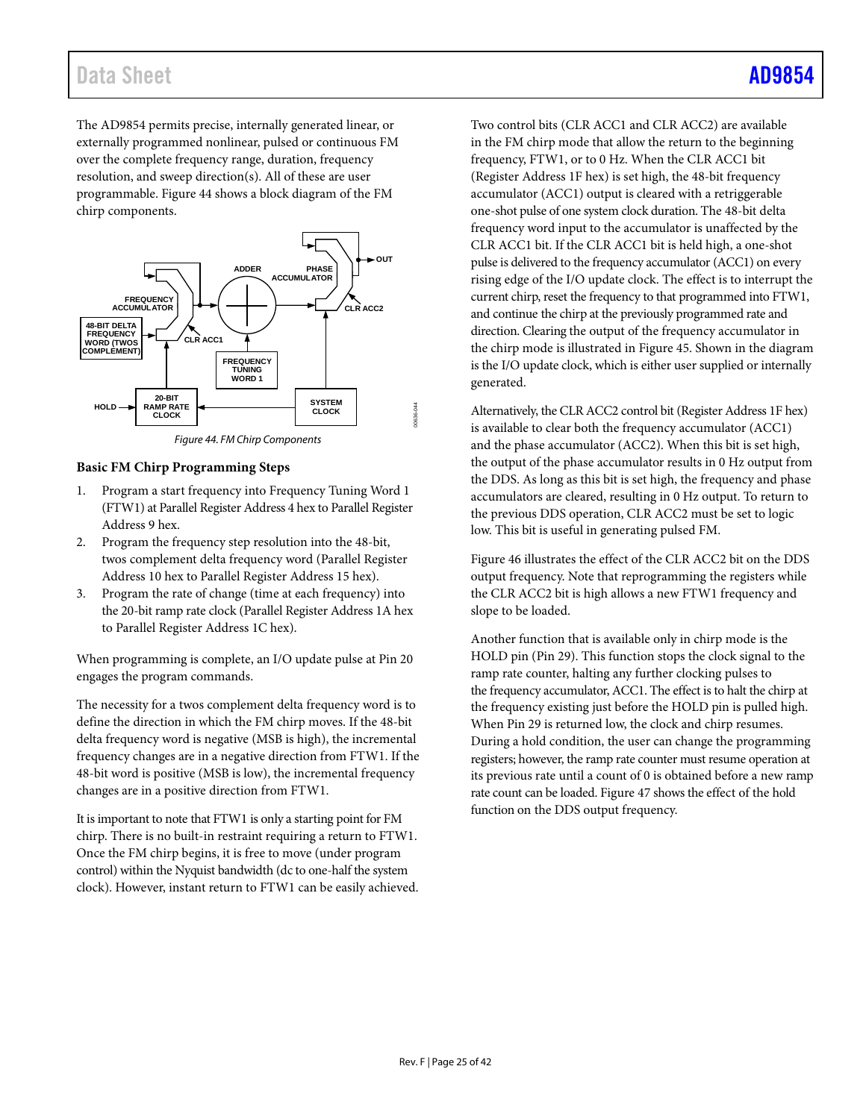# Data Sheet [AD9854](https://www.analog.com/AD9854?doc=AD9854.pdf)

The AD9854 permits precise, internally generated linear, or externally programmed nonlinear, pulsed or continuous FM over the complete frequency range, duration, frequency resolution, and sweep direction(s). All of these are user programmable[. Figure 44](#page-24-0) shows a block diagram of the FM chirp components.





#### <span id="page-24-0"></span>**Basic FM Chirp Programming Steps**

- 1. Program a start frequency into Frequency Tuning Word 1 (FTW1) at Parallel Register Address 4 hex to Parallel Register Address 9 hex.
- 2. Program the frequency step resolution into the 48-bit, twos complement delta frequency word (Parallel Register Address 10 hex to Parallel Register Address 15 hex).
- 3. Program the rate of change (time at each frequency) into the 20-bit ramp rate clock (Parallel Register Address 1A hex to Parallel Register Address 1C hex).

When programming is complete, an I/O update pulse at Pin 20 engages the program commands.

The necessity for a twos complement delta frequency word is to define the direction in which the FM chirp moves. If the 48-bit delta frequency word is negative (MSB is high), the incremental frequency changes are in a negative direction from FTW1. If the 48-bit word is positive (MSB is low), the incremental frequency changes are in a positive direction from FTW1.

It is important to note that FTW1 is only a starting point for FM chirp. There is no built-in restraint requiring a return to FTW1. Once the FM chirp begins, it is free to move (under program control) within the Nyquist bandwidth (dc to one-half the system clock). However, instant return to FTW1 can be easily achieved.

Two control bits (CLR ACC1 and CLR ACC2) are available in the FM chirp mode that allow the return to the beginning frequency, FTW1, or to 0 Hz. When the CLR ACC1 bit (Register Address 1F hex) is set high, the 48-bit frequency accumulator (ACC1) output is cleared with a retriggerable one-shot pulse of one system clock duration. The 48-bit delta frequency word input to the accumulator is unaffected by the CLR ACC1 bit. If the CLR ACC1 bit is held high, a one-shot pulse is delivered to the frequency accumulator (ACC1) on every rising edge of the I/O update clock. The effect is to interrupt the current chirp, reset the frequency to that programmed into FTW1, and continue the chirp at the previously programmed rate and direction. Clearing the output of the frequency accumulator in the chirp mode is illustrated in [Figure 45.](#page-25-0) Shown in the diagram is the I/O update clock, which is either user supplied or internally generated.

Alternatively, the CLR ACC2 control bit (Register Address 1F hex) is available to clear both the frequency accumulator (ACC1) and the phase accumulator (ACC2). When this bit is set high, the output of the phase accumulator results in 0 Hz output from the DDS. As long as this bit is set high, the frequency and phase accumulators are cleared, resulting in 0 Hz output. To return to the previous DDS operation, CLR ACC2 must be set to logic low. This bit is useful in generating pulsed FM.

[Figure 46](#page-25-1) illustrates the effect of the CLR ACC2 bit on the DDS output frequency. Note that reprogramming the registers while the CLR ACC2 bit is high allows a new FTW1 frequency and slope to be loaded.

Another function that is available only in chirp mode is the HOLD pin (Pin 29). This function stops the clock signal to the ramp rate counter, halting any further clocking pulses to the frequency accumulator, ACC1. The effect is to halt the chirp at the frequency existing just before the HOLD pin is pulled high. When Pin 29 is returned low, the clock and chirp resumes. During a hold condition, the user can change the programming registers; however, the ramp rate counter must resume operation at its previous rate until a count of 0 is obtained before a new ramp rate count can be loaded[. Figure 47](#page-26-0) shows the effect of the hold function on the DDS output frequency.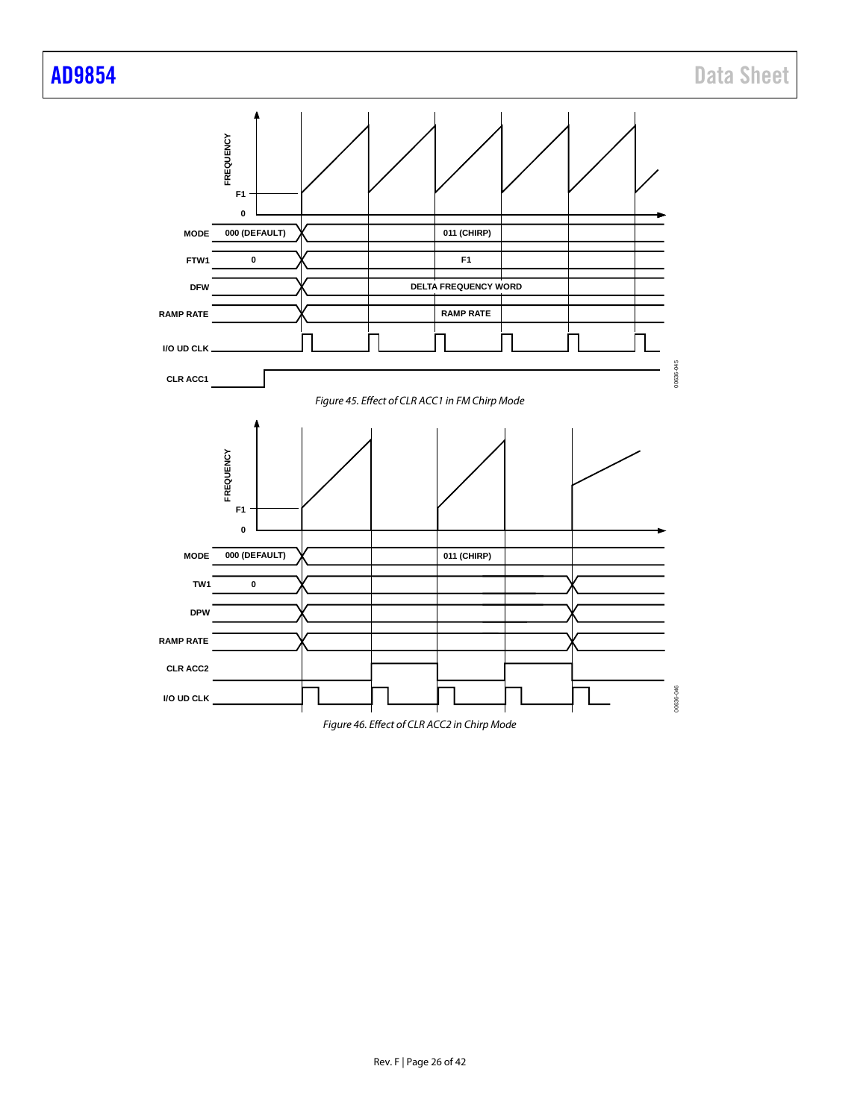<span id="page-25-0"></span>

<span id="page-25-1"></span>*Figure 46. Effect of CLR ACC2 in Chirp Mode*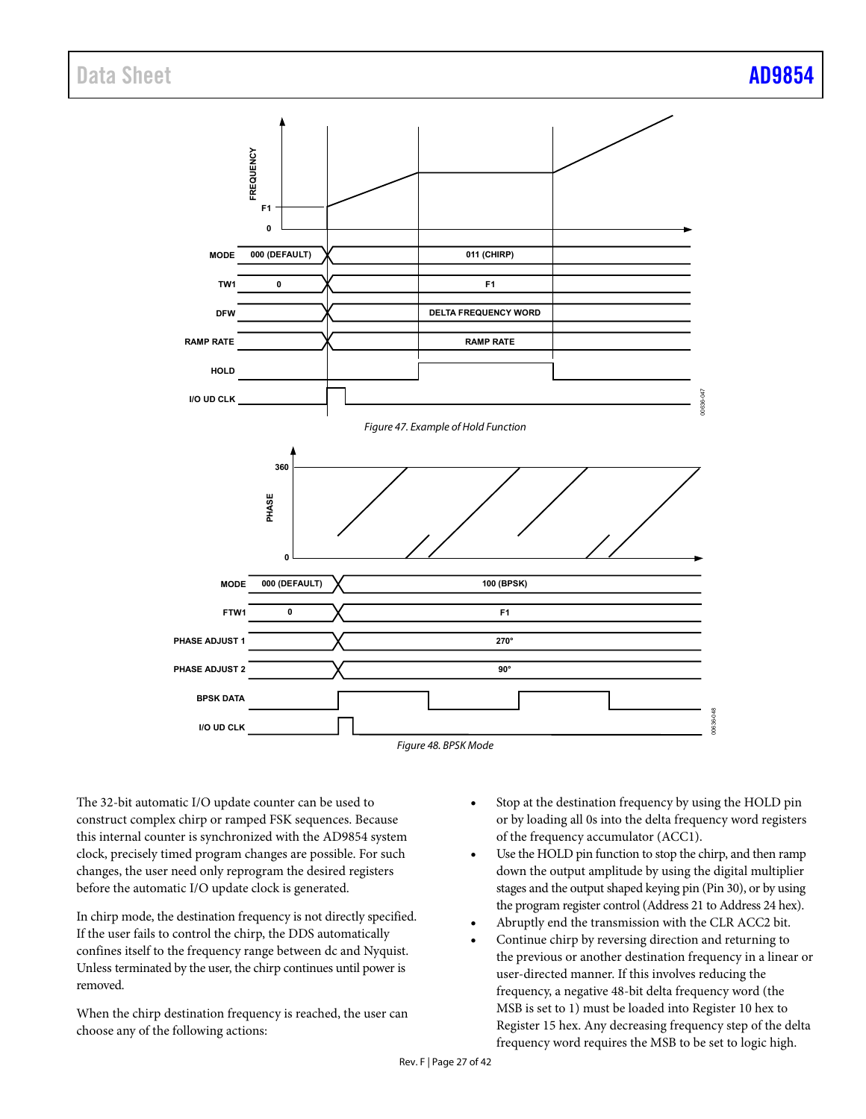<span id="page-26-0"></span>

<span id="page-26-1"></span>The 32-bit automatic I/O update counter can be used to construct complex chirp or ramped FSK sequences. Because this internal counter is synchronized with the AD9854 system clock, precisely timed program changes are possible. For such changes, the user need only reprogram the desired registers before the automatic I/O update clock is generated.

In chirp mode, the destination frequency is not directly specified. If the user fails to control the chirp, the DDS automatically confines itself to the frequency range between dc and Nyquist. Unless terminated by the user, the chirp continues until power is removed.

When the chirp destination frequency is reached, the user can choose any of the following actions:

- Stop at the destination frequency by using the HOLD pin or by loading all 0s into the delta frequency word registers of the frequency accumulator (ACC1).
- Use the HOLD pin function to stop the chirp, and then ramp down the output amplitude by using the digital multiplier stages and the output shaped keying pin (Pin 30), or by using the program register control (Address 21 to Address 24 hex).
- Abruptly end the transmission with the CLR ACC2 bit.
- Continue chirp by reversing direction and returning to the previous or another destination frequency in a linear or user-directed manner. If this involves reducing the frequency, a negative 48-bit delta frequency word (the MSB is set to 1) must be loaded into Register 10 hex to Register 15 hex. Any decreasing frequency step of the delta frequency word requires the MSB to be set to logic high.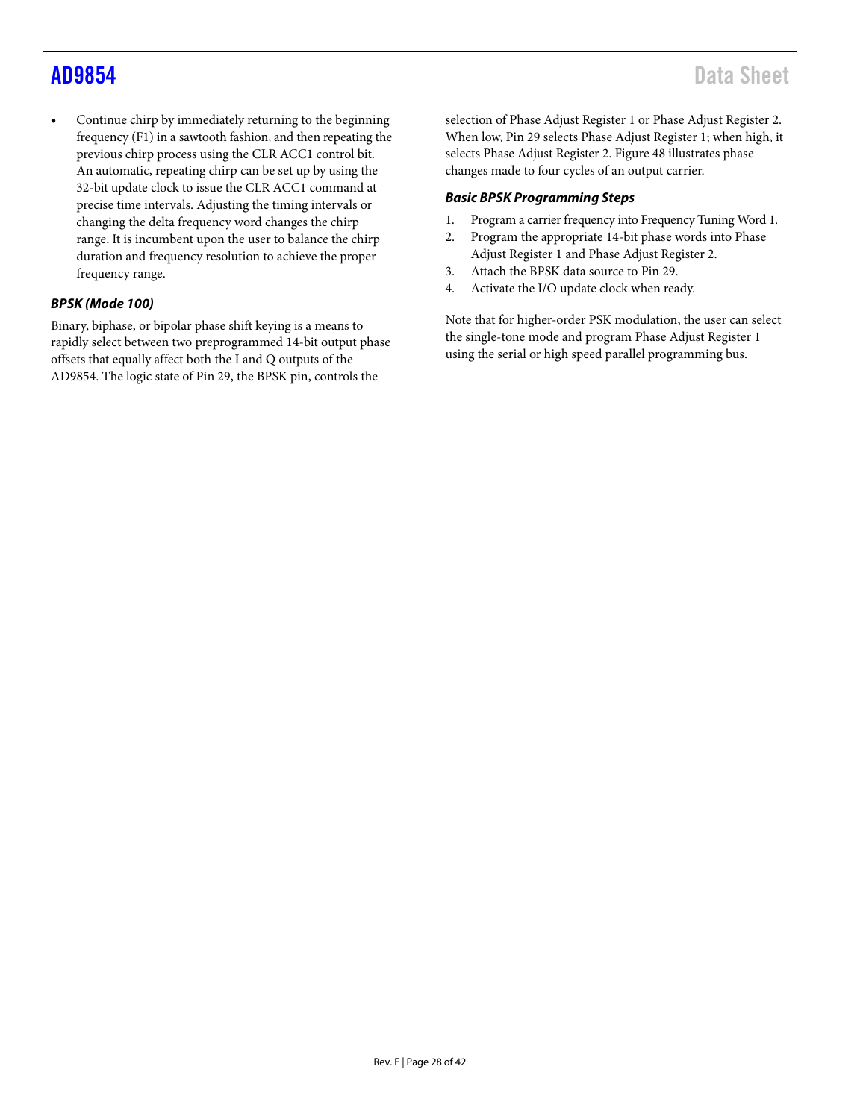• Continue chirp by immediately returning to the beginning frequency (F1) in a sawtooth fashion, and then repeating the previous chirp process using the CLR ACC1 control bit. An automatic, repeating chirp can be set up by using the 32-bit update clock to issue the CLR ACC1 command at precise time intervals. Adjusting the timing intervals or changing the delta frequency word changes the chirp range. It is incumbent upon the user to balance the chirp duration and frequency resolution to achieve the proper frequency range.

### *BPSK (Mode 100)*

Binary, biphase, or bipolar phase shift keying is a means to rapidly select between two preprogrammed 14-bit output phase offsets that equally affect both the I and Q outputs of the AD9854. The logic state of Pin 29, the BPSK pin, controls the

selection of Phase Adjust Register 1 or Phase Adjust Register 2. When low, Pin 29 selects Phase Adjust Register 1; when high, it selects Phase Adjust Register 2. [Figure 48](#page-26-1) illustrates phase changes made to four cycles of an output carrier.

### *Basic BPSK Programming Steps*

- 1. Program a carrier frequency into Frequency Tuning Word 1.
- 2. Program the appropriate 14-bit phase words into Phase Adjust Register 1 and Phase Adjust Register 2.
- 3. Attach the BPSK data source to Pin 29.
- 4. Activate the I/O update clock when ready.

Note that for higher-order PSK modulation, the user can select the single-tone mode and program Phase Adjust Register 1 using the serial or high speed parallel programming bus.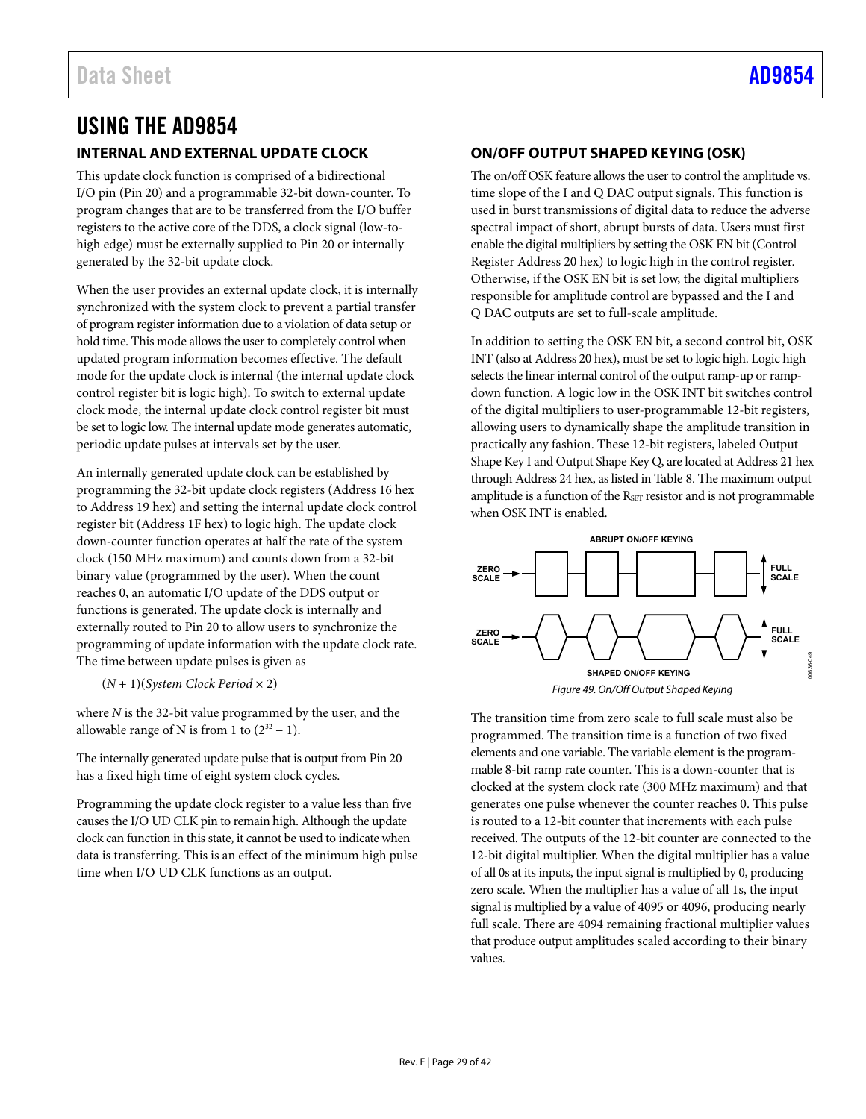# <span id="page-28-1"></span><span id="page-28-0"></span>USING THE AD9854 **INTERNAL AND EXTERNAL UPDATE CLOCK**

This update clock function is comprised of a bidirectional I/O pin (Pin 20) and a programmable 32-bit down-counter. To program changes that are to be transferred from the I/O buffer registers to the active core of the DDS, a clock signal (low-tohigh edge) must be externally supplied to Pin 20 or internally generated by the 32-bit update clock.

When the user provides an external update clock, it is internally synchronized with the system clock to prevent a partial transfer of program register information due to a violation of data setup or hold time. This mode allows the user to completely control when updated program information becomes effective. The default mode for the update clock is internal (the internal update clock control register bit is logic high). To switch to external update clock mode, the internal update clock control register bit must be set to logic low. The internal update mode generates automatic, periodic update pulses at intervals set by the user.

An internally generated update clock can be established by programming the 32-bit update clock registers (Address 16 hex to Address 19 hex) and setting the internal update clock control register bit (Address 1F hex) to logic high. The update clock down-counter function operates at half the rate of the system clock (150 MHz maximum) and counts down from a 32-bit binary value (programmed by the user). When the count reaches 0, an automatic I/O update of the DDS output or functions is generated. The update clock is internally and externally routed to Pin 20 to allow users to synchronize the programming of update information with the update clock rate. The time between update pulses is given as

(*N* + 1)(*System Clock Period* × 2)

where *N* is the 32-bit value programmed by the user, and the allowable range of N is from 1 to  $(2^{32} – 1)$ .

The internally generated update pulse that is output from Pin 20 has a fixed high time of eight system clock cycles.

Programming the update clock register to a value less than five causes the I/O UD CLK pin to remain high. Although the update clock can function in this state, it cannot be used to indicate when data is transferring. This is an effect of the minimum high pulse time when I/O UD CLK functions as an output.

# <span id="page-28-2"></span>**ON/OFF OUTPUT SHAPED KEYING (OSK)**

The on/off OSK feature allows the user to control the amplitude vs. time slope of the I and Q DAC output signals. This function is used in burst transmissions of digital data to reduce the adverse spectral impact of short, abrupt bursts of data. Users must first enable the digital multipliers by setting the OSK EN bit (Control Register Address 20 hex) to logic high in the control register. Otherwise, if the OSK EN bit is set low, the digital multipliers responsible for amplitude control are bypassed and the I and Q DAC outputs are set to full-scale amplitude.

In addition to setting the OSK EN bit, a second control bit, OSK INT (also at Address 20 hex), must be set to logic high. Logic high selects the linear internal control of the output ramp-up or rampdown function. A logic low in the OSK INT bit switches control of the digital multipliers to user-programmable 12-bit registers, allowing users to dynamically shape the amplitude transition in practically any fashion. These 12-bit registers, labeled Output Shape Key I and Output Shape Key Q, are located at Address 21 hex through Address 24 hex, as listed i[n Table 8.](#page-32-0) The maximum output amplitude is a function of the R<sub>SET</sub> resistor and is not programmable when OSK INT is enabled.



The transition time from zero scale to full scale must also be programmed. The transition time is a function of two fixed elements and one variable. The variable element is the programmable 8-bit ramp rate counter. This is a down-counter that is clocked at the system clock rate (300 MHz maximum) and that generates one pulse whenever the counter reaches 0. This pulse is routed to a 12-bit counter that increments with each pulse received. The outputs of the 12-bit counter are connected to the 12-bit digital multiplier. When the digital multiplier has a value of all 0s at its inputs, the input signal is multiplied by 0, producing zero scale. When the multiplier has a value of all 1s, the input signal is multiplied by a value of 4095 or 4096, producing nearly full scale. There are 4094 remaining fractional multiplier values that produce output amplitudes scaled according to their binary values.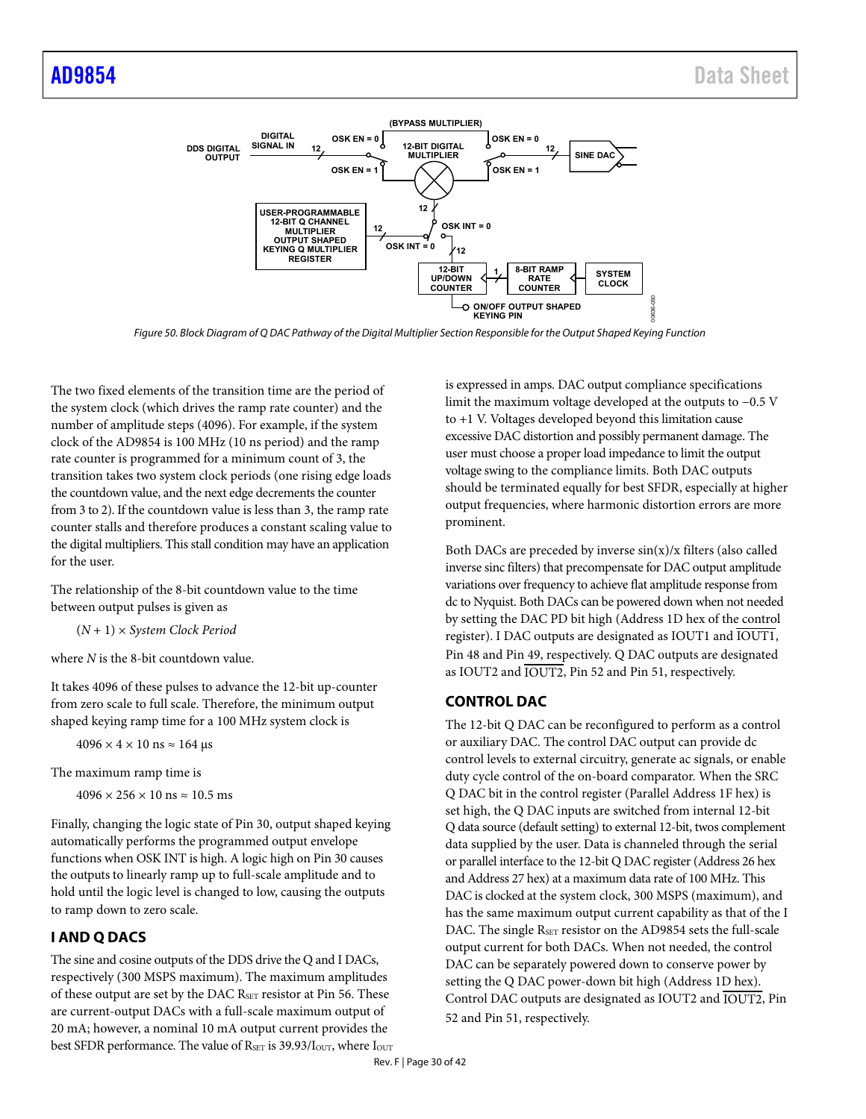

Figure 50. Block Diagram of Q DAC Pathway of the Digital Multiplier Section Responsible for the Output Shaped Keying Function

The two fixed elements of the transition time are the period of the system clock (which drives the ramp rate counter) and the number of amplitude steps (4096). For example, if the system clock of the AD9854 is 100 MHz (10 ns period) and the ramp rate counter is programmed for a minimum count of 3, the transition takes two system clock periods (one rising edge loads the countdown value, and the next edge decrements the counter from 3 to 2). If the countdown value is less than 3, the ramp rate counter stalls and therefore produces a constant scaling value to the digital multipliers. This stall condition may have an application for the user.

The relationship of the 8-bit countdown value to the time between output pulses is given as

(*N* + 1) × *System Clock Period*

where *N* is the 8-bit countdown value.

It takes 4096 of these pulses to advance the 12-bit up-counter from zero scale to full scale. Therefore, the minimum output shaped keying ramp time for a 100 MHz system clock is

 $4096 \times 4 \times 10$  ns  $\approx 164$  µs

The maximum ramp time is

 $4096 \times 256 \times 10$  ns  $\approx 10.5$  ms

Finally, changing the logic state of Pin 30, output shaped keying automatically performs the programmed output envelope functions when OSK INT is high. A logic high on Pin 30 causes the outputs to linearly ramp up to full-scale amplitude and to hold until the logic level is changed to low, causing the outputs to ramp down to zero scale.

# <span id="page-29-0"></span>**I AND Q DACS**

The sine and cosine outputs of the DDS drive the Q and I DACs, respectively (300 MSPS maximum). The maximum amplitudes of these output are set by the DAC RSET resistor at Pin 56. These are current-output DACs with a full-scale maximum output of 20 mA; however, a nominal 10 mA output current provides the best SFDR performance. The value of RSET is 39.93/Iout, where Iout is expressed in amps. DAC output compliance specifications limit the maximum voltage developed at the outputs to −0.5 V to +1 V. Voltages developed beyond this limitation cause excessive DAC distortion and possibly permanent damage. The user must choose a proper load impedance to limit the output voltage swing to the compliance limits. Both DAC outputs should be terminated equally for best SFDR, especially at higher output frequencies, where harmonic distortion errors are more prominent.

Both DACs are preceded by inverse  $sin(x)/x$  filters (also called inverse sinc filters) that precompensate for DAC output amplitude variations over frequency to achieve flat amplitude response from dc to Nyquist. Both DACs can be powered down when not needed by setting the DAC PD bit high (Address 1D hex of the control register). I DAC outputs are designated as IOUT1 and IOUT1, Pin 48 and Pin 49, respectively. Q DAC outputs are designated as IOUT2 and IOUT2, Pin 52 and Pin 51, respectively.

## <span id="page-29-1"></span>**CONTROL DAC**

The 12-bit Q DAC can be reconfigured to perform as a control or auxiliary DAC. The control DAC output can provide dc control levels to external circuitry, generate ac signals, or enable duty cycle control of the on-board comparator. When the SRC Q DAC bit in the control register (Parallel Address 1F hex) is set high, the Q DAC inputs are switched from internal 12-bit Q data source (default setting) to external 12-bit, twos complement data supplied by the user. Data is channeled through the serial or parallel interface to the 12-bit Q DAC register (Address 26 hex and Address 27 hex) at a maximum data rate of 100 MHz. This DAC is clocked at the system clock, 300 MSPS (maximum), and has the same maximum output current capability as that of the I DAC. The single RSET resistor on the AD9854 sets the full-scale output current for both DACs. When not needed, the control DAC can be separately powered down to conserve power by setting the Q DAC power-down bit high (Address 1D hex). Control DAC outputs are designated as IOUT2 and IOUT2, Pin 52 and Pin 51, respectively.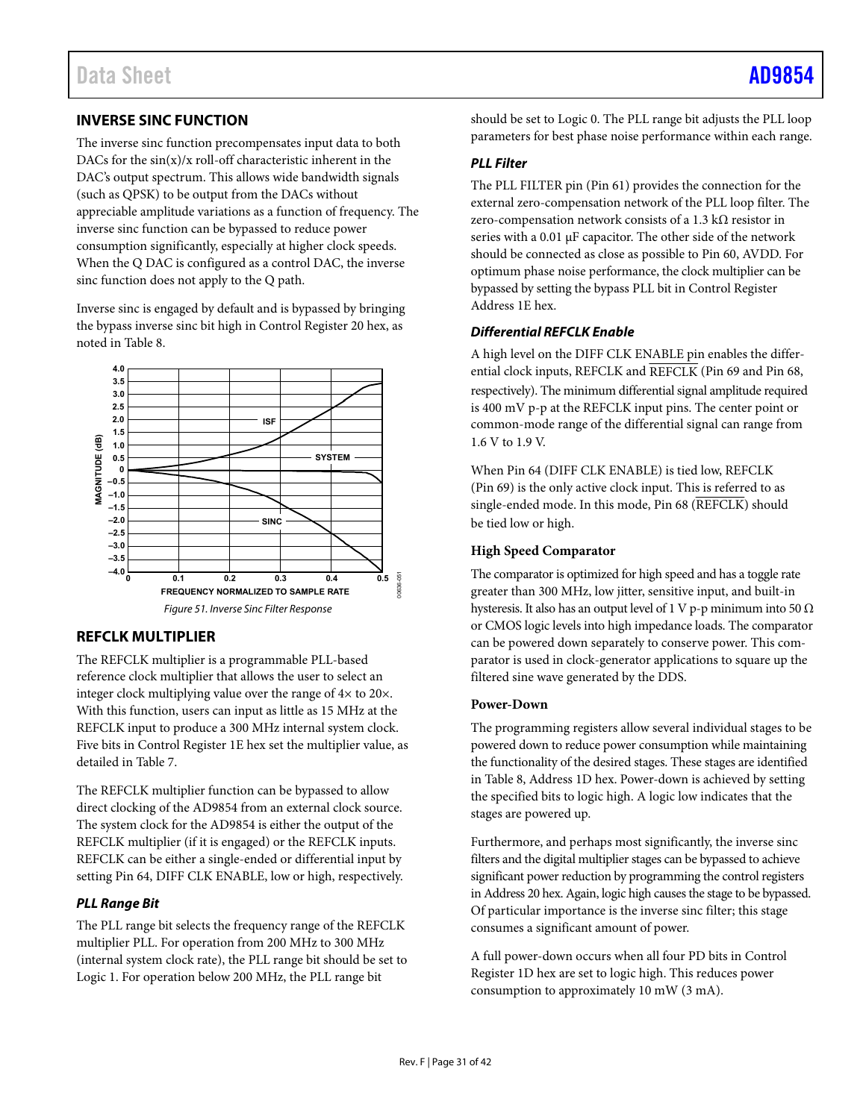## <span id="page-30-1"></span>**INVERSE SINC FUNCTION**

The inverse sinc function precompensates input data to both DACs for the  $sin(x)/x$  roll-off characteristic inherent in the DAC's output spectrum. This allows wide bandwidth signals (such as QPSK) to be output from the DACs without appreciable amplitude variations as a function of frequency. The inverse sinc function can be bypassed to reduce power consumption significantly, especially at higher clock speeds. When the Q DAC is configured as a control DAC, the inverse sinc function does not apply to the Q path.

Inverse sinc is engaged by default and is bypassed by bringing the bypass inverse sinc bit high in Control Register 20 hex, as noted in [Table 8.](#page-32-0)



## <span id="page-30-0"></span>**REFCLK MULTIPLIER**

The REFCLK multiplier is a programmable PLL-based reference clock multiplier that allows the user to select an integer clock multiplying value over the range of 4× to 20×. With this function, users can input as little as 15 MHz at the REFCLK input to produce a 300 MHz internal system clock. Five bits in Control Register 1E hex set the multiplier value, as detailed i[n Table 7.](#page-31-2)

The REFCLK multiplier function can be bypassed to allow direct clocking of the AD9854 from an external clock source. The system clock for the AD9854 is either the output of the REFCLK multiplier (if it is engaged) or the REFCLK inputs. REFCLK can be either a single-ended or differential input by setting Pin 64, DIFF CLK ENABLE, low or high, respectively.

### **PLL Range Bit**

The PLL range bit selects the frequency range of the REFCLK multiplier PLL. For operation from 200 MHz to 300 MHz (internal system clock rate), the PLL range bit should be set to Logic 1. For operation below 200 MHz, the PLL range bit

should be set to Logic 0. The PLL range bit adjusts the PLL loop parameters for best phase noise performance within each range.

### **PLL Filter**

The PLL FILTER pin (Pin 61) provides the connection for the external zero-compensation network of the PLL loop filter. The zero-compensation network consists of a 1.3 k $\Omega$  resistor in series with a 0.01 μF capacitor. The other side of the network should be connected as close as possible to Pin 60, AVDD. For optimum phase noise performance, the clock multiplier can be bypassed by setting the bypass PLL bit in Control Register Address 1E hex.

### **Differential REFCLK Enable**

A high level on the DIFF CLK ENABLE pin enables the differential clock inputs, REFCLK and REFCLK (Pin 69 and Pin 68, respectively). The minimum differential signal amplitude required is 400 mV p-p at the REFCLK input pins. The center point or common-mode range of the differential signal can range from 1.6 V to 1.9 V.

When Pin 64 (DIFF CLK ENABLE) is tied low, REFCLK (Pin 69) is the only active clock input. This is referred to as single-ended mode. In this mode, Pin 68 (REFCLK) should be tied low or high.

### **High Speed Comparator**

The comparator is optimized for high speed and has a toggle rate greater than 300 MHz, low jitter, sensitive input, and built-in hysteresis. It also has an output level of 1 V p-p minimum into 50  $\Omega$ or CMOS logic levels into high impedance loads. The comparator can be powered down separately to conserve power. This comparator is used in clock-generator applications to square up the filtered sine wave generated by the DDS.

### **Power-Down**

The programming registers allow several individual stages to be powered down to reduce power consumption while maintaining the functionality of the desired stages. These stages are identified in [Table 8,](#page-32-0) Address 1D hex. Power-down is achieved by setting the specified bits to logic high. A logic low indicates that the stages are powered up.

Furthermore, and perhaps most significantly, the inverse sinc filters and the digital multiplier stages can be bypassed to achieve significant power reduction by programming the control registers in Address 20 hex. Again, logic high causes the stage to be bypassed. Of particular importance is the inverse sinc filter; this stage consumes a significant amount of power.

A full power-down occurs when all four PD bits in Control Register 1D hex are set to logic high. This reduces power consumption to approximately 10 mW (3 mA).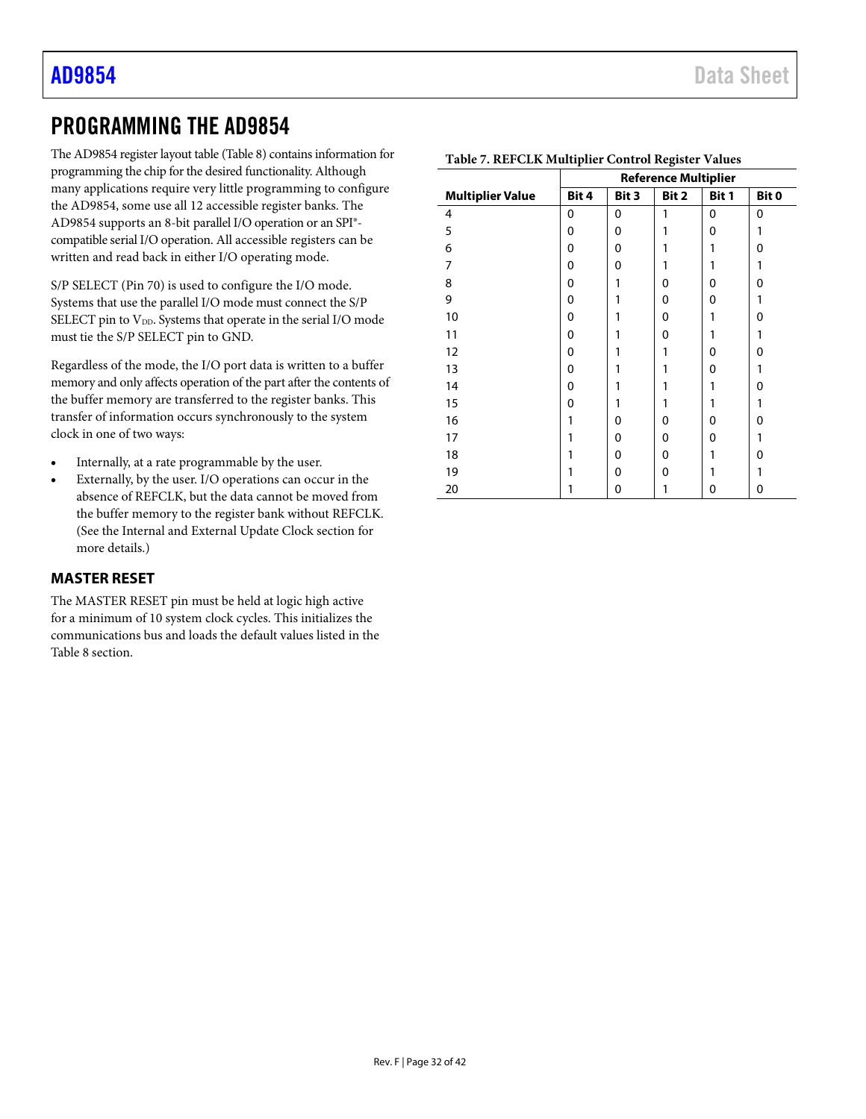# <span id="page-31-0"></span>PROGRAMMING THE AD9854

The AD9854 register layout table [\(Table 8\)](#page-32-0) contains information for programming the chip for the desired functionality. Although many applications require very little programming to configure the AD9854, some use all 12 accessible register banks. The AD9854 supports an 8-bit parallel I/O operation or an SPI® compatible serial I/O operation. All accessible registers can be written and read back in either I/O operating mode.

S/P SELECT (Pin 70) is used to configure the I/O mode. Systems that use the parallel I/O mode must connect the S/P SELECT pin to V<sub>DD</sub>. Systems that operate in the serial I/O mode must tie the S/P SELECT pin to GND.

Regardless of the mode, the I/O port data is written to a buffer memory and only affects operation of the part after the contents of the buffer memory are transferred to the register banks. This transfer of information occurs synchronously to the system clock in one of two ways:

- Internally, at a rate programmable by the user.
- Externally, by the user. I/O operations can occur in the absence of REFCLK, but the data cannot be moved from the buffer memory to the register bank without REFCLK. (See th[e Internal and External Update Clock](#page-28-1) section for more details.)

### <span id="page-31-1"></span>**MASTER RESET**

The MASTER RESET pin must be held at logic high active for a minimum of 10 system clock cycles. This initializes the communications bus and loads the default values listed in the [Table 8](#page-32-0) section.

|                         | <b>Reference Multiplier</b> |       |       |       |       |  |
|-------------------------|-----------------------------|-------|-------|-------|-------|--|
| <b>Multiplier Value</b> | Bit 4                       | Bit 3 | Bit 2 | Bit 1 | Bit 0 |  |
| 4                       | 0                           | 0     | 1     | 0     | 0     |  |
| 5                       | 0                           | 0     | 1     | 0     | 1     |  |
| 6                       | 0                           | 0     | 1     | 1     | 0     |  |
| 7                       | 0                           | 0     | 1     | 1     | 1     |  |
| 8                       | 0                           | 1     | 0     | 0     | 0     |  |
| 9                       | 0                           | 1     | 0     | 0     | 1     |  |
| 10                      | 0                           | 1     | 0     | 1     | 0     |  |
| 11                      | 0                           | 1     | 0     | 1     | 1     |  |
| 12                      | 0                           | 1     | 1     | 0     | 0     |  |
| 13                      | 0                           | 1     | 1     | 0     | 1     |  |
| 14                      | 0                           | 1     | 1     | 1     | 0     |  |
| 15                      | 0                           | 1     | 1     | 1     | 1     |  |
| 16                      | 1                           | 0     | 0     | 0     | 0     |  |
| 17                      | 1                           | 0     | 0     | 0     | 1     |  |
| 18                      | 1                           | 0     | 0     | 1     | 0     |  |
| 19                      |                             | 0     | 0     | 1     | 1     |  |
| 20                      |                             | 0     | 1     | 0     | 0     |  |

#### <span id="page-31-2"></span>**Table 7. REFCLK Multiplier Control Register Values**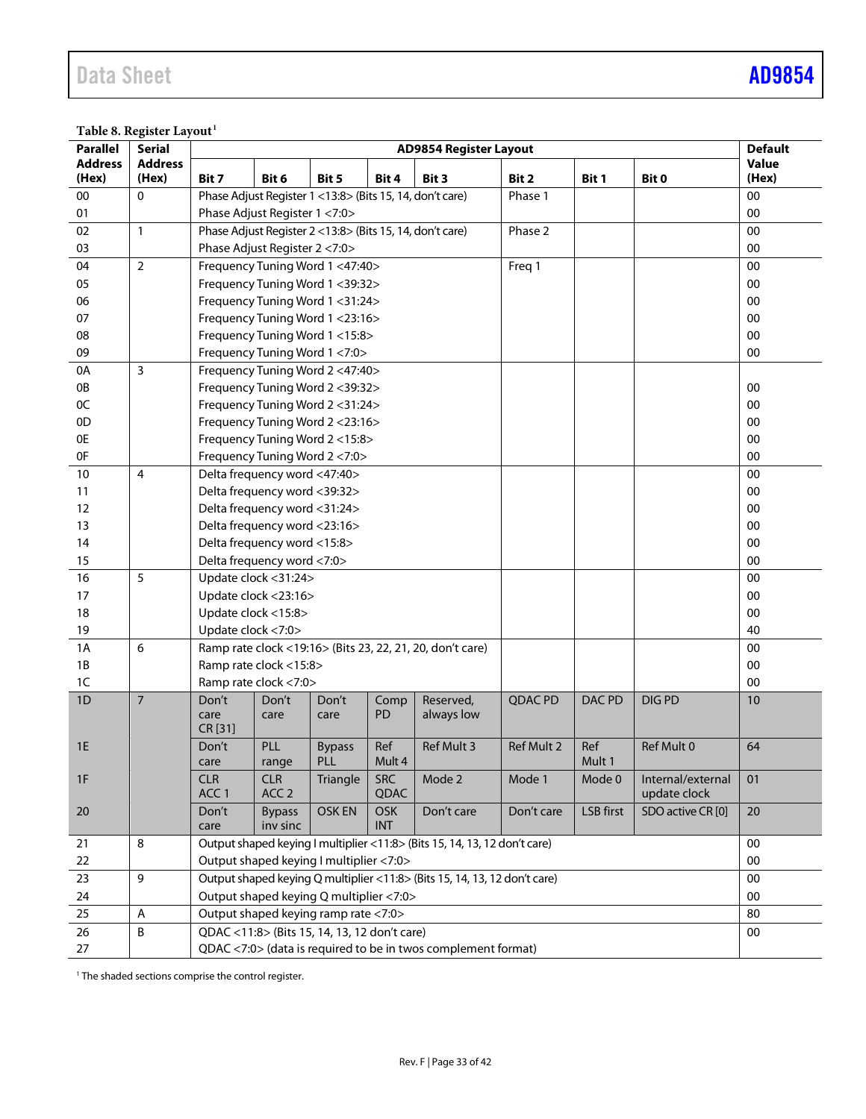### <span id="page-32-0"></span>Table 8. Register Layout<sup>1</sup>

| <b>Address</b><br>Bit 4<br>(Hex)<br>Bit 7<br>Bit 6<br>Bit 5<br>Bit 3<br>Bit 2<br>Bit 1<br>Bit 0<br>(Hex)<br>(Hex)<br>Phase Adjust Register 1 <13:8> (Bits 15, 14, don't care)<br>00<br>0<br>Phase 1<br>00<br>01<br>Phase Adjust Register 1 <7:0><br>00<br>$\mathbf{1}$<br>00<br>02<br>Phase Adjust Register 2 <13:8> (Bits 15, 14, don't care)<br>Phase 2<br>03<br>Phase Adjust Register 2 <7:0><br>00<br>$\overline{2}$<br>Frequency Tuning Word 1 <47:40><br>00<br>04<br>Freq 1<br>05<br>Frequency Tuning Word 1 <39:32><br>00<br>06<br>Frequency Tuning Word 1 <31:24><br>00<br>07<br>Frequency Tuning Word 1 <23:16><br>00<br>08<br>Frequency Tuning Word 1 <15:8><br>00<br>09<br>Frequency Tuning Word 1 <7:0><br>00<br>3<br>0A<br>Frequency Tuning Word 2 <47:40><br>0B<br>Frequency Tuning Word 2 < 39:32><br>00<br>0C<br>Frequency Tuning Word 2 < 31:24><br>00<br>0D<br>Frequency Tuning Word 2 < 23:16><br>00<br>0E<br>Frequency Tuning Word 2 <15:8><br>00<br>0F<br>Frequency Tuning Word 2 <7:0><br>00<br>10<br>$\overline{4}$<br>Delta frequency word <47:40><br>00<br>Delta frequency word <39:32><br>00<br>11<br>12<br>Delta frequency word <31:24><br>00<br>Delta frequency word <23:16><br>13<br>00<br>Delta frequency word <15:8><br>14<br>00<br>15<br>Delta frequency word <7:0><br>00<br>5<br>00<br>16<br>Update clock <31:24><br>17<br>Update clock <23:16><br>00<br>18<br>Update clock <15:8><br>00<br>19<br>Update clock <7:0><br>40<br>6<br>1A<br>00<br>Ramp rate clock <19:16> (Bits 23, 22, 21, 20, don't care)<br>1B<br>Ramp rate clock <15:8><br>00<br>1C<br>Ramp rate clock <7:0><br>00<br>1D<br>$\overline{7}$<br>Reserved,<br><b>QDAC PD</b><br><b>DIGPD</b><br>Don't<br>Don't<br>DAC PD<br>10<br>Don't<br>Comp<br>PD<br>always low<br>care<br>care<br>care<br>CR [31]<br>Ref<br>Ref Mult 3<br>Ref Mult 2<br>Ref<br>Ref Mult 0<br>1E<br>PLL<br>64<br>Don't<br><b>Bypass</b><br>PLL<br>Mult 4<br>Mult 1<br>care<br>range<br><b>CLR</b><br><b>CLR</b><br>Triangle<br><b>SRC</b><br>Mode 2<br>Mode 1<br>Mode 0<br>Internal/external<br>01<br>1F<br>ACC 1<br>ACC <sub>2</sub><br>QDAC<br>update clock<br>Don't<br>LSB first<br>SDO active CR [0]<br>20<br><b>Bypass</b><br><b>OSK EN</b><br><b>OSK</b><br>Don't care<br>Don't care<br>20<br><b>INT</b><br>inv sinc<br>care<br>8<br>Output shaped keying I multiplier <11:8> (Bits 15, 14, 13, 12 don't care)<br>21<br>00<br>Output shaped keying I multiplier <7:0><br>22<br>00<br>23<br>9<br>Output shaped keying Q multiplier <11:8> (Bits 15, 14, 13, 12 don't care)<br>00<br>Output shaped keying Q multiplier <7:0><br>24<br>00<br>25<br>Output shaped keying ramp rate <7:0><br>Α<br>80<br>26<br>B<br>QDAC <11:8> (Bits 15, 14, 13, 12 don't care)<br>00<br>QDAC <7:0> (data is required to be in twos complement format) | <b>Parallel</b> | <b>Serial</b>  | <b>AD9854 Register Layout</b> |  |  |  |  | <b>Default</b> |              |
|------------------------------------------------------------------------------------------------------------------------------------------------------------------------------------------------------------------------------------------------------------------------------------------------------------------------------------------------------------------------------------------------------------------------------------------------------------------------------------------------------------------------------------------------------------------------------------------------------------------------------------------------------------------------------------------------------------------------------------------------------------------------------------------------------------------------------------------------------------------------------------------------------------------------------------------------------------------------------------------------------------------------------------------------------------------------------------------------------------------------------------------------------------------------------------------------------------------------------------------------------------------------------------------------------------------------------------------------------------------------------------------------------------------------------------------------------------------------------------------------------------------------------------------------------------------------------------------------------------------------------------------------------------------------------------------------------------------------------------------------------------------------------------------------------------------------------------------------------------------------------------------------------------------------------------------------------------------------------------------------------------------------------------------------------------------------------------------------------------------------------------------------------------------------------------------------------------------------------------------------------------------------------------------------------------------------------------------------------------------------------------------------------------------------------------------------------------------------------------------------------------------------------------------------------------------------------------------------------------------------------------------------------------------------------------------------------------------------------------------------------------------------------------------------------------|-----------------|----------------|-------------------------------|--|--|--|--|----------------|--------------|
|                                                                                                                                                                                                                                                                                                                                                                                                                                                                                                                                                                                                                                                                                                                                                                                                                                                                                                                                                                                                                                                                                                                                                                                                                                                                                                                                                                                                                                                                                                                                                                                                                                                                                                                                                                                                                                                                                                                                                                                                                                                                                                                                                                                                                                                                                                                                                                                                                                                                                                                                                                                                                                                                                                                                                                                                            |                 | <b>Address</b> |                               |  |  |  |  |                | <b>Value</b> |
|                                                                                                                                                                                                                                                                                                                                                                                                                                                                                                                                                                                                                                                                                                                                                                                                                                                                                                                                                                                                                                                                                                                                                                                                                                                                                                                                                                                                                                                                                                                                                                                                                                                                                                                                                                                                                                                                                                                                                                                                                                                                                                                                                                                                                                                                                                                                                                                                                                                                                                                                                                                                                                                                                                                                                                                                            |                 |                |                               |  |  |  |  |                |              |
|                                                                                                                                                                                                                                                                                                                                                                                                                                                                                                                                                                                                                                                                                                                                                                                                                                                                                                                                                                                                                                                                                                                                                                                                                                                                                                                                                                                                                                                                                                                                                                                                                                                                                                                                                                                                                                                                                                                                                                                                                                                                                                                                                                                                                                                                                                                                                                                                                                                                                                                                                                                                                                                                                                                                                                                                            |                 |                |                               |  |  |  |  |                |              |
|                                                                                                                                                                                                                                                                                                                                                                                                                                                                                                                                                                                                                                                                                                                                                                                                                                                                                                                                                                                                                                                                                                                                                                                                                                                                                                                                                                                                                                                                                                                                                                                                                                                                                                                                                                                                                                                                                                                                                                                                                                                                                                                                                                                                                                                                                                                                                                                                                                                                                                                                                                                                                                                                                                                                                                                                            |                 |                |                               |  |  |  |  |                |              |
|                                                                                                                                                                                                                                                                                                                                                                                                                                                                                                                                                                                                                                                                                                                                                                                                                                                                                                                                                                                                                                                                                                                                                                                                                                                                                                                                                                                                                                                                                                                                                                                                                                                                                                                                                                                                                                                                                                                                                                                                                                                                                                                                                                                                                                                                                                                                                                                                                                                                                                                                                                                                                                                                                                                                                                                                            |                 |                |                               |  |  |  |  |                |              |
|                                                                                                                                                                                                                                                                                                                                                                                                                                                                                                                                                                                                                                                                                                                                                                                                                                                                                                                                                                                                                                                                                                                                                                                                                                                                                                                                                                                                                                                                                                                                                                                                                                                                                                                                                                                                                                                                                                                                                                                                                                                                                                                                                                                                                                                                                                                                                                                                                                                                                                                                                                                                                                                                                                                                                                                                            |                 |                |                               |  |  |  |  |                |              |
|                                                                                                                                                                                                                                                                                                                                                                                                                                                                                                                                                                                                                                                                                                                                                                                                                                                                                                                                                                                                                                                                                                                                                                                                                                                                                                                                                                                                                                                                                                                                                                                                                                                                                                                                                                                                                                                                                                                                                                                                                                                                                                                                                                                                                                                                                                                                                                                                                                                                                                                                                                                                                                                                                                                                                                                                            |                 |                |                               |  |  |  |  |                |              |
|                                                                                                                                                                                                                                                                                                                                                                                                                                                                                                                                                                                                                                                                                                                                                                                                                                                                                                                                                                                                                                                                                                                                                                                                                                                                                                                                                                                                                                                                                                                                                                                                                                                                                                                                                                                                                                                                                                                                                                                                                                                                                                                                                                                                                                                                                                                                                                                                                                                                                                                                                                                                                                                                                                                                                                                                            |                 |                |                               |  |  |  |  |                |              |
|                                                                                                                                                                                                                                                                                                                                                                                                                                                                                                                                                                                                                                                                                                                                                                                                                                                                                                                                                                                                                                                                                                                                                                                                                                                                                                                                                                                                                                                                                                                                                                                                                                                                                                                                                                                                                                                                                                                                                                                                                                                                                                                                                                                                                                                                                                                                                                                                                                                                                                                                                                                                                                                                                                                                                                                                            |                 |                |                               |  |  |  |  |                |              |
|                                                                                                                                                                                                                                                                                                                                                                                                                                                                                                                                                                                                                                                                                                                                                                                                                                                                                                                                                                                                                                                                                                                                                                                                                                                                                                                                                                                                                                                                                                                                                                                                                                                                                                                                                                                                                                                                                                                                                                                                                                                                                                                                                                                                                                                                                                                                                                                                                                                                                                                                                                                                                                                                                                                                                                                                            |                 |                |                               |  |  |  |  |                |              |
|                                                                                                                                                                                                                                                                                                                                                                                                                                                                                                                                                                                                                                                                                                                                                                                                                                                                                                                                                                                                                                                                                                                                                                                                                                                                                                                                                                                                                                                                                                                                                                                                                                                                                                                                                                                                                                                                                                                                                                                                                                                                                                                                                                                                                                                                                                                                                                                                                                                                                                                                                                                                                                                                                                                                                                                                            |                 |                |                               |  |  |  |  |                |              |
|                                                                                                                                                                                                                                                                                                                                                                                                                                                                                                                                                                                                                                                                                                                                                                                                                                                                                                                                                                                                                                                                                                                                                                                                                                                                                                                                                                                                                                                                                                                                                                                                                                                                                                                                                                                                                                                                                                                                                                                                                                                                                                                                                                                                                                                                                                                                                                                                                                                                                                                                                                                                                                                                                                                                                                                                            |                 |                |                               |  |  |  |  |                |              |
|                                                                                                                                                                                                                                                                                                                                                                                                                                                                                                                                                                                                                                                                                                                                                                                                                                                                                                                                                                                                                                                                                                                                                                                                                                                                                                                                                                                                                                                                                                                                                                                                                                                                                                                                                                                                                                                                                                                                                                                                                                                                                                                                                                                                                                                                                                                                                                                                                                                                                                                                                                                                                                                                                                                                                                                                            |                 |                |                               |  |  |  |  |                |              |
|                                                                                                                                                                                                                                                                                                                                                                                                                                                                                                                                                                                                                                                                                                                                                                                                                                                                                                                                                                                                                                                                                                                                                                                                                                                                                                                                                                                                                                                                                                                                                                                                                                                                                                                                                                                                                                                                                                                                                                                                                                                                                                                                                                                                                                                                                                                                                                                                                                                                                                                                                                                                                                                                                                                                                                                                            |                 |                |                               |  |  |  |  |                |              |
|                                                                                                                                                                                                                                                                                                                                                                                                                                                                                                                                                                                                                                                                                                                                                                                                                                                                                                                                                                                                                                                                                                                                                                                                                                                                                                                                                                                                                                                                                                                                                                                                                                                                                                                                                                                                                                                                                                                                                                                                                                                                                                                                                                                                                                                                                                                                                                                                                                                                                                                                                                                                                                                                                                                                                                                                            |                 |                |                               |  |  |  |  |                |              |
|                                                                                                                                                                                                                                                                                                                                                                                                                                                                                                                                                                                                                                                                                                                                                                                                                                                                                                                                                                                                                                                                                                                                                                                                                                                                                                                                                                                                                                                                                                                                                                                                                                                                                                                                                                                                                                                                                                                                                                                                                                                                                                                                                                                                                                                                                                                                                                                                                                                                                                                                                                                                                                                                                                                                                                                                            |                 |                |                               |  |  |  |  |                |              |
|                                                                                                                                                                                                                                                                                                                                                                                                                                                                                                                                                                                                                                                                                                                                                                                                                                                                                                                                                                                                                                                                                                                                                                                                                                                                                                                                                                                                                                                                                                                                                                                                                                                                                                                                                                                                                                                                                                                                                                                                                                                                                                                                                                                                                                                                                                                                                                                                                                                                                                                                                                                                                                                                                                                                                                                                            |                 |                |                               |  |  |  |  |                |              |
|                                                                                                                                                                                                                                                                                                                                                                                                                                                                                                                                                                                                                                                                                                                                                                                                                                                                                                                                                                                                                                                                                                                                                                                                                                                                                                                                                                                                                                                                                                                                                                                                                                                                                                                                                                                                                                                                                                                                                                                                                                                                                                                                                                                                                                                                                                                                                                                                                                                                                                                                                                                                                                                                                                                                                                                                            |                 |                |                               |  |  |  |  |                |              |
|                                                                                                                                                                                                                                                                                                                                                                                                                                                                                                                                                                                                                                                                                                                                                                                                                                                                                                                                                                                                                                                                                                                                                                                                                                                                                                                                                                                                                                                                                                                                                                                                                                                                                                                                                                                                                                                                                                                                                                                                                                                                                                                                                                                                                                                                                                                                                                                                                                                                                                                                                                                                                                                                                                                                                                                                            |                 |                |                               |  |  |  |  |                |              |
|                                                                                                                                                                                                                                                                                                                                                                                                                                                                                                                                                                                                                                                                                                                                                                                                                                                                                                                                                                                                                                                                                                                                                                                                                                                                                                                                                                                                                                                                                                                                                                                                                                                                                                                                                                                                                                                                                                                                                                                                                                                                                                                                                                                                                                                                                                                                                                                                                                                                                                                                                                                                                                                                                                                                                                                                            |                 |                |                               |  |  |  |  |                |              |
|                                                                                                                                                                                                                                                                                                                                                                                                                                                                                                                                                                                                                                                                                                                                                                                                                                                                                                                                                                                                                                                                                                                                                                                                                                                                                                                                                                                                                                                                                                                                                                                                                                                                                                                                                                                                                                                                                                                                                                                                                                                                                                                                                                                                                                                                                                                                                                                                                                                                                                                                                                                                                                                                                                                                                                                                            |                 |                |                               |  |  |  |  |                |              |
|                                                                                                                                                                                                                                                                                                                                                                                                                                                                                                                                                                                                                                                                                                                                                                                                                                                                                                                                                                                                                                                                                                                                                                                                                                                                                                                                                                                                                                                                                                                                                                                                                                                                                                                                                                                                                                                                                                                                                                                                                                                                                                                                                                                                                                                                                                                                                                                                                                                                                                                                                                                                                                                                                                                                                                                                            |                 |                |                               |  |  |  |  |                |              |
|                                                                                                                                                                                                                                                                                                                                                                                                                                                                                                                                                                                                                                                                                                                                                                                                                                                                                                                                                                                                                                                                                                                                                                                                                                                                                                                                                                                                                                                                                                                                                                                                                                                                                                                                                                                                                                                                                                                                                                                                                                                                                                                                                                                                                                                                                                                                                                                                                                                                                                                                                                                                                                                                                                                                                                                                            |                 |                |                               |  |  |  |  |                |              |
|                                                                                                                                                                                                                                                                                                                                                                                                                                                                                                                                                                                                                                                                                                                                                                                                                                                                                                                                                                                                                                                                                                                                                                                                                                                                                                                                                                                                                                                                                                                                                                                                                                                                                                                                                                                                                                                                                                                                                                                                                                                                                                                                                                                                                                                                                                                                                                                                                                                                                                                                                                                                                                                                                                                                                                                                            |                 |                |                               |  |  |  |  |                |              |
|                                                                                                                                                                                                                                                                                                                                                                                                                                                                                                                                                                                                                                                                                                                                                                                                                                                                                                                                                                                                                                                                                                                                                                                                                                                                                                                                                                                                                                                                                                                                                                                                                                                                                                                                                                                                                                                                                                                                                                                                                                                                                                                                                                                                                                                                                                                                                                                                                                                                                                                                                                                                                                                                                                                                                                                                            |                 |                |                               |  |  |  |  |                |              |
|                                                                                                                                                                                                                                                                                                                                                                                                                                                                                                                                                                                                                                                                                                                                                                                                                                                                                                                                                                                                                                                                                                                                                                                                                                                                                                                                                                                                                                                                                                                                                                                                                                                                                                                                                                                                                                                                                                                                                                                                                                                                                                                                                                                                                                                                                                                                                                                                                                                                                                                                                                                                                                                                                                                                                                                                            |                 |                |                               |  |  |  |  |                |              |
|                                                                                                                                                                                                                                                                                                                                                                                                                                                                                                                                                                                                                                                                                                                                                                                                                                                                                                                                                                                                                                                                                                                                                                                                                                                                                                                                                                                                                                                                                                                                                                                                                                                                                                                                                                                                                                                                                                                                                                                                                                                                                                                                                                                                                                                                                                                                                                                                                                                                                                                                                                                                                                                                                                                                                                                                            |                 |                |                               |  |  |  |  |                |              |
|                                                                                                                                                                                                                                                                                                                                                                                                                                                                                                                                                                                                                                                                                                                                                                                                                                                                                                                                                                                                                                                                                                                                                                                                                                                                                                                                                                                                                                                                                                                                                                                                                                                                                                                                                                                                                                                                                                                                                                                                                                                                                                                                                                                                                                                                                                                                                                                                                                                                                                                                                                                                                                                                                                                                                                                                            |                 |                |                               |  |  |  |  |                |              |
|                                                                                                                                                                                                                                                                                                                                                                                                                                                                                                                                                                                                                                                                                                                                                                                                                                                                                                                                                                                                                                                                                                                                                                                                                                                                                                                                                                                                                                                                                                                                                                                                                                                                                                                                                                                                                                                                                                                                                                                                                                                                                                                                                                                                                                                                                                                                                                                                                                                                                                                                                                                                                                                                                                                                                                                                            |                 |                |                               |  |  |  |  |                |              |
|                                                                                                                                                                                                                                                                                                                                                                                                                                                                                                                                                                                                                                                                                                                                                                                                                                                                                                                                                                                                                                                                                                                                                                                                                                                                                                                                                                                                                                                                                                                                                                                                                                                                                                                                                                                                                                                                                                                                                                                                                                                                                                                                                                                                                                                                                                                                                                                                                                                                                                                                                                                                                                                                                                                                                                                                            |                 |                |                               |  |  |  |  |                |              |
|                                                                                                                                                                                                                                                                                                                                                                                                                                                                                                                                                                                                                                                                                                                                                                                                                                                                                                                                                                                                                                                                                                                                                                                                                                                                                                                                                                                                                                                                                                                                                                                                                                                                                                                                                                                                                                                                                                                                                                                                                                                                                                                                                                                                                                                                                                                                                                                                                                                                                                                                                                                                                                                                                                                                                                                                            |                 |                |                               |  |  |  |  |                |              |
|                                                                                                                                                                                                                                                                                                                                                                                                                                                                                                                                                                                                                                                                                                                                                                                                                                                                                                                                                                                                                                                                                                                                                                                                                                                                                                                                                                                                                                                                                                                                                                                                                                                                                                                                                                                                                                                                                                                                                                                                                                                                                                                                                                                                                                                                                                                                                                                                                                                                                                                                                                                                                                                                                                                                                                                                            |                 |                |                               |  |  |  |  |                |              |
|                                                                                                                                                                                                                                                                                                                                                                                                                                                                                                                                                                                                                                                                                                                                                                                                                                                                                                                                                                                                                                                                                                                                                                                                                                                                                                                                                                                                                                                                                                                                                                                                                                                                                                                                                                                                                                                                                                                                                                                                                                                                                                                                                                                                                                                                                                                                                                                                                                                                                                                                                                                                                                                                                                                                                                                                            |                 |                |                               |  |  |  |  |                |              |
|                                                                                                                                                                                                                                                                                                                                                                                                                                                                                                                                                                                                                                                                                                                                                                                                                                                                                                                                                                                                                                                                                                                                                                                                                                                                                                                                                                                                                                                                                                                                                                                                                                                                                                                                                                                                                                                                                                                                                                                                                                                                                                                                                                                                                                                                                                                                                                                                                                                                                                                                                                                                                                                                                                                                                                                                            |                 |                |                               |  |  |  |  |                |              |
|                                                                                                                                                                                                                                                                                                                                                                                                                                                                                                                                                                                                                                                                                                                                                                                                                                                                                                                                                                                                                                                                                                                                                                                                                                                                                                                                                                                                                                                                                                                                                                                                                                                                                                                                                                                                                                                                                                                                                                                                                                                                                                                                                                                                                                                                                                                                                                                                                                                                                                                                                                                                                                                                                                                                                                                                            |                 |                |                               |  |  |  |  |                |              |
|                                                                                                                                                                                                                                                                                                                                                                                                                                                                                                                                                                                                                                                                                                                                                                                                                                                                                                                                                                                                                                                                                                                                                                                                                                                                                                                                                                                                                                                                                                                                                                                                                                                                                                                                                                                                                                                                                                                                                                                                                                                                                                                                                                                                                                                                                                                                                                                                                                                                                                                                                                                                                                                                                                                                                                                                            |                 |                |                               |  |  |  |  |                |              |
|                                                                                                                                                                                                                                                                                                                                                                                                                                                                                                                                                                                                                                                                                                                                                                                                                                                                                                                                                                                                                                                                                                                                                                                                                                                                                                                                                                                                                                                                                                                                                                                                                                                                                                                                                                                                                                                                                                                                                                                                                                                                                                                                                                                                                                                                                                                                                                                                                                                                                                                                                                                                                                                                                                                                                                                                            |                 |                |                               |  |  |  |  |                |              |
|                                                                                                                                                                                                                                                                                                                                                                                                                                                                                                                                                                                                                                                                                                                                                                                                                                                                                                                                                                                                                                                                                                                                                                                                                                                                                                                                                                                                                                                                                                                                                                                                                                                                                                                                                                                                                                                                                                                                                                                                                                                                                                                                                                                                                                                                                                                                                                                                                                                                                                                                                                                                                                                                                                                                                                                                            |                 |                |                               |  |  |  |  |                |              |
|                                                                                                                                                                                                                                                                                                                                                                                                                                                                                                                                                                                                                                                                                                                                                                                                                                                                                                                                                                                                                                                                                                                                                                                                                                                                                                                                                                                                                                                                                                                                                                                                                                                                                                                                                                                                                                                                                                                                                                                                                                                                                                                                                                                                                                                                                                                                                                                                                                                                                                                                                                                                                                                                                                                                                                                                            |                 |                |                               |  |  |  |  |                |              |
|                                                                                                                                                                                                                                                                                                                                                                                                                                                                                                                                                                                                                                                                                                                                                                                                                                                                                                                                                                                                                                                                                                                                                                                                                                                                                                                                                                                                                                                                                                                                                                                                                                                                                                                                                                                                                                                                                                                                                                                                                                                                                                                                                                                                                                                                                                                                                                                                                                                                                                                                                                                                                                                                                                                                                                                                            |                 |                |                               |  |  |  |  |                |              |
|                                                                                                                                                                                                                                                                                                                                                                                                                                                                                                                                                                                                                                                                                                                                                                                                                                                                                                                                                                                                                                                                                                                                                                                                                                                                                                                                                                                                                                                                                                                                                                                                                                                                                                                                                                                                                                                                                                                                                                                                                                                                                                                                                                                                                                                                                                                                                                                                                                                                                                                                                                                                                                                                                                                                                                                                            |                 |                |                               |  |  |  |  |                |              |
|                                                                                                                                                                                                                                                                                                                                                                                                                                                                                                                                                                                                                                                                                                                                                                                                                                                                                                                                                                                                                                                                                                                                                                                                                                                                                                                                                                                                                                                                                                                                                                                                                                                                                                                                                                                                                                                                                                                                                                                                                                                                                                                                                                                                                                                                                                                                                                                                                                                                                                                                                                                                                                                                                                                                                                                                            |                 |                |                               |  |  |  |  |                |              |
|                                                                                                                                                                                                                                                                                                                                                                                                                                                                                                                                                                                                                                                                                                                                                                                                                                                                                                                                                                                                                                                                                                                                                                                                                                                                                                                                                                                                                                                                                                                                                                                                                                                                                                                                                                                                                                                                                                                                                                                                                                                                                                                                                                                                                                                                                                                                                                                                                                                                                                                                                                                                                                                                                                                                                                                                            | 27              |                |                               |  |  |  |  |                |              |

<sup>1</sup> The shaded sections comprise the control register.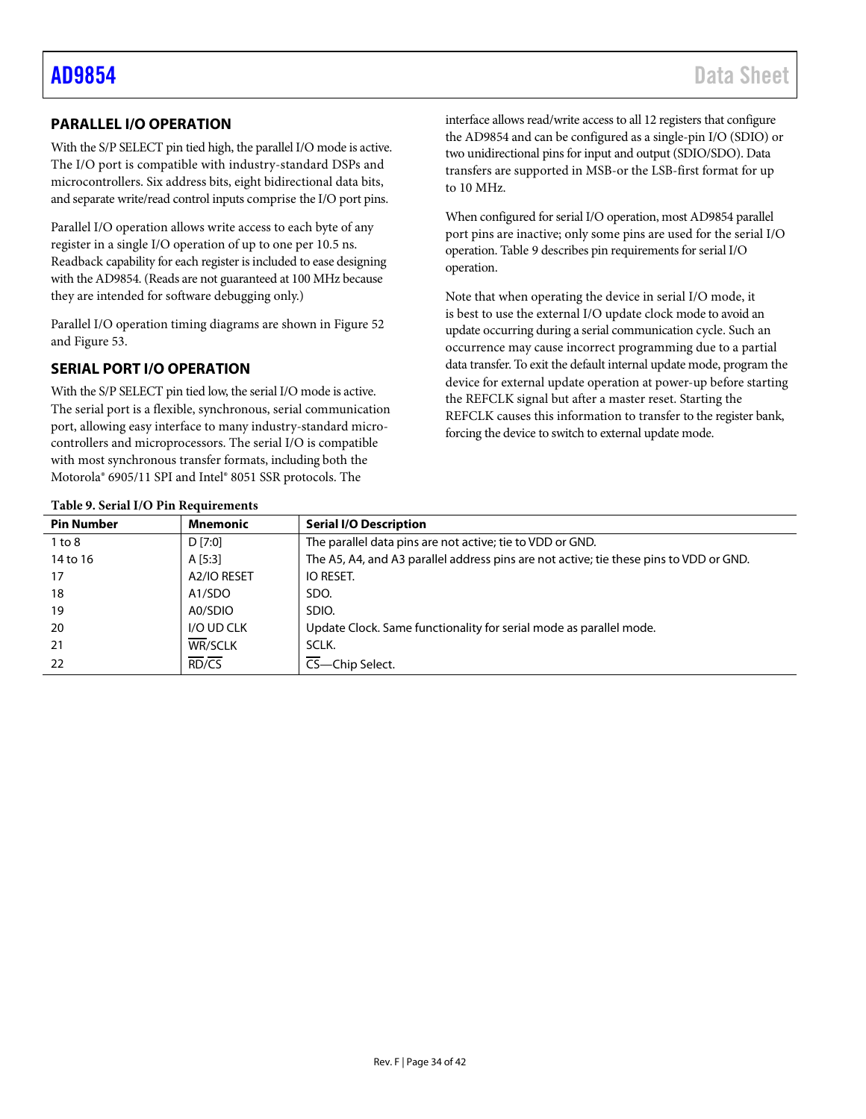# <span id="page-33-0"></span>**PARALLEL I/O OPERATION**

With the S/P SELECT pin tied high, the parallel I/O mode is active. The I/O port is compatible with industry-standard DSPs and microcontrollers. Six address bits, eight bidirectional data bits, and separate write/read control inputs comprise the I/O port pins.

Parallel I/O operation allows write access to each byte of any register in a single I/O operation of up to one per 10.5 ns. Readback capability for each register is included to ease designing with the AD9854. (Reads are not guaranteed at 100 MHz because they are intended for software debugging only.)

Parallel I/O operation timing diagrams are shown i[n Figure 52](#page-34-0) an[d Figure 53.](#page-34-1)

## <span id="page-33-1"></span>**SERIAL PORT I/O OPERATION**

With the S/P SELECT pin tied low, the serial I/O mode is active. The serial port is a flexible, synchronous, serial communication port, allowing easy interface to many industry-standard microcontrollers and microprocessors. The serial I/O is compatible with most synchronous transfer formats, including both the Motorola® 6905/11 SPI and Intel® 8051 SSR protocols. The

interface allows read/write access to all 12 registers that configure the AD9854 and can be configured as a single-pin I/O (SDIO) or two unidirectional pins for input and output (SDIO/SDO). Data transfers are supported in MSB-or the LSB-first format for up to 10 MHz.

When configured for serial I/O operation, most AD9854 parallel port pins are inactive; only some pins are used for the serial I/O operation[. Table 9](#page-33-2) describes pin requirements for serial I/O operation.

Note that when operating the device in serial I/O mode, it is best to use the external I/O update clock mode to avoid an update occurring during a serial communication cycle. Such an occurrence may cause incorrect programming due to a partial data transfer. To exit the default internal update mode, program the device for external update operation at power-up before starting the REFCLK signal but after a master reset. Starting the REFCLK causes this information to transfer to the register bank, forcing the device to switch to external update mode.

| <b>Pin Number</b> | Mnemonic    | <b>Serial I/O Description</b>                                                          |
|-------------------|-------------|----------------------------------------------------------------------------------------|
| 1 to 8            | D [7:0]     | The parallel data pins are not active; tie to VDD or GND.                              |
| 14 to 16          | A [5:3]     | The A5, A4, and A3 parallel address pins are not active; tie these pins to VDD or GND. |
| 17                | A2/IO RESET | IO RESET.                                                                              |
| 18                | A1/SDO      | SDO.                                                                                   |
| 19                | A0/SDIO     | SDIO.                                                                                  |
| 20                | I/O UD CLK  | Update Clock. Same functionality for serial mode as parallel mode.                     |
| 21                | WR/SCLK     | SCLK.                                                                                  |
| 22                | RD/CS       | CS-Chip Select.                                                                        |

#### <span id="page-33-2"></span>**Table 9. Serial I/O Pin Requirements**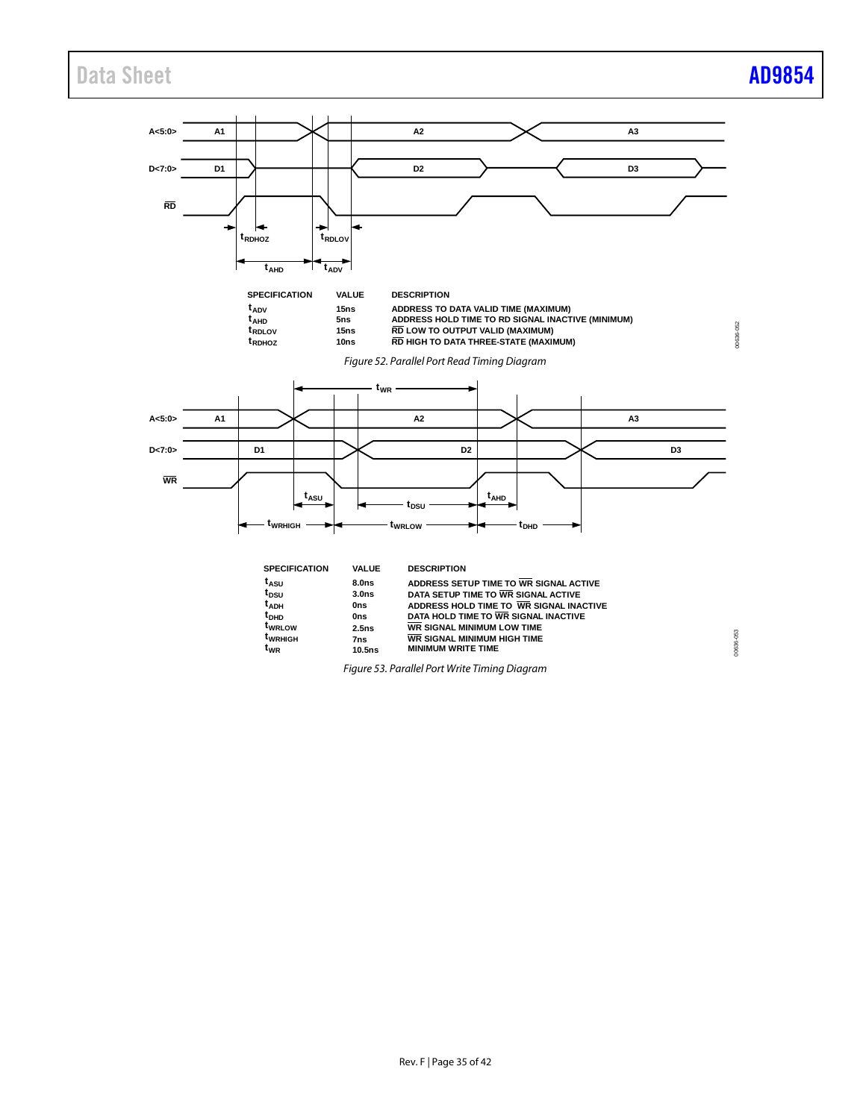# Data Sheet **[AD9854](https://www.analog.com/AD9854?doc=AD9854.pdf)**

<span id="page-34-0"></span>

<span id="page-34-1"></span>*Figure 53. Parallel Port Write Timing Diagram*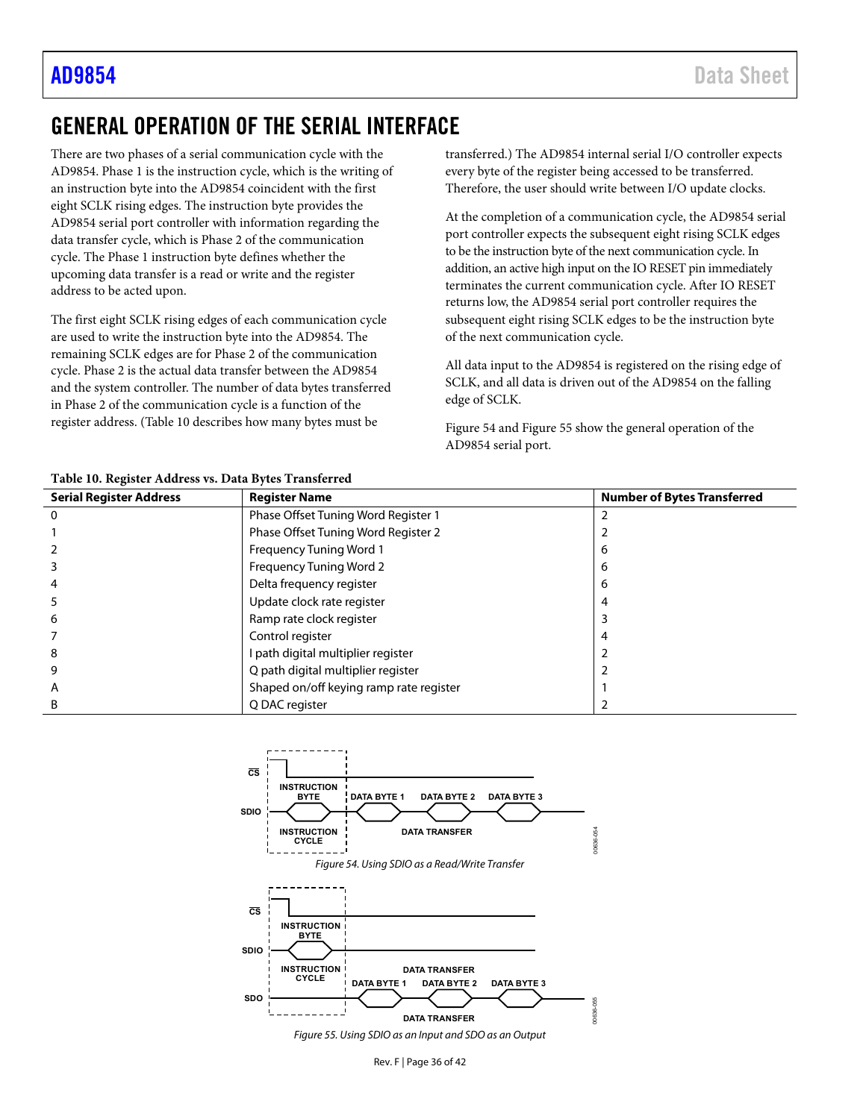# <span id="page-35-0"></span>GENERAL OPERATION OF THE SERIAL INTERFACE

There are two phases of a serial communication cycle with the AD9854. Phase 1 is the instruction cycle, which is the writing of an instruction byte into the AD9854 coincident with the first eight SCLK rising edges. The instruction byte provides the AD9854 serial port controller with information regarding the data transfer cycle, which is Phase 2 of the communication cycle. The Phase 1 instruction byte defines whether the upcoming data transfer is a read or write and the register address to be acted upon.

The first eight SCLK rising edges of each communication cycle are used to write the instruction byte into the AD9854. The remaining SCLK edges are for Phase 2 of the communication cycle. Phase 2 is the actual data transfer between the AD9854 and the system controller. The number of data bytes transferred in Phase 2 of the communication cycle is a function of the register address. [\(Table 10](#page-35-1) describes how many bytes must be

transferred.) The AD9854 internal serial I/O controller expects every byte of the register being accessed to be transferred. Therefore, the user should write between I/O update clocks.

At the completion of a communication cycle, the AD9854 serial port controller expects the subsequent eight rising SCLK edges to be the instruction byte of the next communication cycle. In addition, an active high input on the IO RESET pin immediately terminates the current communication cycle. After IO RESET returns low, the AD9854 serial port controller requires the subsequent eight rising SCLK edges to be the instruction byte of the next communication cycle.

All data input to the AD9854 is registered on the rising edge of SCLK, and all data is driven out of the AD9854 on the falling edge of SCLK.

[Figure 54 a](#page-35-2)nd [Figure 55 s](#page-35-3)how the general operation of the AD9854 serial port.

| <b>Serial Register Address</b> | <b>Register Name</b>                    | <b>Number of Bytes Transferred</b> |
|--------------------------------|-----------------------------------------|------------------------------------|
|                                | Phase Offset Tuning Word Register 1     |                                    |
|                                | Phase Offset Tuning Word Register 2     |                                    |
|                                | <b>Frequency Tuning Word 1</b>          | 6                                  |
|                                | Frequency Tuning Word 2                 | 6                                  |
|                                | Delta frequency register                | 6                                  |
|                                | Update clock rate register              | 4                                  |
| h                              | Ramp rate clock register                |                                    |
|                                | Control register                        | 4                                  |
| õ                              | I path digital multiplier register      |                                    |
|                                | Q path digital multiplier register      |                                    |
| А                              | Shaped on/off keying ramp rate register |                                    |
|                                | Q DAC register                          |                                    |

## <span id="page-35-1"></span>**Table 10. Register Address vs. Data Bytes Transferred**

<span id="page-35-2"></span>

<span id="page-35-3"></span>Figure 55. Using SDIO as an Input and SDO as an Output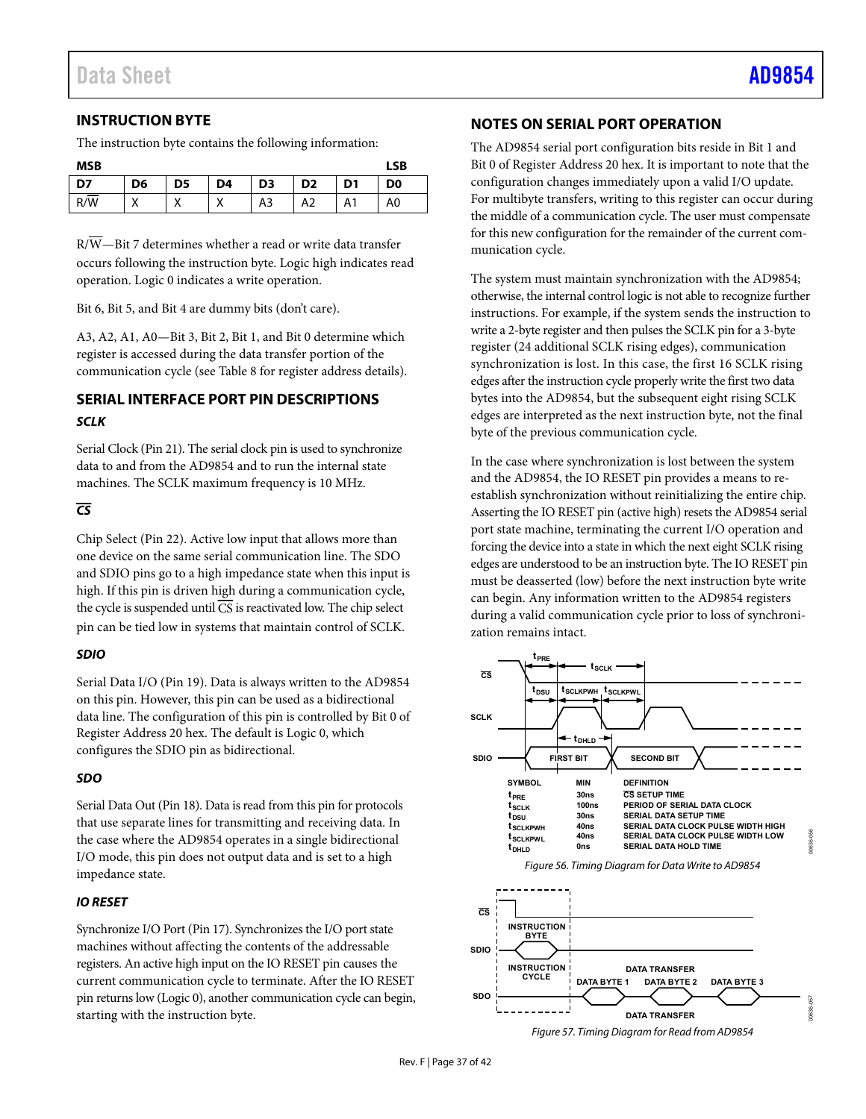## <span id="page-36-2"></span>**INSTRUCTION BYTE**

The instruction byte contains the following information:

| <b>MSB</b> |    |                |        |                |                |                |                |
|------------|----|----------------|--------|----------------|----------------|----------------|----------------|
| D7         | D6 | D <sub>5</sub> | D4     | D <sub>3</sub> | D <sub>2</sub> | D <sub>1</sub> | D <sub>0</sub> |
| R/W        | 73 |                | v<br>Λ | A3             | A2             | A1             | A <sub>0</sub> |

 $R/\overline{W}$ —Bit 7 determines whether a read or write data transfer occurs following the instruction byte. Logic high indicates read operation. Logic 0 indicates a write operation.

Bit 6, Bit 5, and Bit 4 are dummy bits (don't care).

A3, A2, A1, A0—Bit 3, Bit 2, Bit 1, and Bit 0 determine which register is accessed during the data transfer portion of the communication cycle (se[e Table 8 f](#page-32-0)or register address details).

# <span id="page-36-0"></span>**SERIAL INTERFACE PORT PIN DESCRIPTIONS SCLK**

Serial Clock (Pin 21). The serial clock pin is used to synchronize data to and from the AD9854 and to run the internal state machines. The SCLK maximum frequency is 10 MHz.

# **CS**

Chip Select (Pin 22). Active low input that allows more than one device on the same serial communication line. The SDO and SDIO pins go to a high impedance state when this input is high. If this pin is driven high during a communication cycle, the cycle is suspended until  $\overline{CS}$  is reactivated low. The chip select pin can be tied low in systems that maintain control of SCLK.

## **SDIO**

Serial Data I/O (Pin 19). Data is always written to the AD9854 on this pin. However, this pin can be used as a bidirectional data line. The configuration of this pin is controlled by Bit 0 of Register Address 20 hex. The default is Logic 0, which configures the SDIO pin as bidirectional.

# **SDO**

Serial Data Out (Pin 18). Data is read from this pin for protocols that use separate lines for transmitting and receiving data. In the case where the AD9854 operates in a single bidirectional I/O mode, this pin does not output data and is set to a high impedance state.

## **IO RESET**

Synchronize I/O Port (Pin 17). Synchronizes the I/O port state machines without affecting the contents of the addressable registers. An active high input on the IO RESET pin causes the current communication cycle to terminate. After the IO RESET pin returns low (Logic 0), another communication cycle can begin, starting with the instruction byte.

# <span id="page-36-1"></span>**NOTES ON SERIAL PORT OPERATION**

The AD9854 serial port configuration bits reside in Bit 1 and Bit 0 of Register Address 20 hex. It is important to note that the configuration changes immediately upon a valid I/O update. For multibyte transfers, writing to this register can occur during the middle of a communication cycle. The user must compensate for this new configuration for the remainder of the current communication cycle.

The system must maintain synchronization with the AD9854; otherwise, the internal control logic is not able to recognize further instructions. For example, if the system sends the instruction to write a 2-byte register and then pulses the SCLK pin for a 3-byte register (24 additional SCLK rising edges), communication synchronization is lost. In this case, the first 16 SCLK rising edges after the instruction cycle properly write the first two data bytes into the AD9854, but the subsequent eight rising SCLK edges are interpreted as the next instruction byte, not the final byte of the previous communication cycle.

In the case where synchronization is lost between the system and the AD9854, the IO RESET pin provides a means to reestablish synchronization without reinitializing the entire chip. Asserting the IO RESET pin (active high) resets the AD9854 serial port state machine, terminating the current I/O operation and forcing the device into a state in which the next eight SCLK rising edges are understood to be an instruction byte. The IO RESET pin must be deasserted (low) before the next instruction byte write can begin. Any information written to the AD9854 registers during a valid communication cycle prior to loss of synchronization remains intact.

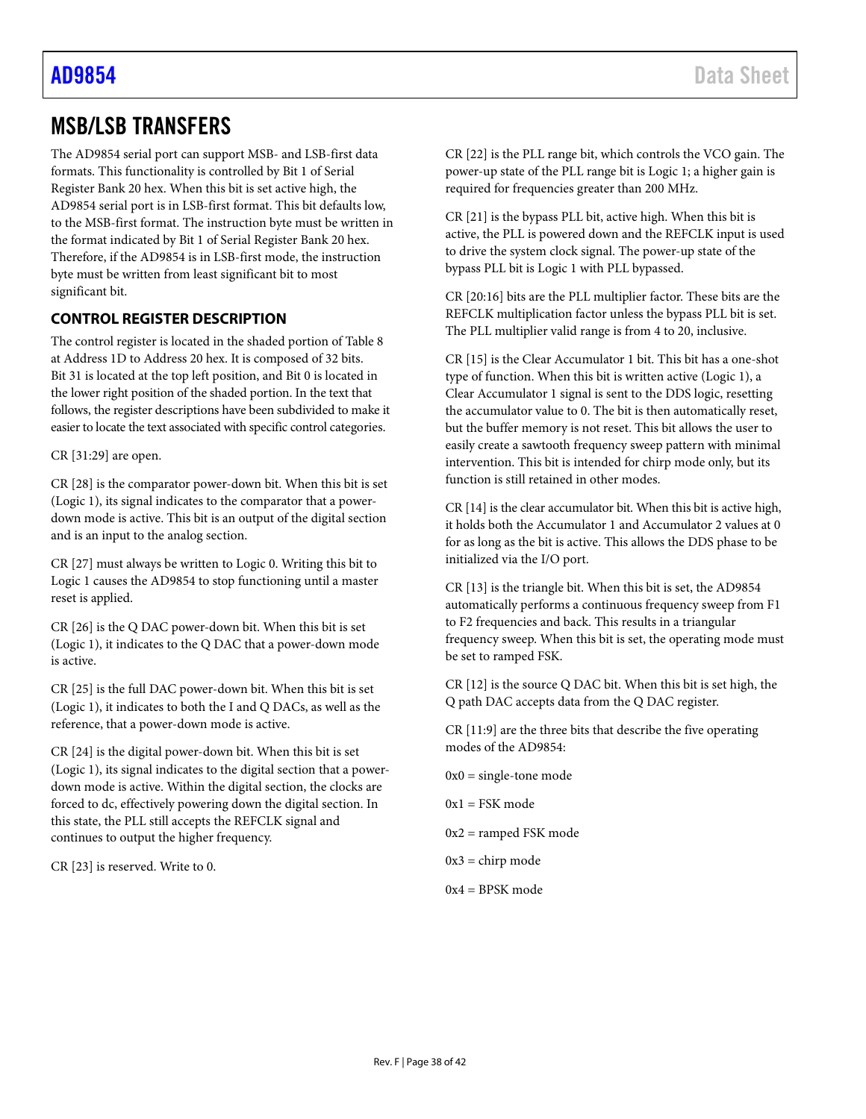# <span id="page-37-0"></span>MSB/LSB TRANSFERS

The AD9854 serial port can support MSB- and LSB-first data formats. This functionality is controlled by Bit 1 of Serial Register Bank 20 hex. When this bit is set active high, the AD9854 serial port is in LSB-first format. This bit defaults low, to the MSB-first format. The instruction byte must be written in the format indicated by Bit 1 of Serial Register Bank 20 hex. Therefore, if the AD9854 is in LSB-first mode, the instruction byte must be written from least significant bit to most significant bit.

# <span id="page-37-1"></span>**CONTROL REGISTER DESCRIPTION**

The control register is located in the shaded portion o[f Table 8](#page-32-0) at Address 1D to Address 20 hex. It is composed of 32 bits. Bit 31 is located at the top left position, and Bit 0 is located in the lower right position of the shaded portion. In the text that follows, the register descriptions have been subdivided to make it easier to locate the text associated with specific control categories.

CR [31:29] are open.

CR [28] is the comparator power-down bit. When this bit is set (Logic 1), its signal indicates to the comparator that a powerdown mode is active. This bit is an output of the digital section and is an input to the analog section.

CR [27] must always be written to Logic 0. Writing this bit to Logic 1 causes the AD9854 to stop functioning until a master reset is applied.

CR [26] is the Q DAC power-down bit. When this bit is set (Logic 1), it indicates to the Q DAC that a power-down mode is active.

CR [25] is the full DAC power-down bit. When this bit is set (Logic 1), it indicates to both the I and Q DACs, as well as the reference, that a power-down mode is active.

CR [24] is the digital power-down bit. When this bit is set (Logic 1), its signal indicates to the digital section that a powerdown mode is active. Within the digital section, the clocks are forced to dc, effectively powering down the digital section. In this state, the PLL still accepts the REFCLK signal and continues to output the higher frequency.

CR [23] is reserved. Write to 0.

CR [22] is the PLL range bit, which controls the VCO gain. The power-up state of the PLL range bit is Logic 1; a higher gain is required for frequencies greater than 200 MHz.

CR [21] is the bypass PLL bit, active high. When this bit is active, the PLL is powered down and the REFCLK input is used to drive the system clock signal. The power-up state of the bypass PLL bit is Logic 1 with PLL bypassed.

CR [20:16] bits are the PLL multiplier factor. These bits are the REFCLK multiplication factor unless the bypass PLL bit is set. The PLL multiplier valid range is from 4 to 20, inclusive.

CR [15] is the Clear Accumulator 1 bit. This bit has a one-shot type of function. When this bit is written active (Logic 1), a Clear Accumulator 1 signal is sent to the DDS logic, resetting the accumulator value to 0. The bit is then automatically reset, but the buffer memory is not reset. This bit allows the user to easily create a sawtooth frequency sweep pattern with minimal intervention. This bit is intended for chirp mode only, but its function is still retained in other modes.

CR [14] is the clear accumulator bit. When this bit is active high, it holds both the Accumulator 1 and Accumulator 2 values at 0 for as long as the bit is active. This allows the DDS phase to be initialized via the I/O port.

CR [13] is the triangle bit. When this bit is set, the AD9854 automatically performs a continuous frequency sweep from F1 to F2 frequencies and back. This results in a triangular frequency sweep. When this bit is set, the operating mode must be set to ramped FSK.

CR [12] is the source Q DAC bit. When this bit is set high, the Q path DAC accepts data from the Q DAC register.

CR [11:9] are the three bits that describe the five operating modes of the AD9854:

- $0x0 = single$ -tone mode
- $0x1 = FSK$  mode
- 0x2 = ramped FSK mode
- $0x3 =$ chirp mode
- $0x4 = BPSK$  mode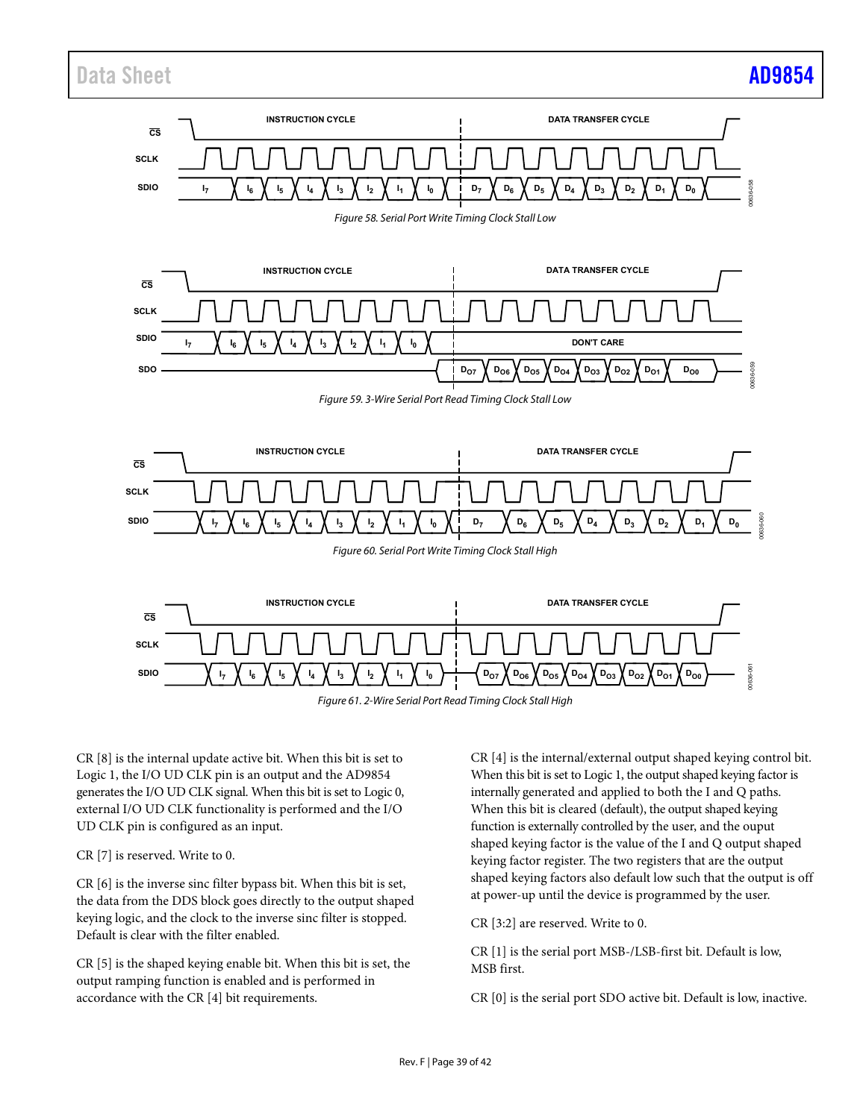# Data Sheet [AD9854](https://www.analog.com/AD9854?doc=AD9854.pdf)



CR [8] is the internal update active bit. When this bit is set to Logic 1, the I/O UD CLK pin is an output and the AD9854 generates the I/O UD CLK signal. When this bit is set to Logic 0, external I/O UD CLK functionality is performed and the I/O UD CLK pin is configured as an input.

CR [7] is reserved. Write to 0.

CR [6] is the inverse sinc filter bypass bit. When this bit is set, the data from the DDS block goes directly to the output shaped keying logic, and the clock to the inverse sinc filter is stopped. Default is clear with the filter enabled.

CR [5] is the shaped keying enable bit. When this bit is set, the output ramping function is enabled and is performed in accordance with the CR [4] bit requirements.

CR [4] is the internal/external output shaped keying control bit. When this bit is set to Logic 1, the output shaped keying factor is internally generated and applied to both the I and Q paths. When this bit is cleared (default), the output shaped keying function is externally controlled by the user, and the ouput shaped keying factor is the value of the I and Q output shaped keying factor register. The two registers that are the output shaped keying factors also default low such that the output is off at power-up until the device is programmed by the user.

CR [3:2] are reserved. Write to 0.

CR [1] is the serial port MSB-/LSB-first bit. Default is low, MSB first.

CR [0] is the serial port SDO active bit. Default is low, inactive.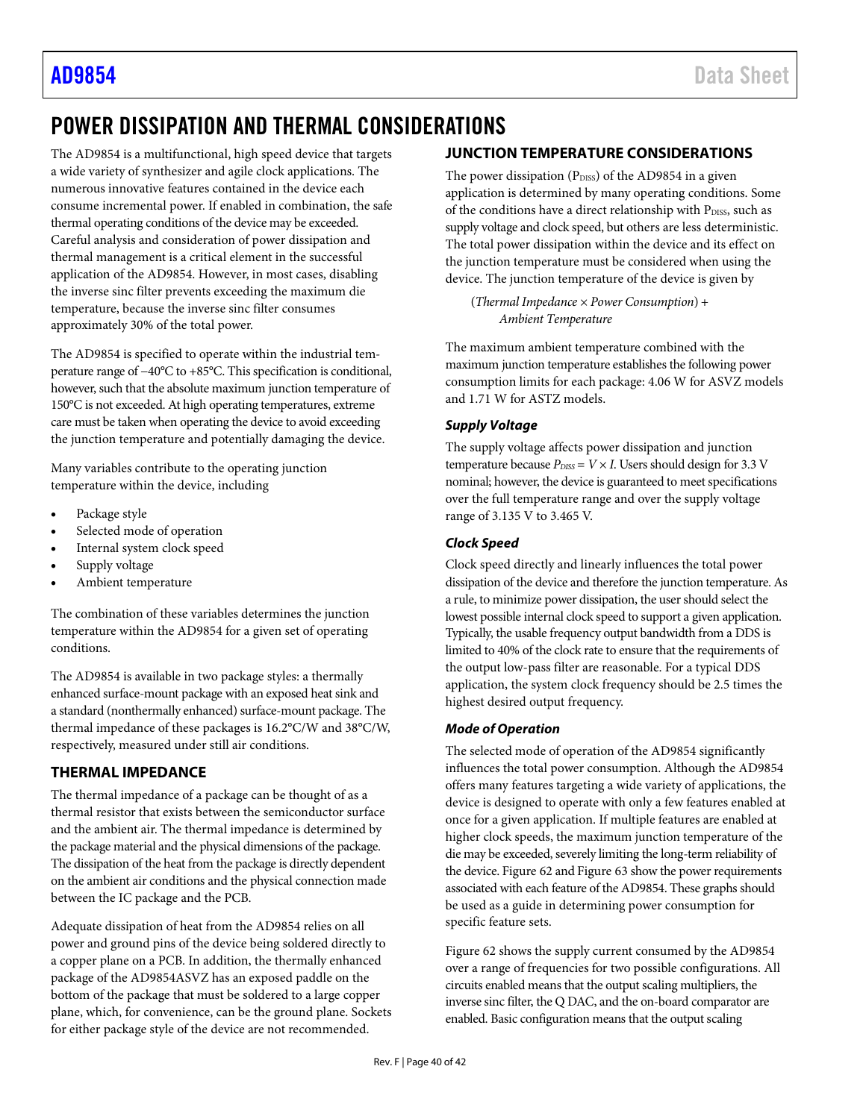# <span id="page-39-0"></span>POWER DISSIPATION AND THERMAL CONSIDERATIONS

The AD9854 is a multifunctional, high speed device that targets a wide variety of synthesizer and agile clock applications. The numerous innovative features contained in the device each consume incremental power. If enabled in combination, the safe thermal operating conditions of the device may be exceeded. Careful analysis and consideration of power dissipation and thermal management is a critical element in the successful application of the AD9854. However, in most cases, disabling the inverse sinc filter prevents exceeding the maximum die temperature, because the inverse sinc filter consumes approximately 30% of the total power.

The AD9854 is specified to operate within the industrial temperature range of −40°C to +85°C. This specification is conditional, however, such that the absolute maximum junction temperature of 150°C is not exceeded. At high operating temperatures, extreme care must be taken when operating the device to avoid exceeding the junction temperature and potentially damaging the device.

Many variables contribute to the operating junction temperature within the device, including

- Package style
- Selected mode of operation
- Internal system clock speed
- Supply voltage
- Ambient temperature

The combination of these variables determines the junction temperature within the AD9854 for a given set of operating conditions.

The AD9854 is available in two package styles: a thermally enhanced surface-mount package with an exposed heat sink and a standard (nonthermally enhanced) surface-mount package. The thermal impedance of these packages is 16.2°C/W and 38°C/W, respectively, measured under still air conditions.

# <span id="page-39-1"></span>**THERMAL IMPEDANCE**

The thermal impedance of a package can be thought of as a thermal resistor that exists between the semiconductor surface and the ambient air. The thermal impedance is determined by the package material and the physical dimensions of the package. The dissipation of the heat from the package is directly dependent on the ambient air conditions and the physical connection made between the IC package and the PCB.

Adequate dissipation of heat from the AD9854 relies on all power and ground pins of the device being soldered directly to a copper plane on a PCB. In addition, the thermally enhanced package of the AD9854ASVZ has an exposed paddle on the bottom of the package that must be soldered to a large copper plane, which, for convenience, can be the ground plane. Sockets for either package style of the device are not recommended.

## <span id="page-39-2"></span>**JUNCTION TEMPERATURE CONSIDERATIONS**

The power dissipation ( $P_{DISS}$ ) of the AD9854 in a given application is determined by many operating conditions. Some of the conditions have a direct relationship with PDISS, such as supply voltage and clock speed, but others are less deterministic. The total power dissipation within the device and its effect on the junction temperature must be considered when using the device. The junction temperature of the device is given by

(*Thermal Impedance × Power Consumption*) + *Ambient Temperature*

The maximum ambient temperature combined with the maximum junction temperature establishes the following power consumption limits for each package: 4.06 W for ASVZ models and 1.71 W for ASTZ models.

## *Supply Voltage*

The supply voltage affects power dissipation and junction temperature because  $P_{\text{DISS}} = V \times I$ . Users should design for 3.3 V nominal; however, the device is guaranteed to meet specifications over the full temperature range and over the supply voltage range of 3.135 V to 3.465 V.

## *Clock Speed*

Clock speed directly and linearly influences the total power dissipation of the device and therefore the junction temperature. As a rule, to minimize power dissipation, the user should select the lowest possible internal clock speed to support a given application. Typically, the usable frequency output bandwidth from a DDS is limited to 40% of the clock rate to ensure that the requirements of the output low-pass filter are reasonable. For a typical DDS application, the system clock frequency should be 2.5 times the highest desired output frequency.

## *Mode of Operation*

The selected mode of operation of the AD9854 significantly influences the total power consumption. Although the AD9854 offers many features targeting a wide variety of applications, the device is designed to operate with only a few features enabled at once for a given application. If multiple features are enabled at higher clock speeds, the maximum junction temperature of the die may be exceeded, severely limiting the long-term reliability of the device[. Figure 62](#page-40-2) an[d Figure 63](#page-40-3) show the power requirements associated with each feature of the AD9854. These graphs should be used as a guide in determining power consumption for specific feature sets.

[Figure 62](#page-40-2) shows the supply current consumed by the AD9854 over a range of frequencies for two possible configurations. All circuits enabled means that the output scaling multipliers, the inverse sinc filter, the Q DAC, and the on-board comparator are enabled. Basic configuration means that the output scaling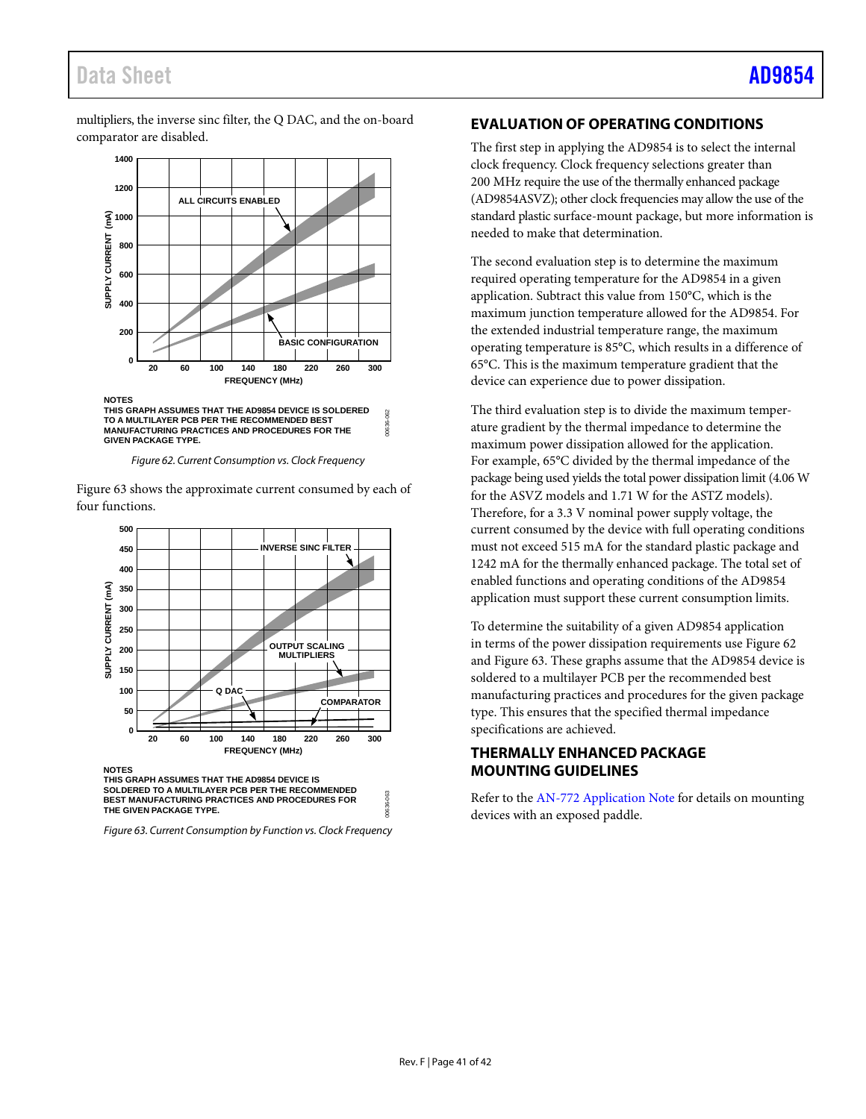# Data Sheet [AD9854](https://www.analog.com/AD9854?doc=AD9854.pdf)

multipliers, the inverse sinc filter, the Q DAC, and the on-board comparator are disabled.



*Figure 62. Current Consumption vs. Clock Frequency*

<span id="page-40-2"></span>[Figure 63](#page-40-3) shows the approximate current consumed by each of four functions.



**THIS GRAPH ASSUMES THAT THE AD9854 DEVICE IS SOLDERED TO A MULTILAYER PCB PER THE RECOMMENDED BEST MANUFACTURING PRACTICES AND PROCEDURES FOR THE GIVEN PACKAGE TYPE.**

<span id="page-40-3"></span>*Figure 63. Current Consumption by Function vs. Clock Frequency*

## <span id="page-40-0"></span>**EVALUATION OF OPERATING CONDITIONS**

The first step in applying the AD9854 is to select the internal clock frequency. Clock frequency selections greater than 200 MHz require the use of the thermally enhanced package (AD9854ASVZ); other clock frequencies may allow the use of the standard plastic surface-mount package, but more information is needed to make that determination.

The second evaluation step is to determine the maximum required operating temperature for the AD9854 in a given application. Subtract this value from 150°C, which is the maximum junction temperature allowed for the AD9854. For the extended industrial temperature range, the maximum operating temperature is 85°C, which results in a difference of 65°C. This is the maximum temperature gradient that the device can experience due to power dissipation.

The third evaluation step is to divide the maximum temperature gradient by the thermal impedance to determine the maximum power dissipation allowed for the application. For example, 65°C divided by the thermal impedance of the package being used yields the total power dissipation limit (4.06 W for the ASVZ models and 1.71 W for the ASTZ models). Therefore, for a 3.3 V nominal power supply voltage, the current consumed by the device with full operating conditions must not exceed 515 mA for the standard plastic package and 1242 mA for the thermally enhanced package. The total set of enabled functions and operating conditions of the AD9854 application must support these current consumption limits.

To determine the suitability of a given AD9854 application in terms of the power dissipation requirements us[e Figure 62](#page-40-2) an[d Figure 63.](#page-40-3) These graphs assume that the AD9854 device is soldered to a multilayer PCB per the recommended best manufacturing practices and procedures for the given package type. This ensures that the specified thermal impedance specifications are achieved.

### <span id="page-40-1"></span>**THERMALLY ENHANCED PACKAGE MOUNTING GUIDELINES**

Refer to th[e AN-772 Application Note](http://www.analog.com/AN-772) for details on mounting devices with an exposed paddle.

00636-063

63